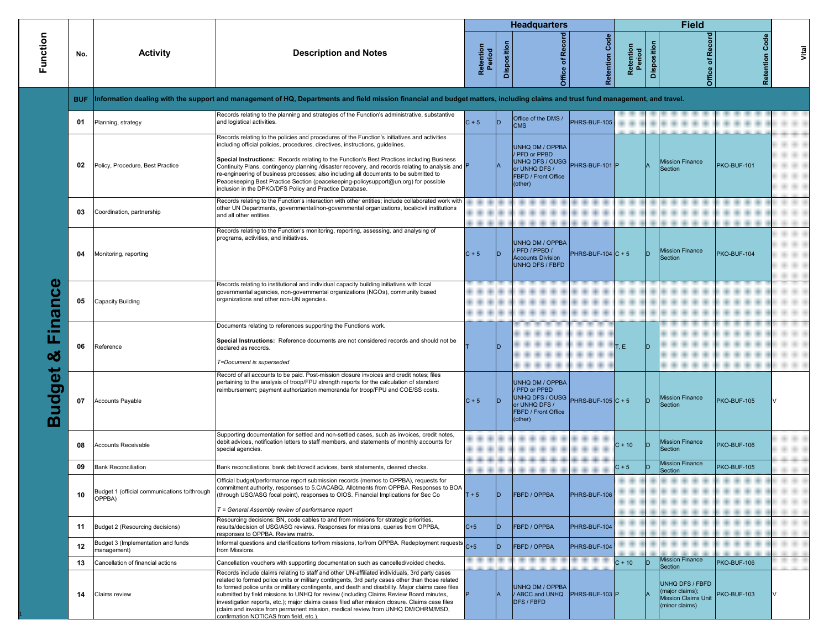|                   |            |                                                        |                                                                                                                                                                                                                                                                                                                                                                                                                                                                                                                                                                                                                                    |                     |                    | <b>Headquarters</b>                                                                                                              |                            |                     |             | <b>Field</b>                                                                              |                       |       |
|-------------------|------------|--------------------------------------------------------|------------------------------------------------------------------------------------------------------------------------------------------------------------------------------------------------------------------------------------------------------------------------------------------------------------------------------------------------------------------------------------------------------------------------------------------------------------------------------------------------------------------------------------------------------------------------------------------------------------------------------------|---------------------|--------------------|----------------------------------------------------------------------------------------------------------------------------------|----------------------------|---------------------|-------------|-------------------------------------------------------------------------------------------|-----------------------|-------|
| Function          | No.        | <b>Activity</b>                                        | <b>Description and Notes</b>                                                                                                                                                                                                                                                                                                                                                                                                                                                                                                                                                                                                       | Retention<br>Period | <b>Disposition</b> | of Record<br>Office                                                                                                              | <b>Retention Code</b>      | Retention<br>Period | Disposition | <b>Record</b><br>৳<br>Office                                                              | <b>Retention Code</b> | Vital |
|                   | <b>BUF</b> |                                                        | Information dealing with the support and management of HQ, Departments and field mission financial and budget matters, including claims and trust fund management, and travel.                                                                                                                                                                                                                                                                                                                                                                                                                                                     |                     |                    |                                                                                                                                  |                            |                     |             |                                                                                           |                       |       |
|                   | 01         | Planning, strategy                                     | Records relating to the planning and strategies of the Function's administrative, substantive<br>and logistical activities.                                                                                                                                                                                                                                                                                                                                                                                                                                                                                                        | $C + 5$             | ID.                | Office of the DMS /<br><b>CMS</b>                                                                                                | PHRS-BUF-105               |                     |             |                                                                                           |                       |       |
|                   |            |                                                        | Records relating to the policies and procedures of the Function's initiatives and activities<br>including official policies, procedures, directives, instructions, guidelines                                                                                                                                                                                                                                                                                                                                                                                                                                                      |                     |                    | UNHQ DM / OPPBA<br>/ PFD or PPBD                                                                                                 |                            |                     |             |                                                                                           |                       |       |
|                   | 02         | Policy, Procedure, Best Practice                       | Special Instructions: Records relating to the Function's Best Practices including Business<br>Continuity Plans, contingency planning /disaster recovery, and records relating to analysis and P<br>re-engineering of business processes; also including all documents to be submitted to<br>Peacekeeping Best Practice Section (peacekeeping-policysupport@un.org) for possible<br>inclusion in the DPKO/DFS Policy and Practice Database.                                                                                                                                                                                         |                     |                    | UNHQ DFS / OUSG PHRS-BUF-101 P<br>or UNHQ DFS /<br><b>FBFD / Front Office</b><br>(other)                                         |                            |                     |             | <b>Mission Finance</b><br>Section                                                         | PKO-BUF-101           |       |
|                   | 03         | Coordination, partnership                              | Records relating to the Function's interaction with other entities; include collaborated work with<br>other UN Departments, governmental/non-governmental organizations, local/civil institutions<br>and all other entities.                                                                                                                                                                                                                                                                                                                                                                                                       |                     |                    |                                                                                                                                  |                            |                     |             |                                                                                           |                       |       |
| inance<br>ш.<br>ಯ | 04         | Monitoring, reporting                                  | Records relating to the Function's monitoring, reporting, assessing, and analysing of<br>programs, activities, and initiatives.                                                                                                                                                                                                                                                                                                                                                                                                                                                                                                    | $C + 5$             | ID.                | <b>UNHQ DM / OPPBA</b><br>/ PFD / PPBD /<br><b>Accounts Division</b><br>UNHQ DFS / FBFD                                          | PHRS-BUF-104 $\vert$ C + 5 |                     |             | <b>Mission Finance</b><br>Section                                                         | PKO-BUF-104           |       |
|                   | 05         | <b>Capacity Building</b>                               | Records relating to institutional and individual capacity building initiatives with local<br>governmental agencies, non-governmental organizations (NGOs), community based<br>organizations and other non-UN agencies.                                                                                                                                                                                                                                                                                                                                                                                                             |                     |                    |                                                                                                                                  |                            |                     |             |                                                                                           |                       |       |
|                   | 06         | Reference                                              | Documents relating to references supporting the Functions work.<br>Special Instructions: Reference documents are not considered records and should not be<br>declared as records.<br>T=Document is superseded                                                                                                                                                                                                                                                                                                                                                                                                                      |                     | D                  |                                                                                                                                  |                            | T, E                |             |                                                                                           |                       |       |
| udget<br>ന        | 07         | <b>Accounts Payable</b>                                | Record of all accounts to be paid. Post-mission closure invoices and credit notes; files<br>pertaining to the analysis of troop/FPU strength reports for the calculation of standard<br>reimbursement; payment authorization memoranda for troop/FPU and COE/SS costs.                                                                                                                                                                                                                                                                                                                                                             | $C + 5$             | ID.                | UNHQ DM / OPPBA<br>/ PFD or PPBD<br>UNHQ DFS / OUSG PHRS-BUF-105 C + 5<br>or UNHQ DFS /<br><b>FBFD / Front Office</b><br>(other) |                            |                     |             | <b>Mission Finance</b><br>Section                                                         | PKO-BUF-105           |       |
|                   | 08         | <b>Accounts Receivable</b>                             | Supporting documentation for settled and non-settled cases, such as invoices, credit notes,<br>debit advices, notification letters to staff members, and statements of monthly accounts for<br>special agencies.                                                                                                                                                                                                                                                                                                                                                                                                                   |                     |                    |                                                                                                                                  |                            | $C + 10$            | ID          | <b>Mission Finance</b><br>Section                                                         | PKO-BUF-106           |       |
|                   | 09         | <b>Bank Reconciliation</b>                             | Bank reconciliations, bank debit/credit advices, bank statements, cleared checks,                                                                                                                                                                                                                                                                                                                                                                                                                                                                                                                                                  |                     |                    |                                                                                                                                  |                            | $C + 5$             |             | <b>Mission Finance</b><br>Section                                                         | PKO-BUF-105           |       |
|                   | 10         | Budget 1 (official communications to/through<br>OPPBA) | Official budget/performance report submission records (memos to OPPBA), requests for<br>commitment authority, responses to 5.C/ACABQ. Allotments from OPPBA. Responses to BOA<br>(through USG/ASG focal point), responses to OIOS. Financial Implications for Sec Co<br>$T =$ General Assembly review of performance report                                                                                                                                                                                                                                                                                                        | $T + 5$             | ID.                | <b>FBFD / OPPBA</b>                                                                                                              | PHRS-BUF-106               |                     |             |                                                                                           |                       |       |
|                   | 11         | Budget 2 (Resourcing decisions)                        | Resourcing decisions: BN, code cables to and from missions for strategic priorities,<br>results/decision of USG/ASG reviews. Responses for missions, queries from OPPBA,<br>responses to OPPBA. Review matrix.                                                                                                                                                                                                                                                                                                                                                                                                                     | $C+5$               | ID.                | <b>FBFD / OPPBA</b>                                                                                                              | PHRS-BUF-104               |                     |             |                                                                                           |                       |       |
|                   | 12         | Budget 3 (Implementation and funds<br>management)      | Informal questions and clarifications to/from missions, to/from OPPBA. Redeployment requests C+5<br>from Missions.                                                                                                                                                                                                                                                                                                                                                                                                                                                                                                                 |                     | ID.                | <b>FBFD / OPPBA</b>                                                                                                              | PHRS-BUF-104               |                     |             |                                                                                           |                       |       |
|                   | 13         | Cancellation of financial actions                      | Cancellation vouchers with supporting documentation such as cancelled/voided checks.                                                                                                                                                                                                                                                                                                                                                                                                                                                                                                                                               |                     |                    |                                                                                                                                  |                            | $C + 10$            |             | <b>Mission Finance</b><br>Section                                                         | PKO-BUF-106           |       |
|                   | 14         | Claims review                                          | Records include claims relating to staff and other UN-affiliated individuals, 3rd party cases<br>related to formed police units or military contingents, 3rd party cases other than those related<br>to formed police units or military contingents, and death and disability. Major claims case files<br>submitted by field missions to UNHQ for review (including Claims Review Board minutes,<br>investigation reports, etc.); major claims cases filed after mission closure. Claims case files<br>(claim and invoice from permanent mission, medical review from UNHQ DM/OHRM/MSD,<br>confirmation NOTICAS from field, etc.). |                     |                    | UNHQ DM / OPPBA<br>/ ABCC and UNHQ   PHRS-BUF-103 P<br><b>DFS / FBFD</b>                                                         |                            |                     |             | <b>UNHQ DFS / FBFD</b><br>(major claims);<br><b>Mission Claims Unit</b><br>(minor claims) | PKO-BUF-103           |       |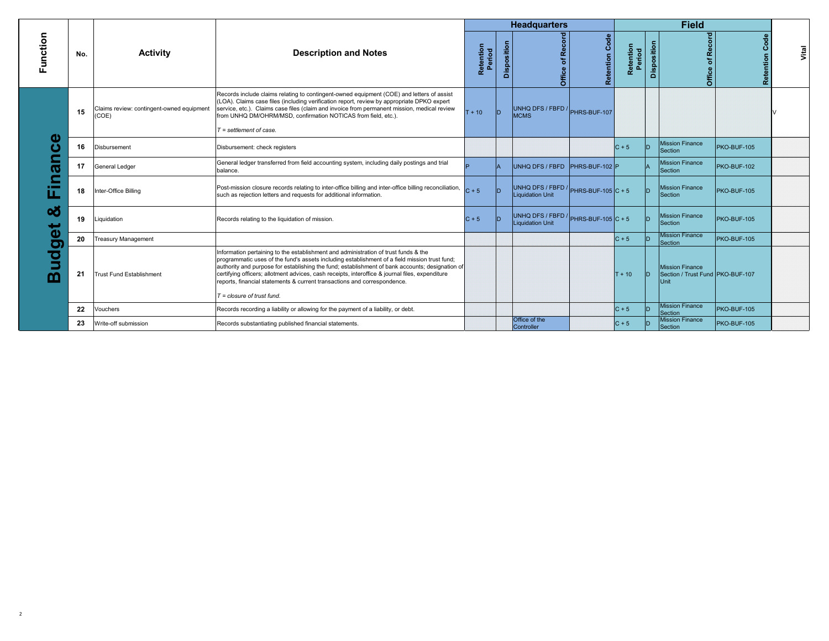|                  |     |                                                    |                                                                                                                                                                                                                                                                                                                                                                                                                                                                                                        |                     |             | <b>Headquarters</b>                                                      |                       |                     |             | <b>Field</b>                                                |                   |       |
|------------------|-----|----------------------------------------------------|--------------------------------------------------------------------------------------------------------------------------------------------------------------------------------------------------------------------------------------------------------------------------------------------------------------------------------------------------------------------------------------------------------------------------------------------------------------------------------------------------------|---------------------|-------------|--------------------------------------------------------------------------|-----------------------|---------------------|-------------|-------------------------------------------------------------|-------------------|-------|
| Function         | No. | <b>Activity</b>                                    | <b>Description and Notes</b>                                                                                                                                                                                                                                                                                                                                                                                                                                                                           | Retention<br>Period | Disposition |                                                                          | <b>Retention Code</b> | Retention<br>Period | Disposition | of Record<br>Office                                         | Code<br>Retention | Vital |
|                  | 15  | Claims review: contingent-owned equipment<br>(COE) | Records include claims relating to contingent-owned equipment (COE) and letters of assist<br>(LOA). Claims case files (including verification report, review by appropriate DPKO expert<br>service, etc.). Claims case files (claim and invoice from permanent mission, medical review<br>from UNHQ DM/OHRM/MSD, confirmation NOTICAS from field, etc.).<br>$T =$ settlement of case.                                                                                                                  | $T + 10$            | lD.         | UNHQ DFS / FBFD / PHRS-BUF-107<br><b>MCMS</b>                            |                       |                     |             |                                                             |                   |       |
| ω<br>ത<br>u.     | 16  | Disbursement                                       | Disbursement: check registers                                                                                                                                                                                                                                                                                                                                                                                                                                                                          |                     |             |                                                                          |                       | $C + 5$             |             | <b>Mission Finance</b><br>Section                           | PKO-BUF-105       |       |
|                  | 17  | General Ledger                                     | General ledger transferred from field accounting system, including daily postings and trial<br>balance.                                                                                                                                                                                                                                                                                                                                                                                                |                     |             | UNHQ DFS / FBFD PHRS-BUF-102 P                                           |                       |                     |             | <b>Mission Finance</b><br>Section                           | PKO-BUF-102       |       |
|                  | 18  | Inter-Office Billing                               | Post-mission closure records relating to inter-office billing and inter-office billing reconciliation,<br>such as rejection letters and requests for additional information.                                                                                                                                                                                                                                                                                                                           | $C + 5$             | D           | UNHQ DFS / FBFD / $\vert$ PHRS-BUF-105 $\vert$ C + 5<br>Liquidation Unit |                       |                     |             | <b>Mission Finance</b><br><b>Section</b>                    | PKO-BUF-105       |       |
| න්               | 19  | Liquidation                                        | Records relating to the liquidation of mission.                                                                                                                                                                                                                                                                                                                                                                                                                                                        | $C + 5$             | In.         | UNHQ DFS / FBFD / $ $ PHRS-BUF-105 $ C + 5 $<br>Liquidation Unit         |                       |                     |             | <b>Mission Finance</b><br>Section                           | PKO-BUF-105       |       |
| ው                | 20  | <b>Treasury Management</b>                         |                                                                                                                                                                                                                                                                                                                                                                                                                                                                                                        |                     |             |                                                                          |                       | $C + 5$             |             | <b>Mission Finance</b><br>Section                           | PKO-BUF-105       |       |
| О<br>ਹ<br>5<br>ന | 21  | <b>Trust Fund Establishment</b>                    | Information pertaining to the establishment and administration of trust funds & the<br>programmatic uses of the fund's assets including establishment of a field mission trust fund;<br>authority and purpose for establishing the fund; establishment of bank accounts; designation of<br>certifying officers; allotment advices, cash receipts, interoffice & journal files, expenditure<br>reports, financial statements & current transactions and correspondence.<br>$T = closure$ of trust fund. |                     |             |                                                                          |                       | $T + 10$            |             | Mission Finance<br>Section / Trust Fund PKO-BUF-107<br>Unit |                   |       |
|                  | 22  | Vouchers                                           | Records recording a liability or allowing for the payment of a liability, or debt.                                                                                                                                                                                                                                                                                                                                                                                                                     |                     |             |                                                                          |                       | $C + 5$             |             | <b>Mission Finance</b><br><b>Section</b>                    | PKO-BUF-105       |       |
|                  | 23  | Write-off submission                               | Records substantiating published financial statements.                                                                                                                                                                                                                                                                                                                                                                                                                                                 |                     |             | Office of the<br>Controller                                              |                       | $C + 5$             |             | <b>Mission Finance</b><br><b>Section</b>                    | PKO-BUF-105       |       |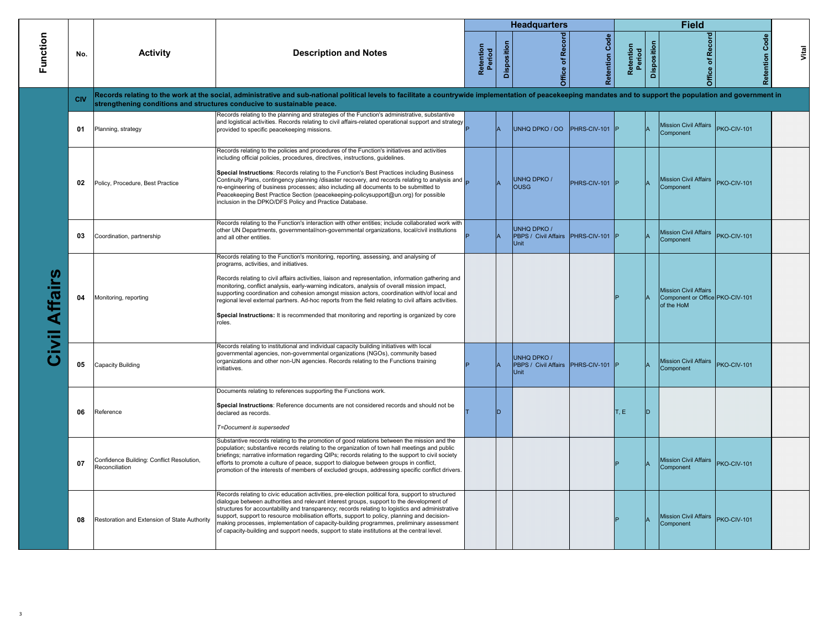|                   |            |                                                             |                                                                                                                                                                                                                                                                                                                                                                                                                                                                                                                                                                                                                                                        |                     |             | <b>Headquarters</b>                                            |                       |                     |                    | <b>Field</b>                                                                  |                       |       |
|-------------------|------------|-------------------------------------------------------------|--------------------------------------------------------------------------------------------------------------------------------------------------------------------------------------------------------------------------------------------------------------------------------------------------------------------------------------------------------------------------------------------------------------------------------------------------------------------------------------------------------------------------------------------------------------------------------------------------------------------------------------------------------|---------------------|-------------|----------------------------------------------------------------|-----------------------|---------------------|--------------------|-------------------------------------------------------------------------------|-----------------------|-------|
| Function          | No.        | <b>Activity</b>                                             | <b>Description and Notes</b>                                                                                                                                                                                                                                                                                                                                                                                                                                                                                                                                                                                                                           | Retention<br>Period | Disposition | Office of Record                                               | <b>Retention Code</b> | Retention<br>Period | <b>Disposition</b> | Office of Record                                                              | <b>Retention Code</b> | Vital |
|                   | <b>CIV</b> |                                                             | Records relating to the work at the social, administrative and sub-national political levels to facilitate a countrywide implementation of peacekeeping mandates and to support the population and government in<br>strengthening conditions and structures conducive to sustainable peace.                                                                                                                                                                                                                                                                                                                                                            |                     |             |                                                                |                       |                     |                    |                                                                               |                       |       |
|                   | 01         | Planning, strategy                                          | Records relating to the planning and strategies of the Function's administrative, substantive<br>and logistical activities. Records relating to civil affairs-related operational support and strategy<br>provided to specific peacekeeping missions.                                                                                                                                                                                                                                                                                                                                                                                                  |                     |             | UNHQ DPKO / OO                                                 | PHRS-CIV-101          |                     |                    | <b>Mission Civil Affairs</b><br>Component                                     | PKO-CIV-101           |       |
|                   | 02         | Policy, Procedure, Best Practice                            | Records relating to the policies and procedures of the Function's initiatives and activities<br>including official policies, procedures, directives, instructions, guidelines.<br>Special Instructions: Records relating to the Function's Best Practices including Business<br>Continuity Plans, contingency planning /disaster recovery, and records relating to analysis and $\Box$<br>re-engineering of business processes; also including all documents to be submitted to<br>Peacekeeping Best Practice Section (peacekeeping-policysupport@un.org) for possible<br>inclusion in the DPKO/DFS Policy and Practice Database.                      |                     |             | <b>UNHQ DPKO/</b><br><b>OUSG</b>                               | PHRS-CIV-101 P        |                     |                    | <b>Mission Civil Affairs</b><br>Component                                     | PKO-CIV-101           |       |
|                   | 03         | Coordination, partnership                                   | Records relating to the Function's interaction with other entities; include collaborated work with<br>other UN Departments, governmental/non-governmental organizations, local/civil institutions<br>and all other entities.                                                                                                                                                                                                                                                                                                                                                                                                                           |                     |             | <b>UNHQ DPKO/</b><br>PBPS / Civil Affairs PHRS-CIV-101<br>Unit |                       |                     |                    | <b>Mission Civil Affairs</b><br>Component                                     | PKO-CIV-101           |       |
| U)<br>ivil Affair | 04         | Monitoring, reporting                                       | Records relating to the Function's monitoring, reporting, assessing, and analysing of<br>programs, activities, and initiatives.<br>Records relating to civil affairs activities, liaison and representation, information gathering and<br>monitoring, conflict analysis, early-warning indicators, analysis of overall mission impact,<br>supporting coordination and cohesion amongst mission actors, coordination with/of local and<br>regional level external partners. Ad-hoc reports from the field relating to civil affairs activities.<br>Special Instructions: It is recommended that monitoring and reporting is organized by core<br>roles. |                     |             |                                                                |                       |                     |                    | <b>Mission Civil Affairs</b><br>Component or Office PKO-CIV-101<br>of the HoM |                       |       |
|                   | 05         | Capacity Building                                           | Records relating to institutional and individual capacity building initiatives with local<br>governmental agencies, non-governmental organizations (NGOs), community based<br>organizations and other non-UN agencies. Records relating to the Functions training<br>initiatives.                                                                                                                                                                                                                                                                                                                                                                      |                     |             | UNHQ DPKO /<br>PBPS / Civil Affairs PHRS-CIV-101<br>Unit       |                       |                     |                    | <b>Mission Civil Affairs</b><br>Component                                     | PKO-CIV-101           |       |
|                   | 06         | Reference                                                   | Documents relating to references supporting the Functions work.<br>Special Instructions: Reference documents are not considered records and should not be<br>declared as records.<br>T=Document is superseded                                                                                                                                                                                                                                                                                                                                                                                                                                          |                     | D           |                                                                |                       | T.E                 | חו                 |                                                                               |                       |       |
|                   | 07         | Confidence Building: Conflict Resolution,<br>Reconciliation | Substantive records relating to the promotion of good relations between the mission and the<br>population; substantive records relating to the organization of town hall meetings and public<br>briefings; narrative information regarding QIPs; records relating to the support to civil society<br>efforts to promote a culture of peace, support to dialogue between groups in conflict,<br>promotion of the interests of members of excluded groups, addressing specific conflict drivers.                                                                                                                                                         |                     |             |                                                                |                       |                     |                    | <b>Mission Civil Affairs</b><br>Component                                     | PKO-CIV-101           |       |
|                   | 08         | Restoration and Extension of State Authority                | Records relating to civic education activities, pre-election political fora, support to structured<br>dialogue between authorities and relevant interest groups, support to the development of<br>structures for accountability and transparency; records relating to logistics and administrative<br>support, support to resource mobilisation efforts, support to policy, planning and decision-<br>making processes, implementation of capacity-building programmes, preliminary assessment<br>of capacity-building and support needs, support to state institutions at the central level.                                                          |                     |             |                                                                |                       |                     |                    | <b>Mission Civil Affairs</b><br>Component                                     | PKO-CIV-101           |       |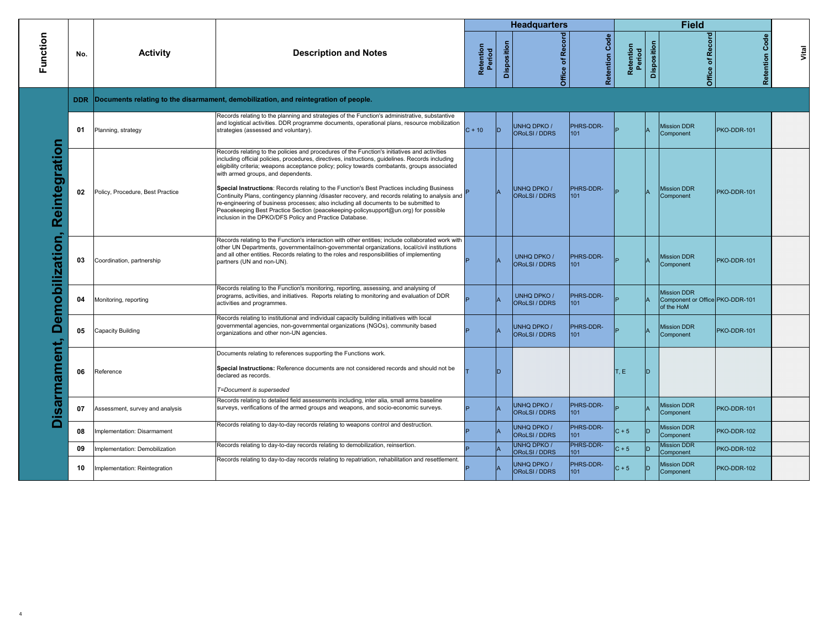|                 |     |                                  |                                                                                                                                                                                                                                                                                                                                                                                                                                       |                     |             | <b>Headquarters</b>                 |                   |                     |             | <b>Field</b>                                                        |                       |       |
|-----------------|-----|----------------------------------|---------------------------------------------------------------------------------------------------------------------------------------------------------------------------------------------------------------------------------------------------------------------------------------------------------------------------------------------------------------------------------------------------------------------------------------|---------------------|-------------|-------------------------------------|-------------------|---------------------|-------------|---------------------------------------------------------------------|-----------------------|-------|
| Function        | No. | <b>Activity</b>                  | <b>Description and Notes</b>                                                                                                                                                                                                                                                                                                                                                                                                          | Retention<br>Period | Disposition | <b>Office of Record</b>             | Code<br>Retention | Retention<br>Period | Disposition | Office of Record                                                    | <b>Retention Code</b> | Vital |
|                 |     |                                  | DDR Documents relating to the disarmament, demobilization, and reintegration of people.                                                                                                                                                                                                                                                                                                                                               |                     |             |                                     |                   |                     |             |                                                                     |                       |       |
|                 | 01  | Planning, strategy               | Records relating to the planning and strategies of the Function's administrative, substantive<br>and logistical activities. DDR programme documents, operational plans, resource mobilization<br>strategies (assessed and voluntary).                                                                                                                                                                                                 | $C + 10$            | ID.         | <b>UNHQ DPKO /</b><br>ORoLSI / DDRS | PHRS-DDR-<br>101  |                     |             | <b>Mission DDR</b><br>Component                                     | PKO-DDR-101           |       |
| Reintegration   | 02  | Policy, Procedure, Best Practice | Records relating to the policies and procedures of the Function's initiatives and activities<br>including official policies, procedures, directives, instructions, guidelines. Records including<br>eligibility criteria; weapons acceptance policy; policy towards combatants, groups associated<br>with armed groups, and dependents.<br>Special Instructions: Records relating to the Function's Best Practices including Business |                     |             | <b>UNHQ DPKO /</b>                  | PHRS-DDR-         |                     |             | <b>Mission DDR</b>                                                  | PKO-DDR-101           |       |
| Demobilization, |     |                                  | Continuity Plans, contingency planning /disaster recovery, and records relating to analysis and<br>re-engineering of business processes; also including all documents to be submitted to<br>Peacekeeping Best Practice Section (peacekeeping-policysupport@un.org) for possible<br>inclusion in the DPKO/DFS Policy and Practice Database.                                                                                            |                     |             | <b>ORoLSI/DDRS</b>                  | 101               |                     |             | Component                                                           |                       |       |
|                 | 03  | Coordination, partnership        | Records relating to the Function's interaction with other entities; include collaborated work with<br>other UN Departments, governmental/non-governmental organizations, local/civil institutions<br>and all other entities. Records relating to the roles and responsibilities of implementing<br>partners (UN and non-UN).                                                                                                          |                     |             | <b>UNHQ DPKO /</b><br>ORoLSI / DDRS | PHRS-DDR-<br>101  |                     |             | <b>Mission DDR</b><br>Component                                     | PKO-DDR-101           |       |
|                 | 04  | Monitoring, reporting            | Records relating to the Function's monitoring, reporting, assessing, and analysing of<br>programs, activities, and initiatives. Reports relating to monitoring and evaluation of DDR<br>activities and programmes.                                                                                                                                                                                                                    |                     |             | <b>UNHQ DPKO /</b><br>ORoLSI / DDRS | PHRS-DDR-<br>101  |                     |             | <b>Mission DDR</b><br>Component or Office PKO-DDR-101<br>of the HoM |                       |       |
|                 | 05  | Capacity Building                | Records relating to institutional and individual capacity building initiatives with local<br>governmental agencies, non-governmental organizations (NGOs), community based<br>organizations and other non-UN agencies.                                                                                                                                                                                                                |                     |             | <b>UNHQ DPKO /</b><br>ORoLSI / DDRS | PHRS-DDR-<br>101  |                     |             | <b>Mission DDR</b><br>Component                                     | PKO-DDR-101           |       |
| isarmament,     | 06  | Reference                        | Documents relating to references supporting the Functions work.<br>Special Instructions: Reference documents are not considered records and should not be<br>declared as records.<br>T=Document is superseded                                                                                                                                                                                                                         |                     | ID.         |                                     |                   | T, E                | D           |                                                                     |                       |       |
|                 | 07  | Assessment, survey and analysis  | Records relating to detailed field assessments including, inter alia, small arms baseline<br>surveys, verifications of the armed groups and weapons, and socio-economic surveys.                                                                                                                                                                                                                                                      |                     |             | UNHQ DPKO /<br>ORoLSI / DDRS        | PHRS-DDR-<br>101  |                     |             | <b>Mission DDR</b><br>Component                                     | PKO-DDR-101           |       |
| ∩               | 08  | Implementation: Disarmament      | Records relating to day-to-day records relating to weapons control and destruction.                                                                                                                                                                                                                                                                                                                                                   |                     |             | UNHQ DPKO /<br><b>OROLSI</b> / DDRS | PHRS-DDR-<br>101  | $ C + 5 $           | D           | <b>Mission DDR</b><br>Component                                     | PKO-DDR-102           |       |
|                 | 09  | mplementation: Demobilization    | Records relating to day-to-day records relating to demobilization, reinsertion.                                                                                                                                                                                                                                                                                                                                                       |                     |             | <b>UNHQ DPKO /</b><br>ORoLSI / DDRS | PHRS-DDR-<br>101  | $C + 5$             |             | <b>Mission DDR</b><br>Component                                     | PKO-DDR-102           |       |
|                 | 10  | Implementation: Reintegration    | Records relating to day-to-day records relating to repatriation, rehabilitation and resettlement.                                                                                                                                                                                                                                                                                                                                     |                     |             | <b>UNHQ DPKO/</b><br>ORoLSI / DDRS  | PHRS-DDR-<br>101  | $ C + 5 $           | D           | <b>Mission DDR</b><br>Component                                     | PKO-DDR-102           |       |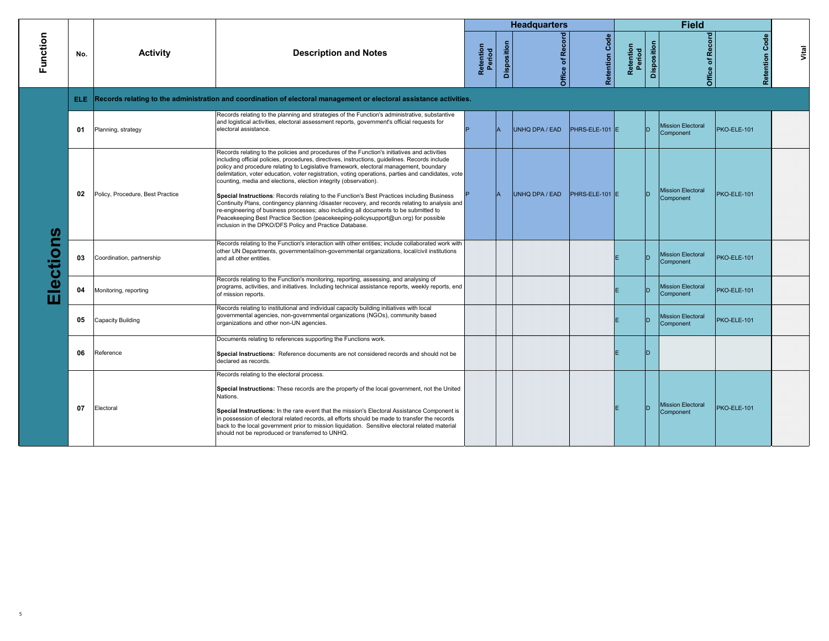|              |     |                                  |                                                                                                                                                                                                                                                                                                                                                                                                                                                                                                                                                                                                                                                                                                                                                                                                                                                                                                                |                     |             | <b>Headquarters</b>     |                       |                     |             | <b>Field</b>                          |                       |       |
|--------------|-----|----------------------------------|----------------------------------------------------------------------------------------------------------------------------------------------------------------------------------------------------------------------------------------------------------------------------------------------------------------------------------------------------------------------------------------------------------------------------------------------------------------------------------------------------------------------------------------------------------------------------------------------------------------------------------------------------------------------------------------------------------------------------------------------------------------------------------------------------------------------------------------------------------------------------------------------------------------|---------------------|-------------|-------------------------|-----------------------|---------------------|-------------|---------------------------------------|-----------------------|-------|
| Function     | No. | <b>Activity</b>                  | <b>Description and Notes</b>                                                                                                                                                                                                                                                                                                                                                                                                                                                                                                                                                                                                                                                                                                                                                                                                                                                                                   | Retention<br>Period | Disposition | <b>Office of Record</b> | <b>Retention Code</b> | Retention<br>Period | Disposition | Office of Record                      | <b>Retention Code</b> | Vital |
|              |     |                                  | ELE Records relating to the administration and coordination of electoral management or electoral assistance activities.                                                                                                                                                                                                                                                                                                                                                                                                                                                                                                                                                                                                                                                                                                                                                                                        |                     |             |                         |                       |                     |             |                                       |                       |       |
|              | 01  | Planning, strategy               | Records relating to the planning and strategies of the Function's administrative, substantive<br>and logistical activities, electoral assessment reports, government's official requests for<br>electoral assistance.                                                                                                                                                                                                                                                                                                                                                                                                                                                                                                                                                                                                                                                                                          |                     |             | UNHQ DPA / EAD          | PHRS-ELE-101 E        |                     |             | <b>Mission Electoral</b><br>Component | PKO-ELE-101           |       |
| U)<br>ection | 02  | Policy, Procedure, Best Practice | Records relating to the policies and procedures of the Function's initiatives and activities<br>including official policies, procedures, directives, instructions, guidelines. Records include<br>policy and procedure relating to Legislative framework, electoral management, boundary<br>delimitation, voter education, voter registration, voting operations, parties and candidates, vote<br>counting, media and elections, election integrity (observation).<br>Special Instructions: Records relating to the Function's Best Practices including Business<br>Continuity Plans, contingency planning /disaster recovery, and records relating to analysis and<br>re-engineering of business processes; also including all documents to be submitted to<br>Peacekeeping Best Practice Section (peacekeeping-policysupport@un.org) for possible<br>inclusion in the DPKO/DFS Policy and Practice Database. |                     |             | UNHQ DPA / EAD          | PHRS-ELE-101 E        |                     |             | <b>Mission Electoral</b><br>Component | PKO-ELE-101           |       |
|              | 03  | Coordination, partnership        | Records relating to the Function's interaction with other entities; include collaborated work with<br>other UN Departments, governmental/non-governmental organizations, local/civil institutions<br>and all other entities.                                                                                                                                                                                                                                                                                                                                                                                                                                                                                                                                                                                                                                                                                   |                     |             |                         |                       |                     |             | <b>Mission Electoral</b><br>Component | PKO-ELE-101           |       |
| ш            | 04  | Monitoring, reporting            | Records relating to the Function's monitoring, reporting, assessing, and analysing of<br>programs, activities, and initiatives. Including technical assistance reports, weekly reports, end<br>of mission reports.                                                                                                                                                                                                                                                                                                                                                                                                                                                                                                                                                                                                                                                                                             |                     |             |                         |                       |                     | חו          | <b>Mission Electoral</b><br>Component | PKO-ELE-101           |       |
|              | 05  | Capacity Building                | Records relating to institutional and individual capacity building initiatives with local<br>governmental agencies, non-governmental organizations (NGOs), community based<br>organizations and other non-UN agencies.                                                                                                                                                                                                                                                                                                                                                                                                                                                                                                                                                                                                                                                                                         |                     |             |                         |                       |                     |             | <b>Mission Electoral</b><br>Component | PKO-ELE-101           |       |
|              | 06  | Reference                        | Documents relating to references supporting the Functions work.<br>Special Instructions: Reference documents are not considered records and should not be<br>declared as records.                                                                                                                                                                                                                                                                                                                                                                                                                                                                                                                                                                                                                                                                                                                              |                     |             |                         |                       |                     |             |                                       |                       |       |
|              | 07  | Electoral                        | Records relating to the electoral process.<br>Special Instructions: These records are the property of the local government, not the United<br>Nations.<br>Special Instructions: In the rare event that the mission's Electoral Assistance Component is<br>in possession of electoral related records, all efforts should be made to transfer the records<br>back to the local government prior to mission liquidation. Sensitive electoral related material<br>should not be reproduced or transferred to UNHQ.                                                                                                                                                                                                                                                                                                                                                                                                |                     |             |                         |                       |                     |             | <b>Mission Electoral</b><br>Component | PKO-ELE-101           |       |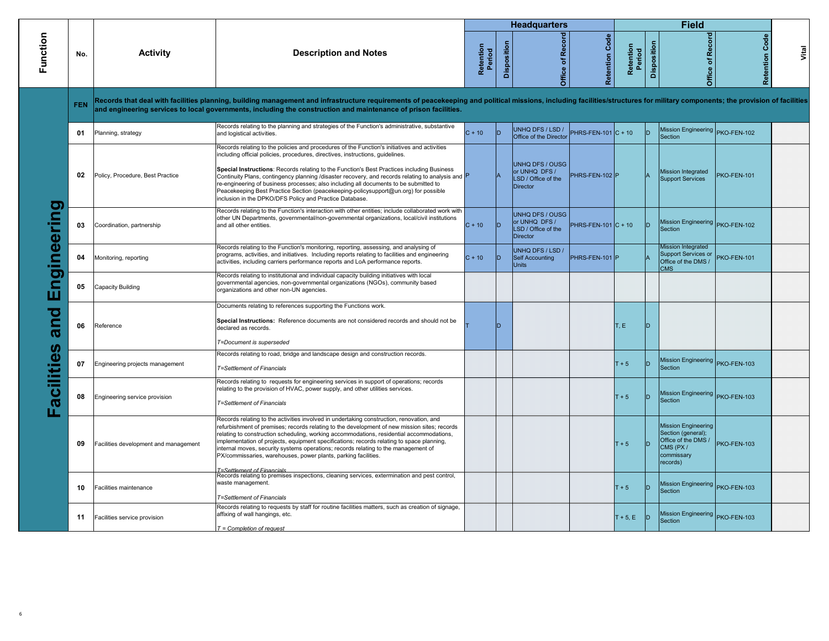|             |            |                                       |                                                                                                                                                                                                                                                                                                                                                                                                                                                                                                                                                                                                                              |                     |             | <b>Headquarters</b>                                                        |                       |                     |             | <b>Field</b>                                                                                                   |                       |       |
|-------------|------------|---------------------------------------|------------------------------------------------------------------------------------------------------------------------------------------------------------------------------------------------------------------------------------------------------------------------------------------------------------------------------------------------------------------------------------------------------------------------------------------------------------------------------------------------------------------------------------------------------------------------------------------------------------------------------|---------------------|-------------|----------------------------------------------------------------------------|-----------------------|---------------------|-------------|----------------------------------------------------------------------------------------------------------------|-----------------------|-------|
| Function    | No.        | <b>Activity</b>                       | <b>Description and Notes</b>                                                                                                                                                                                                                                                                                                                                                                                                                                                                                                                                                                                                 | Retention<br>Period | Disposition | Office of Record                                                           | <b>Retention Code</b> | Retention<br>Period | Disposition | Office of Record                                                                                               | <b>Retention Code</b> | Vital |
|             | <b>FEN</b> |                                       | Records that deal with facilities planning, building management and infrastructure requirements of peacekeeping and political missions, including facilities/structures for military components; the provision of facilities<br>and engineering services to local governments, including the construction and maintenance of prison facilities.                                                                                                                                                                                                                                                                              |                     |             |                                                                            |                       |                     |             |                                                                                                                |                       |       |
|             | 01         | Planning, strategy                    | Records relating to the planning and strategies of the Function's administrative, substantive<br>and logistical activities.                                                                                                                                                                                                                                                                                                                                                                                                                                                                                                  | $C + 10$            | ID          | UNHQ DFS / LSD /<br>Office of the Director                                 | PHRS-FEN-101 C + 10   |                     | ID          | Mission Engineering PKO-FEN-102<br>Section                                                                     |                       |       |
|             | 02         | Policy, Procedure, Best Practice      | Records relating to the policies and procedures of the Function's initiatives and activities<br>including official policies, procedures, directives, instructions, guidelines.<br>Special Instructions: Records relating to the Function's Best Practices including Business<br>Continuity Plans, contingency planning /disaster recovery, and records relating to analysis and P<br>re-engineering of business processes; also including all documents to be submitted to<br>Peacekeeping Best Practice Section (peacekeeping-policysupport@un.org) for possible<br>inclusion in the DPKO/DFS Policy and Practice Database. |                     |             | <b>UNHQ DFS / OUSG</b><br>or UNHQ DFS /<br>LSD / Office of the<br>Director | PHRS-FEN-102 P        |                     |             | <b>Mission Integrated</b><br>Support Services                                                                  | PKO-FEN-101           |       |
| Engineering | 03         | Coordination, partnership             | Records relating to the Function's interaction with other entities; include collaborated work with<br>other UN Departments, governmental/non-governmental organizations, local/civil institutions<br>and all other entities.                                                                                                                                                                                                                                                                                                                                                                                                 | $C + 10$            | In          | <b>UNHQ DFS / OUSG</b><br>or UNHQ DFS /<br>LSD / Office of the<br>Director | PHRS-FEN-101 $C + 10$ |                     | ID          | Mission Engineering PKO-FEN-102<br>Section                                                                     |                       |       |
|             | 04         | Monitoring, reporting                 | Records relating to the Function's monitoring, reporting, assessing, and analysing of<br>programs, activities, and initiatives. Including reports relating to facilities and engineering<br>activities, including carriers performance reports and LoA performance reports.                                                                                                                                                                                                                                                                                                                                                  | $C + 10$            | ID.         | UNHQ DFS / LSD /<br><b>Self Accounting</b><br><b>Units</b>                 | PHRS-FEN-101 P        |                     |             | Mission Integrated<br>Support Services or<br>Office of the DMS /<br><b>CMS</b>                                 | PKO-FEN-101           |       |
|             | 05         | Capacity Building                     | Records relating to institutional and individual capacity building initiatives with local<br>governmental agencies, non-governmental organizations (NGOs), community based<br>organizations and other non-UN agencies.                                                                                                                                                                                                                                                                                                                                                                                                       |                     |             |                                                                            |                       |                     |             |                                                                                                                |                       |       |
| and         | 06         | Reference                             | Documents relating to references supporting the Functions work.<br>Special Instructions: Reference documents are not considered records and should not be<br>declared as records.<br>T=Document is superseded                                                                                                                                                                                                                                                                                                                                                                                                                |                     |             |                                                                            |                       | T, E                |             |                                                                                                                |                       |       |
| acilities   | 07         | Engineering projects management       | Records relating to road, bridge and landscape design and construction records.<br><b>T=Settlement of Financials</b>                                                                                                                                                                                                                                                                                                                                                                                                                                                                                                         |                     |             |                                                                            |                       | $T + 5$             |             | Mission Engineering PKO-FEN-103<br>Section                                                                     |                       |       |
| H.          | 08         | Engineering service provision         | Records relating to requests for engineering services in support of operations; records<br>relating to the provision of HVAC, power supply, and other utilities services.<br>T=Settlement of Financials                                                                                                                                                                                                                                                                                                                                                                                                                      |                     |             |                                                                            |                       | $T + 5$             | ID          | Mission Engineering PKO-FEN-103<br>Section                                                                     |                       |       |
|             | 09         | Facilities development and management | Records relating to the activities involved in undertaking construction, renovation, and<br>refurbishment of premises; records relating to the development of new mission sites; records<br>relating to construction scheduling, working accommodations, residential accommodations,<br>implementation of projects, equipment specifications; records relating to space planning,<br>internal moves, security systems operations; records relating to the management of<br>PX/commissaries, warehouses, power plants, parking facilities.<br>T=Settlement of Financials                                                      |                     |             |                                                                            |                       | $T + 5$             | D.          | <b>Mission Engineering</b><br>Section (general);<br>Office of the DMS /<br>CMS (PX /<br>commissary<br>records) | PKO-FEN-103           |       |
|             | 10         | Facilities maintenance                | Records relating to premises inspections, cleaning services, extermination and pest control,<br>waste management.<br><b>T=Settlement of Financials</b>                                                                                                                                                                                                                                                                                                                                                                                                                                                                       |                     |             |                                                                            |                       | $T + 5$             |             | Mission Engineering PKO-FEN-103<br>Section                                                                     |                       |       |
|             | 11         | Facilities service provision          | Records relating to requests by staff for routine facilities matters, such as creation of signage,<br>affixing of wall hangings, etc.<br>$T =$ Completion of request                                                                                                                                                                                                                                                                                                                                                                                                                                                         |                     |             |                                                                            |                       | $T + 5, E$          | ID          | Mission Engineering PKO-FEN-103<br>Section                                                                     |                       |       |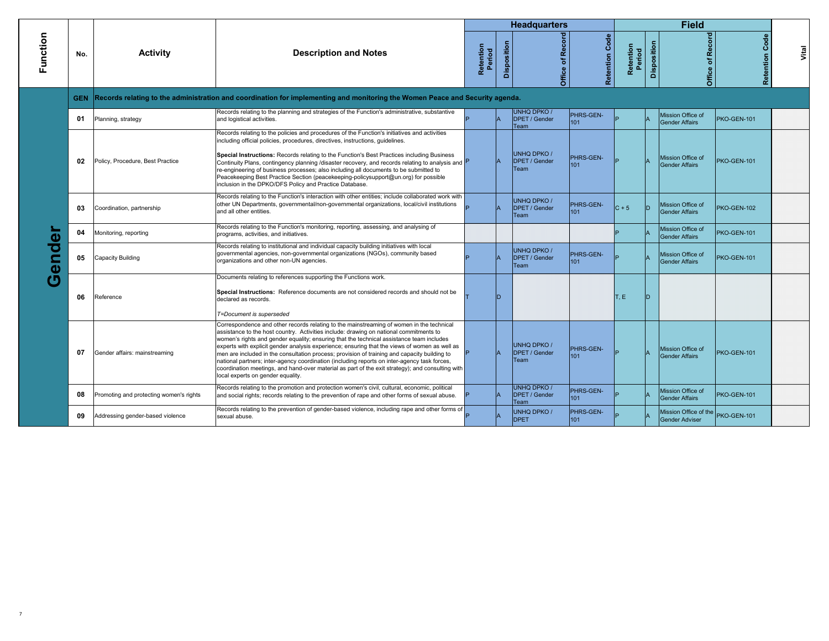|                        |            |                                         |                                                                                                                                                                                                                                                                                                                                                                                                                                                                                                                                                                                                                                                                                                                          |                     |             | <b>Headquarters</b>                                |                   |                     |             | <b>Field</b>                                               |                   |       |
|------------------------|------------|-----------------------------------------|--------------------------------------------------------------------------------------------------------------------------------------------------------------------------------------------------------------------------------------------------------------------------------------------------------------------------------------------------------------------------------------------------------------------------------------------------------------------------------------------------------------------------------------------------------------------------------------------------------------------------------------------------------------------------------------------------------------------------|---------------------|-------------|----------------------------------------------------|-------------------|---------------------|-------------|------------------------------------------------------------|-------------------|-------|
| Function               | No.        | <b>Activity</b>                         | <b>Description and Notes</b>                                                                                                                                                                                                                                                                                                                                                                                                                                                                                                                                                                                                                                                                                             | Retention<br>Period | Disposition | Office of Record                                   | Code<br>Retention | Retention<br>Period | Disposition | Office of Record                                           | Code<br>Retention | Vital |
|                        | <b>GEN</b> |                                         | Records relating to the administration and coordination for implementing and monitoring the Women Peace and Security agenda.                                                                                                                                                                                                                                                                                                                                                                                                                                                                                                                                                                                             |                     |             |                                                    |                   |                     |             |                                                            |                   |       |
|                        | 01         | Planning, strategy                      | Records relating to the planning and strategies of the Function's administrative, substantive<br>and logistical activities.                                                                                                                                                                                                                                                                                                                                                                                                                                                                                                                                                                                              |                     |             | <b>UNHQ DPKO/</b><br><b>DPET / Gender</b><br>Team  | PHRS-GEN-<br>101  |                     |             | Mission Office of<br><b>Gender Affairs</b>                 | PKO-GEN-101       |       |
|                        | 02         | Policy, Procedure, Best Practice        | Records relating to the policies and procedures of the Function's initiatives and activities<br>including official policies, procedures, directives, instructions, quidelines.<br>Special Instructions: Records relating to the Function's Best Practices including Business<br>Continuity Plans, contingency planning /disaster recovery, and records relating to analysis and P<br>re-engineering of business processes; also including all documents to be submitted to<br>Peacekeeping Best Practice Section (peacekeeping-policysupport@un.org) for possible<br>inclusion in the DPKO/DFS Policy and Practice Database.                                                                                             |                     |             | <b>UNHO DPKO /</b><br><b>DPET / Gender</b><br>Team | PHRS-GEN-<br>101  |                     |             | Mission Office of<br><b>Gender Affairs</b>                 | PKO-GEN-101       |       |
| o<br>ਠ<br>$\mathbf{d}$ | 03         | Coordination, partnership               | Records relating to the Function's interaction with other entities; include collaborated work with<br>other UN Departments, governmental/non-governmental organizations, local/civil institutions<br>and all other entities.                                                                                                                                                                                                                                                                                                                                                                                                                                                                                             |                     |             | <b>UNHQ DPKO /</b><br><b>DPET / Gender</b><br>Team | PHRS-GEN-<br>101  | $ C + 5 $           | D           | Mission Office of<br><b>Gender Affairs</b>                 | PKO-GEN-102       |       |
|                        | 04         | Monitoring, reporting                   | Records relating to the Function's monitoring, reporting, assessing, and analysing of<br>programs, activities, and initiatives.                                                                                                                                                                                                                                                                                                                                                                                                                                                                                                                                                                                          |                     |             |                                                    |                   |                     |             | Mission Office of<br><b>Gender Affairs</b>                 | PKO-GEN-101       |       |
|                        | 05         | Capacity Building                       | Records relating to institutional and individual capacity building initiatives with local<br>governmental agencies, non-governmental organizations (NGOs), community based<br>organizations and other non-UN agencies.                                                                                                                                                                                                                                                                                                                                                                                                                                                                                                   |                     |             | <b>UNHQ DPKO/</b><br><b>DPET / Gender</b><br>Team  | PHRS-GEN-<br>101  |                     |             | Mission Office of<br><b>Gender Affairs</b>                 | PKO-GEN-101       |       |
|                        | 06         | Reference                               | Documents relating to references supporting the Functions work.<br>Special Instructions: Reference documents are not considered records and should not be<br>declared as records.<br>T=Document is superseded                                                                                                                                                                                                                                                                                                                                                                                                                                                                                                            |                     | חו          |                                                    |                   | T, E                | D           |                                                            |                   |       |
|                        | 07         | Gender affairs: mainstreaming           | Correspondence and other records relating to the mainstreaming of women in the technical<br>assistance to the host country. Activities include: drawing on national commitments to<br>women's rights and gender equality; ensuring that the technical assistance team includes<br>experts with explicit gender analysis experience; ensuring that the views of women as well as<br>men are included in the consultation process; provision of training and capacity building to<br>national partners; inter-agency coordination (including reports on inter-agency task forces,<br>coordination meetings, and hand-over material as part of the exit strategy); and consulting with<br>local experts on gender equality. |                     |             | <b>UNHO DPKO /</b><br><b>DPET / Gender</b><br>Team | PHRS-GEN-<br>101  |                     |             | Mission Office of<br><b>Gender Affairs</b>                 | PKO-GEN-101       |       |
|                        | 08         | Promoting and protecting women's rights | Records relating to the promotion and protection women's civil, cultural, economic, political<br>and social rights; records relating to the prevention of rape and other forms of sexual abuse.                                                                                                                                                                                                                                                                                                                                                                                                                                                                                                                          |                     |             | <b>UNHQ DPKO/</b><br><b>DPET / Gender</b><br>Team  | PHRS-GEN-<br>101  |                     |             | Mission Office of<br><b>Gender Affairs</b>                 | PKO-GEN-101       |       |
|                        | 09         | Addressing gender-based violence        | Records relating to the prevention of gender-based violence, including rape and other forms of<br>sexual abuse.                                                                                                                                                                                                                                                                                                                                                                                                                                                                                                                                                                                                          |                     |             | UNHQ DPKO /<br><b>DPET</b>                         | PHRS-GEN-<br>101  |                     |             | Mission Office of the PKO-GEN-101<br><b>Gender Adviser</b> |                   |       |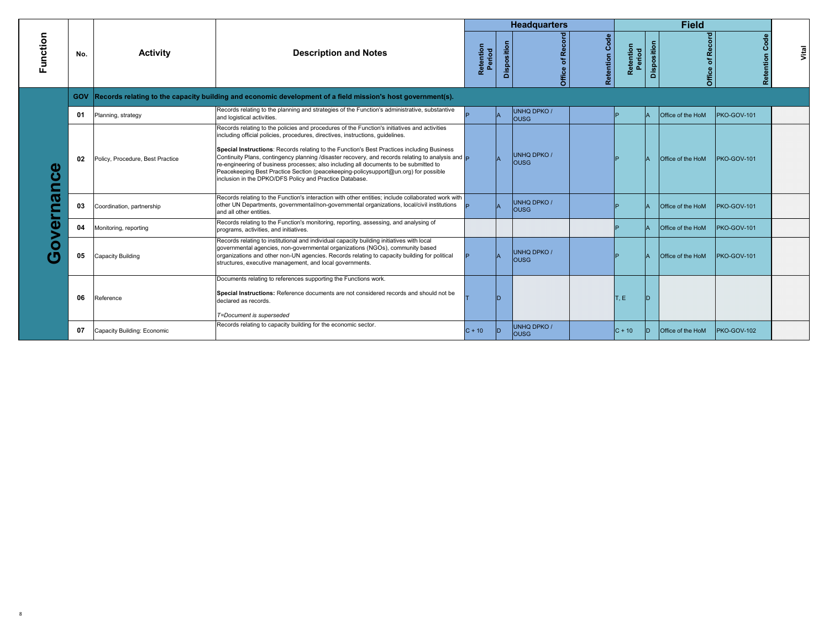|                  |            |                                  |                                                                                                                                                                                                                                                                                                                                                                                                                                                                                                                                                                                                                                                 |                     |             | <b>Headquarters</b>          |                   |                     |             | <b>Field</b>             |                   |       |
|------------------|------------|----------------------------------|-------------------------------------------------------------------------------------------------------------------------------------------------------------------------------------------------------------------------------------------------------------------------------------------------------------------------------------------------------------------------------------------------------------------------------------------------------------------------------------------------------------------------------------------------------------------------------------------------------------------------------------------------|---------------------|-------------|------------------------------|-------------------|---------------------|-------------|--------------------------|-------------------|-------|
| Function         | No.        | <b>Activity</b>                  | <b>Description and Notes</b>                                                                                                                                                                                                                                                                                                                                                                                                                                                                                                                                                                                                                    | Retention<br>Period | Disposition | of Reco<br>Office            | Code<br>Retention | Retention<br>Period | Disposition | Office of Record         | Code<br>Retention | Vital |
|                  | <b>GOV</b> |                                  | Records relating to the capacity building and economic development of a field mission's host government(s).                                                                                                                                                                                                                                                                                                                                                                                                                                                                                                                                     |                     |             |                              |                   |                     |             |                          |                   |       |
|                  | 01         | Planning, strategy               | Records relating to the planning and strategies of the Function's administrative, substantive<br>and logistical activities.                                                                                                                                                                                                                                                                                                                                                                                                                                                                                                                     |                     |             | UNHQ DPKO /<br>lousg         |                   |                     |             | Office of the HoM        | PKO-GOV-101       |       |
| Œ<br>ပ<br>Г<br>Ю | 02         | Policy, Procedure, Best Practice | Records relating to the policies and procedures of the Function's initiatives and activities<br>including official policies, procedures, directives, instructions, quidelines.<br>Special Instructions: Records relating to the Function's Best Practices including Business<br>Continuity Plans, contingency planning /disaster recovery, and records relating to analysis and $\vert_{\mathsf{P}}$<br>re-engineering of business processes; also including all documents to be submitted to<br>Peacekeeping Best Practice Section (peacekeeping-policysupport@un.org) for possible<br>inclusion in the DPKO/DFS Policy and Practice Database. |                     |             | <b>UNHQ DPKO /</b><br>lousg. |                   |                     |             | Office of the HoM        | PKO-GOV-101       |       |
|                  | 03         | Coordination, partnership        | Records relating to the Function's interaction with other entities; include collaborated work with<br>other UN Departments, governmental/non-governmental organizations, local/civil institutions<br>and all other entities.                                                                                                                                                                                                                                                                                                                                                                                                                    |                     |             | <b>UNHQ DPKO /</b><br>lousg  |                   |                     |             | <b>Office of the HoM</b> | PKO-GOV-101       |       |
| a                | 04         | Monitoring, reporting            | Records relating to the Function's monitoring, reporting, assessing, and analysing of<br>programs, activities, and initiatives.                                                                                                                                                                                                                                                                                                                                                                                                                                                                                                                 |                     |             |                              |                   |                     |             | <b>Office of the HoM</b> | PKO-GOV-101       |       |
| O                | 05         | Capacity Building                | Records relating to institutional and individual capacity building initiatives with local<br>governmental agencies, non-governmental organizations (NGOs), community based<br>organizations and other non-UN agencies. Records relating to capacity building for political<br>structures, executive management, and local governments.                                                                                                                                                                                                                                                                                                          |                     |             | <b>UNHQ DPKO/</b><br>lousg   |                   |                     |             | <b>Office of the HoM</b> | PKO-GOV-101       |       |
|                  | 06         | Reference                        | Documents relating to references supporting the Functions work.<br>Special Instructions: Reference documents are not considered records and should not be<br>declared as records.<br>T=Document is superseded                                                                                                                                                                                                                                                                                                                                                                                                                                   |                     | D.          |                              |                   | T, E                |             |                          |                   |       |
|                  | 07         | Capacity Building: Economic      | Records relating to capacity building for the economic sector.                                                                                                                                                                                                                                                                                                                                                                                                                                                                                                                                                                                  | $C + 10$            | D           | <b>UNHQ DPKO /</b><br>lousg  |                   | $C + 10$            |             | Office of the HoM        | PKO-GOV-102       |       |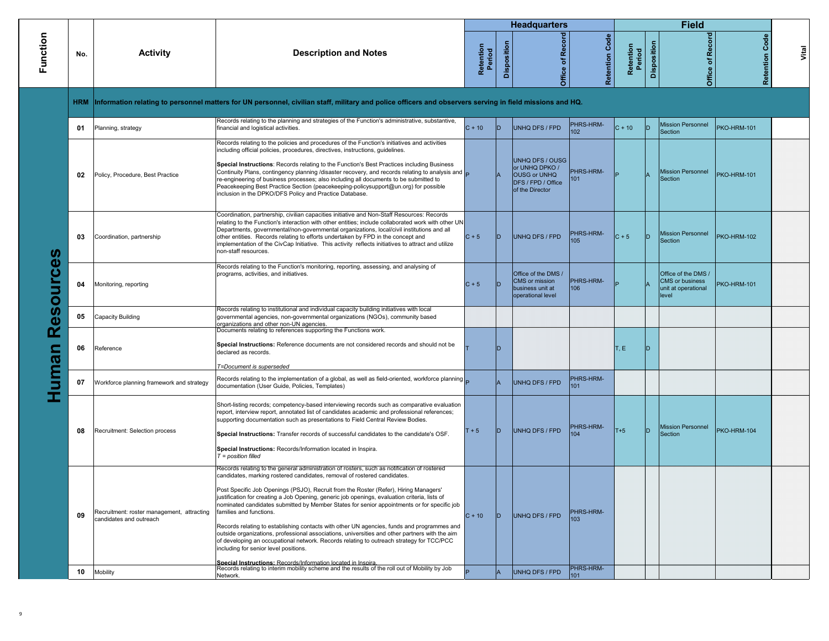|                 |            |                                                                       |                                                                                                                                                                                                                                                                                                                                                                                                                                                                                                                                                                                                                                                                                                                                                                                                                                                                                                  |                     |             | <b>Headquarters</b>                                                                               |                   |                     |                | <b>Field</b>                                                                  |                       |       |
|-----------------|------------|-----------------------------------------------------------------------|--------------------------------------------------------------------------------------------------------------------------------------------------------------------------------------------------------------------------------------------------------------------------------------------------------------------------------------------------------------------------------------------------------------------------------------------------------------------------------------------------------------------------------------------------------------------------------------------------------------------------------------------------------------------------------------------------------------------------------------------------------------------------------------------------------------------------------------------------------------------------------------------------|---------------------|-------------|---------------------------------------------------------------------------------------------------|-------------------|---------------------|----------------|-------------------------------------------------------------------------------|-----------------------|-------|
| Function        | No.        | <b>Activity</b>                                                       | <b>Description and Notes</b>                                                                                                                                                                                                                                                                                                                                                                                                                                                                                                                                                                                                                                                                                                                                                                                                                                                                     | Retention<br>Period | Disposition | Office of Record                                                                                  | Code<br>Retention | Retention<br>Period | Disposition    | Office of Record                                                              | <b>Retention Code</b> | Vital |
|                 | <b>HRM</b> |                                                                       | Information relating to personnel matters for UN personnel, civilian staff, military and police officers and observers serving in field missions and HQ.                                                                                                                                                                                                                                                                                                                                                                                                                                                                                                                                                                                                                                                                                                                                         |                     |             |                                                                                                   |                   |                     |                |                                                                               |                       |       |
|                 | 01         | Planning, strategy                                                    | Records relating to the planning and strategies of the Function's administrative, substantive,<br>financial and logistical activities.                                                                                                                                                                                                                                                                                                                                                                                                                                                                                                                                                                                                                                                                                                                                                           | $C + 10$            | ID.         | UNHQ DFS / FPD                                                                                    | PHRS-HRM-<br>102  | $C + 10$            | ID             | <b>Mission Personnel</b><br>Section                                           | <b>PKO-HRM-101</b>    |       |
|                 | 02         | Policy, Procedure, Best Practice                                      | Records relating to the policies and procedures of the Function's initiatives and activities<br>including official policies, procedures, directives, instructions, guidelines.<br>Special Instructions: Records relating to the Function's Best Practices including Business<br>Continuity Plans, contingency planning /disaster recovery, and records relating to analysis and D<br>re-engineering of business processes; also including all documents to be submitted to<br>Peacekeeping Best Practice Section (peacekeeping-policysupport@un.org) for possible<br>inclusion in the DPKO/DFS Policy and Practice Database.                                                                                                                                                                                                                                                                     |                     |             | UNHQ DFS / OUSG<br>or UNHQ DPKO /<br><b>OUSG or UNHQ</b><br>DFS / FPD / Office<br>of the Director | PHRS-HRM-<br>101  |                     | $\overline{A}$ | <b>Mission Personnel</b><br>Section                                           | <b>PKO-HRM-101</b>    |       |
| ഗ               | 03         | Coordination, partnership                                             | Coordination, partnership, civilian capacities initiative and Non-Staff Resources: Records<br>relating to the Function's interaction with other entities; include collaborated work with other UN<br>Departments, governmental/non-governmental organizations, local/civil institutions and all<br>other entities. Records relating to efforts undertaken by FPD in the concept and<br>implementation of the CivCap Initiative. This activity reflects initiatives to attract and utilize<br>non-staff resources.                                                                                                                                                                                                                                                                                                                                                                                | $C + 5$             | ID          | UNHQ DFS / FPD                                                                                    | PHRS-HRM-<br>105  | $C + 5$             | ID             | <b>Mission Personnel</b><br>Section                                           | PKO-HRM-102           |       |
| <b>BSOULCG®</b> | 04         | Monitoring, reporting                                                 | Records relating to the Function's monitoring, reporting, assessing, and analysing of<br>programs, activities, and initiatives.                                                                                                                                                                                                                                                                                                                                                                                                                                                                                                                                                                                                                                                                                                                                                                  | $C + 5$             | ID          | Office of the DMS /<br>CMS or mission<br>business unit at<br>operational level                    | PHRS-HRM-<br>106  |                     |                | Office of the DMS /<br><b>CMS</b> or business<br>unit at operational<br>level | <b>PKO-HRM-101</b>    |       |
|                 | 05         | Capacity Building                                                     | Records relating to institutional and individual capacity building initiatives with local<br>governmental agencies, non-governmental organizations (NGOs), community based<br>organizations and other non-UN agencies.                                                                                                                                                                                                                                                                                                                                                                                                                                                                                                                                                                                                                                                                           |                     |             |                                                                                                   |                   |                     |                |                                                                               |                       |       |
| uman            | 06         | Reference                                                             | Documents relating to references supporting the Functions work.<br>Special Instructions: Reference documents are not considered records and should not be<br>declared as records.<br>T=Document is superseded                                                                                                                                                                                                                                                                                                                                                                                                                                                                                                                                                                                                                                                                                    |                     |             |                                                                                                   |                   | T, E                | ID             |                                                                               |                       |       |
|                 | 07         | Workforce planning framework and strategy                             | Records relating to the implementation of a global, as well as field-oriented, workforce planning<br>documentation (User Guide, Policies, Templates)                                                                                                                                                                                                                                                                                                                                                                                                                                                                                                                                                                                                                                                                                                                                             |                     |             | UNHQ DFS / FPD                                                                                    | PHRS-HRM-<br>101  |                     |                |                                                                               |                       |       |
|                 | 08         | Recruitment: Selection process                                        | Short-listing records; competency-based interviewing records such as comparative evaluation<br>report, interview report, annotated list of candidates academic and professional references;<br>supporting documentation such as presentations to Field Central Review Bodies.<br>Special Instructions: Transfer records of successful candidates to the candidate's OSF.<br>Special Instructions: Records/Information located in Inspira.<br>$T = position$ filled                                                                                                                                                                                                                                                                                                                                                                                                                               | $T + 5$             | ID          | UNHQ DFS / FPD                                                                                    | PHRS-HRM-<br>104  | $T+5$               | ID             | Mission Personnel<br>Section                                                  | PKO-HRM-104           |       |
|                 | 09         | Recruitment: roster management, attracting<br>candidates and outreach | Records relating to the general administration of rosters, such as notification of rostered<br>candidates, marking rostered candidates, removal of rostered candidates.<br>Post Specific Job Openings (PSJO), Recruit from the Roster (Refer), Hiring Managers'<br>justification for creating a Job Opening, generic job openings, evaluation criteria, lists of<br>nominated candidates submitted by Member States for senior appointments or for specific job<br>families and functions.<br>Records relating to establishing contacts with other UN agencies, funds and programmes and<br>outside organizations, professional associations, universities and other partners with the aim<br>of developing an occupational network. Records relating to outreach strategy for TCC/PCC<br>including for senior level positions.<br>Special Instructions: Records/Information located in Inspira. | $C + 10$            | חו          | UNHQ DFS / FPD                                                                                    | PHRS-HRM-<br>103  |                     |                |                                                                               |                       |       |
|                 | 10         | <b>Mobility</b>                                                       | Records relating to interim mobility scheme and the results of the roll out of Mobility by Job<br>Network.                                                                                                                                                                                                                                                                                                                                                                                                                                                                                                                                                                                                                                                                                                                                                                                       |                     |             | UNHQ DFS / FPD                                                                                    | PHRS-HRM-<br>101  |                     |                |                                                                               |                       |       |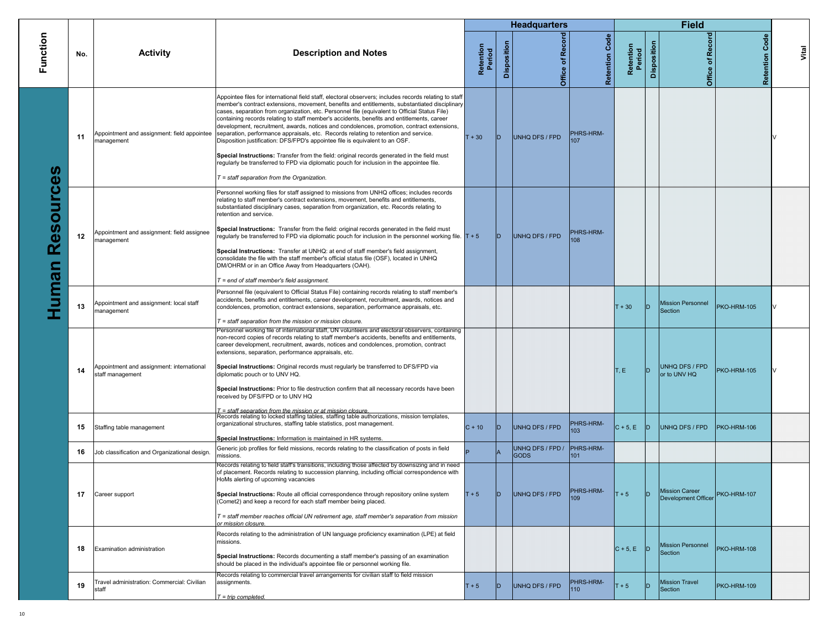|          |     |                                                               |                                                                                                                                                                                                                                                                                                                                                                                                                                                                                                                                                                                                                                                                                                                                                                                                                                                                                                                                                                        |                     |             | <b>Headquarters</b>             |                   |                     |             | <b>Field</b>                          |                   |       |
|----------|-----|---------------------------------------------------------------|------------------------------------------------------------------------------------------------------------------------------------------------------------------------------------------------------------------------------------------------------------------------------------------------------------------------------------------------------------------------------------------------------------------------------------------------------------------------------------------------------------------------------------------------------------------------------------------------------------------------------------------------------------------------------------------------------------------------------------------------------------------------------------------------------------------------------------------------------------------------------------------------------------------------------------------------------------------------|---------------------|-------------|---------------------------------|-------------------|---------------------|-------------|---------------------------------------|-------------------|-------|
| Function | No. | <b>Activity</b>                                               | <b>Description and Notes</b>                                                                                                                                                                                                                                                                                                                                                                                                                                                                                                                                                                                                                                                                                                                                                                                                                                                                                                                                           | Retention<br>Period | Disposition | Record<br>Office of             | Code<br>Retention | Retention<br>Period | Disposition | Office of Record                      | Code<br>Retention | Vital |
| m.       | 11  | management                                                    | Appointee files for international field staff, electoral observers; includes records relating to staff<br>member's contract extensions, movement, benefits and entitlements, substantiated disciplinary<br>cases, separation from organization, etc. Personnel file (equivalent to Official Status File)<br>containing records relating to staff member's accidents, benefits and entitlements, career<br>development, recruitment, awards, notices and condolences, promotion, contract extensions,<br>Appointment and assignment: field appointee   separation, performance appraisals, etc. Records relating to retention and service.<br>Disposition justification: DFS/FPD's appointee file is equivalent to an OSF.<br>Special Instructions: Transfer from the field: original records generated in the field must<br>regularly be transferred to FPD via diplomatic pouch for inclusion in the appointee file.<br>$T =$ staff separation from the Organization. | $T + 30$            | ID.         | UNHQ DFS / FPD                  | PHRS-HRM-<br>107  |                     |             |                                       |                   |       |
| Resource | 12  | Appointment and assignment: field assignee<br>management      | Personnel working files for staff assigned to missions from UNHQ offices; includes records<br>relating to staff member's contract extensions, movement, benefits and entitlements,<br>substantiated disciplinary cases, separation from organization, etc. Records relating to<br>retention and service.<br>Special Instructions: Transfer from the field: original records generated in the field must<br>regularly be transferred to FPD via diplomatic pouch for inclusion in the personnel working file. $T + 5$<br>Special Instructions: Transfer at UNHQ: at end of staff member's field assignment,<br>consolidate the file with the staff member's official status file (OSF), located in UNHQ<br>DM/OHRM or in an Office Away from Headquarters (OAH).<br>$T = end$ of staff member's field assignment.                                                                                                                                                       |                     | ID.         | UNHQ DFS / FPD                  | PHRS-HRM-<br>108  |                     |             |                                       |                   |       |
| uman     | 13  | Appointment and assignment: local staff<br>management         | Personnel file (equivalent to Official Status File) containing records relating to staff member's<br>accidents, benefits and entitlements, career development, recruitment, awards, notices and<br>condolences, promotion, contract extensions, separation, performance appraisals, etc.<br>$T =$ staff separation from the mission or mission closure.                                                                                                                                                                                                                                                                                                                                                                                                                                                                                                                                                                                                                |                     |             |                                 |                   | $T + 30$            | ID          | <b>Mission Personnel</b><br>Section   | PKO-HRM-105       |       |
|          | 14  | Appointment and assignment: international<br>staff management | Personnel working file of international staff, UN volunteers and electoral observers, containing<br>non-record copies of records relating to staff member's accidents, benefits and entitlements,<br>career development, recruitment, awards, notices and condolences, promotion, contract<br>extensions, separation, performance appraisals, etc.<br>Special Instructions: Original records must regularly be transferred to DFS/FPD via<br>diplomatic pouch or to UNV HQ.<br>Special Instructions: Prior to file destruction confirm that all necessary records have been<br>received by DFS/FPD or to UNV HQ<br>$T =$ staff separation from the mission or at mission closure.                                                                                                                                                                                                                                                                                      |                     |             |                                 |                   | T, E                | ID.         | UNHQ DFS / FPD<br>or to UNV HQ        | PKO-HRM-105       |       |
|          | 15  | Staffing table management                                     | Records relating to locked staffing tables, staffing table authorizations, mission templates,<br>organizational structures, staffing table statistics, post management.<br>Special Instructions: Information is maintained in HR systems.                                                                                                                                                                                                                                                                                                                                                                                                                                                                                                                                                                                                                                                                                                                              | $C + 10$            | ID.         | UNHQ DFS / FPD                  | PHRS-HRM-<br>103  | $ C + 5, E $        | D           | UNHQ DFS / FPD                        | PKO-HRM-106       |       |
|          | 16  | Job classification and Organizational design                  | Generic job profiles for field missions, records relating to the classification of posts in field<br>missions.                                                                                                                                                                                                                                                                                                                                                                                                                                                                                                                                                                                                                                                                                                                                                                                                                                                         |                     |             | UNHQ DFS / FPD /<br><b>GODS</b> | PHRS-HRM-<br>101  |                     |             |                                       |                   |       |
|          | 17  | Career support                                                | Records relating to field staff's transitions, including those affected by downsizing and in need<br>of placement. Records relating to succession planning, including official correspondence with<br>HoMs alerting of upcoming vacancies<br>Special Instructions: Route all official correspondence through repository online system<br>(Comet2) and keep a record for each staff member being placed.<br>$T =$ staff member reaches official UN retirement age, staff member's separation from mission<br>or mission closure.                                                                                                                                                                                                                                                                                                                                                                                                                                        | $T + 5$             | ID.         | UNHQ DFS / FPD                  | -HRS-HRM-<br>109  | $T + 5$             | ID          | Mission Career<br>Development Officer | PKO-HRM-107       |       |
|          | 18  | Examination administration                                    | Records relating to the administration of UN language proficiency examination (LPE) at field<br>missions.<br>Special Instructions: Records documenting a staff member's passing of an examination<br>should be placed in the individual's appointee file or personnel working file.                                                                                                                                                                                                                                                                                                                                                                                                                                                                                                                                                                                                                                                                                    |                     |             |                                 |                   | $C + 5$ , E D       |             | <b>Mission Personnel</b><br>Section   | PKO-HRM-108       |       |
|          | 19  | Fravel administration: Commercial: Civilian<br>staff          | Records relating to commercial travel arrangements for civilian staff to field mission<br>assignments.<br>$T = trip completed.$                                                                                                                                                                                                                                                                                                                                                                                                                                                                                                                                                                                                                                                                                                                                                                                                                                        | $T + 5$             | D           | UNHQ DFS / FPD                  | PHRS-HRM-<br>110  | $T + 5$             | ID          | <b>Mission Travel</b><br>Section      | PKO-HRM-109       |       |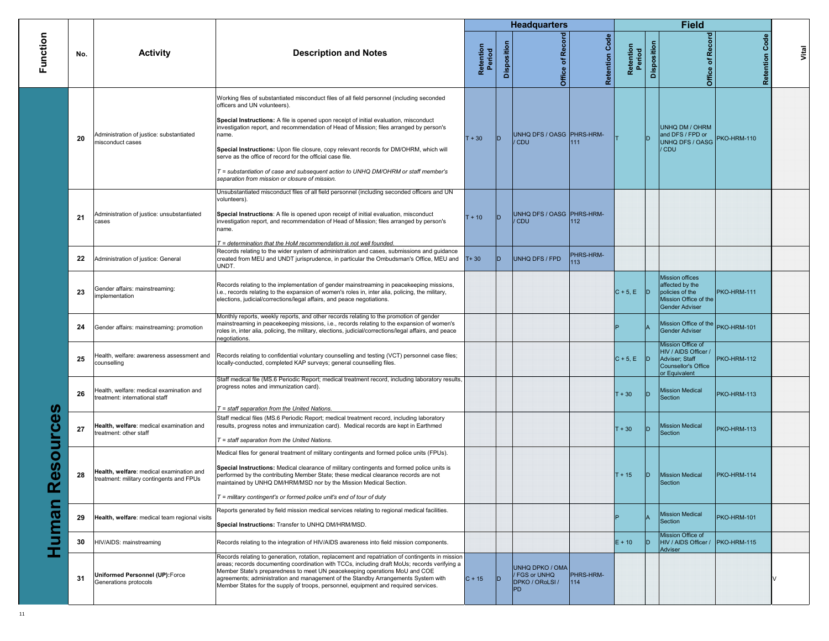|                   |          |                                                                                           |                                                                                                                                                                                                                                                                                                                                                                                                                                                                                                                                                                                                                        |                     |             | <b>Headquarters</b>                                       |                            |                     |             | <b>Field</b>                                                                                                   |                       |       |
|-------------------|----------|-------------------------------------------------------------------------------------------|------------------------------------------------------------------------------------------------------------------------------------------------------------------------------------------------------------------------------------------------------------------------------------------------------------------------------------------------------------------------------------------------------------------------------------------------------------------------------------------------------------------------------------------------------------------------------------------------------------------------|---------------------|-------------|-----------------------------------------------------------|----------------------------|---------------------|-------------|----------------------------------------------------------------------------------------------------------------|-----------------------|-------|
| Function          | No.      | <b>Activity</b>                                                                           | <b>Description and Notes</b>                                                                                                                                                                                                                                                                                                                                                                                                                                                                                                                                                                                           | Retention<br>Period | Disposition | Office of Record                                          | <b>Retention Code</b>      | Retention<br>Period | Disposition | <b>Office of Record</b>                                                                                        | <b>Retention Code</b> | Vital |
|                   | 20       | Administration of justice: substantiated<br>misconduct cases                              | Working files of substantiated misconduct files of all field personnel (including seconded<br>officers and UN volunteers).<br>Special Instructions: A file is opened upon receipt of initial evaluation, misconduct<br>investigation report, and recommendation of Head of Mission; files arranged by person's<br>name.<br>Special Instructions: Upon file closure, copy relevant records for DM/OHRM, which will<br>serve as the office of record for the official case file.<br>T = substantiation of case and subsequent action to UNHQ DM/OHRM or staff member's<br>separation from mission or closure of mission. | $T + 30$            | D           | UNHQ DFS / OASG PHRS-HRM-<br>/ CDU                        | 111                        |                     |             | <b>UNHQ DM / OHRM</b><br>and DFS / FPD or<br>UNHQ DFS / OASG<br><b>CDU</b>                                     | PKO-HRM-110           |       |
|                   | 21<br>22 | Administration of justice: unsubstantiated<br>cases<br>Administration of justice: General | Unsubstantiated misconduct files of all field personnel (including seconded officers and UN<br>volunteers).<br>Special Instructions: A file is opened upon receipt of initial evaluation, misconduct<br>investigation report, and recommendation of Head of Mission; files arranged by person's<br>name.<br>T = determination that the HoM recommendation is not well founded.<br>Records relating to the wider system of administration and cases, submissions and guidance<br>created from MEU and UNDT jurisprudence, in particular the Ombudsman's Office, MEU and                                                 | $T + 10$<br>$T+30$  | ID.<br>ID.  | UNHQ DFS / OASG PHRS-HRM-<br>/ CDU<br>UNHQ DFS / FPD      | 112<br>PHRS-HRM-<br>113    |                     |             |                                                                                                                |                       |       |
|                   | 23       | Gender affairs: mainstreaming:<br>mplementation                                           | UNDT.<br>Records relating to the implementation of gender mainstreaming in peacekeeping missions,<br>i.e., records relating to the expansion of women's roles in, inter alia, policing, the military,<br>elections, judicial/corrections/legal affairs, and peace negotiations.                                                                                                                                                                                                                                                                                                                                        |                     |             |                                                           |                            | $C + 5$ , E D       |             | <b>Mission offices</b><br>affected by the<br>policies of the<br>Mission Office of the<br><b>Gender Adviser</b> | PKO-HRM-111           |       |
|                   | 24       | Gender affairs: mainstreaming: promotion                                                  | Monthly reports, weekly reports, and other records relating to the promotion of gender<br>mainstreaming in peacekeeping missions, i.e., records relating to the expansion of women's<br>roles in, inter alia, policing, the military, elections, judicial/corrections/legal affairs, and peace<br>negotiations.                                                                                                                                                                                                                                                                                                        |                     |             |                                                           |                            |                     |             | Mission Office of the PKO-HRM-101<br><b>Gender Adviser</b>                                                     |                       |       |
|                   | 25       | -lealth, welfare: awareness assessment and<br>counselling                                 | Records relating to confidential voluntary counselling and testing (VCT) personnel case files;<br>locally-conducted, completed KAP surveys; general counselling files.                                                                                                                                                                                                                                                                                                                                                                                                                                                 |                     |             |                                                           |                            | $C + 5$ , E D       |             | Mission Office of<br>HIV / AIDS Officer /<br>Adviser; Staff<br><b>Counsellor's Office</b><br>or Equivalent     | PKO-HRM-112           |       |
| m                 | 26       | Health, welfare: medical examination and<br>treatment: international staff                | Staff medical file (MS.6 Periodic Report; medical treatment record, including laboratory results,<br>progress notes and immunization card).<br>$T =$ staff separation from the United Nations.                                                                                                                                                                                                                                                                                                                                                                                                                         |                     |             |                                                           |                            | $T + 30$            |             | <b>Mission Medical</b><br>Section                                                                              | PKO-HRM-113           |       |
| Φ<br>ŭ            | 27       | Health, welfare: medical examination and<br>treatment: other staff                        | Staff medical files (MS.6 Periodic Report; medical treatment record, including laboratory<br>results, progress notes and immunization card). Medical records are kept in Earthmed<br>$T =$ staff separation from the United Nations.                                                                                                                                                                                                                                                                                                                                                                                   |                     |             |                                                           |                            | $T + 30$            | ID          | <b>Mission Medical</b><br>Section                                                                              | PKO-HRM-113           |       |
| 3<br>U)<br>Φ<br>ட | 28       | Health, welfare: medical examination and<br>treatment: military contingents and FPUs      | Medical files for general treatment of military contingents and formed police units (FPUs).<br>Special Instructions: Medical clearance of military contingents and formed police units is<br>performed by the contributing Member State; these medical clearance records are not<br>maintained by UNHQ DM/HRM/MSD nor by the Mission Medical Section.<br>$T =$ military contingent's or formed police unit's end of tour of duty                                                                                                                                                                                       |                     |             |                                                           |                            | $T + 15$            | D.          | <b>Mission Medical</b><br>Section                                                                              | PKO-HRM-114           |       |
| <b>Huma</b>       | 29       | Health, welfare: medical team regional visits                                             | Reports generated by field mission medical services relating to regional medical facilities.<br>Special Instructions: Transfer to UNHQ DM/HRM/MSD.                                                                                                                                                                                                                                                                                                                                                                                                                                                                     |                     |             |                                                           |                            |                     |             | <b>Mission Medical</b><br><b>Section</b>                                                                       | PKO-HRM-101           |       |
|                   | 30       | HIV/AIDS: mainstreaming                                                                   | Records relating to the integration of HIV/AIDS awareness into field mission components.                                                                                                                                                                                                                                                                                                                                                                                                                                                                                                                               |                     |             |                                                           |                            | $E + 10$            | ID.         | Mission Office of<br>HIV / AIDS Officer / PKO-HRM-115                                                          |                       |       |
|                   | 31       | Uniformed Personnel (UP): Force<br>Generations protocols                                  | Records relating to generation, rotation, replacement and repatriation of contingents in mission<br>areas; records documenting coordination with TCCs, including draft MoUs; records verifying a<br>Member State's preparedness to meet UN peacekeeping operations MoU and COE<br>agreements; administration and management of the Standby Arrangements System with<br>Member States for the supply of troops, personnel, equipment and required services.                                                                                                                                                             | $C + 15$            | ID.         | UNHQ DPKO / OMA<br>/ FGS or UNHQ<br>DPKO / ORoLSI /<br>PD | PHRS-HRM-<br>$ 114\rangle$ |                     |             | Adviser                                                                                                        |                       |       |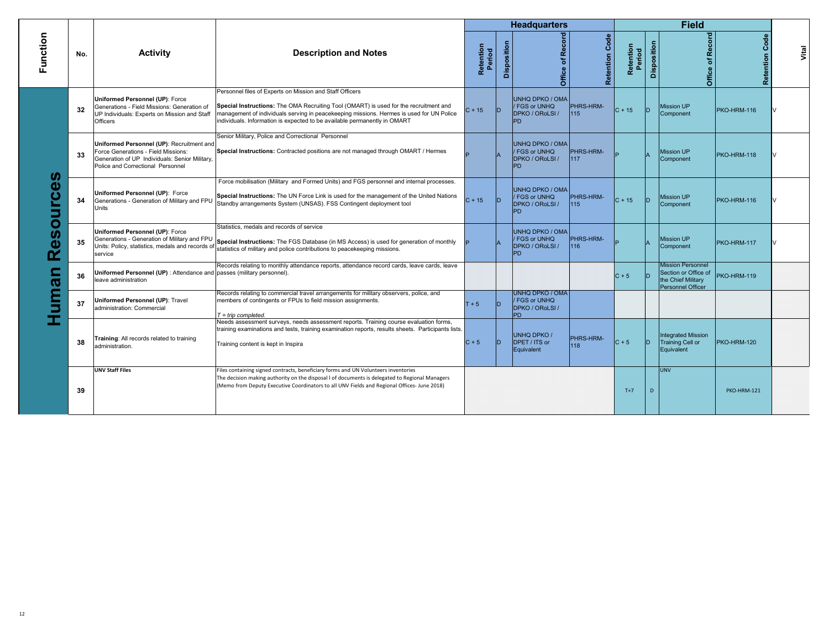|                  |     |                                                                                                                                                                         |                                                                                                                                                                                                                                                                                                                            |                     |             | <b>Headquarters</b>                                                          |                         |                     |             | <b>Field</b>                                                                                       |                   |       |
|------------------|-----|-------------------------------------------------------------------------------------------------------------------------------------------------------------------------|----------------------------------------------------------------------------------------------------------------------------------------------------------------------------------------------------------------------------------------------------------------------------------------------------------------------------|---------------------|-------------|------------------------------------------------------------------------------|-------------------------|---------------------|-------------|----------------------------------------------------------------------------------------------------|-------------------|-------|
| Function         | No. | <b>Activity</b>                                                                                                                                                         | <b>Description and Notes</b>                                                                                                                                                                                                                                                                                               | Retention<br>Period | Disposition | Office of Record                                                             | Code<br>Retention       | Retention<br>Period | Disposition | Office of Record                                                                                   | Code<br>Retention | Vital |
|                  | 32  | <b>Uniformed Personnel (UP): Force</b><br>Generations - Field Missions: Generation of<br>UP Individuals: Experts on Mission and Staff<br>Officers                       | Personnel files of Experts on Mission and Staff Officers<br>Special Instructions: The OMA Recruiting Tool (OMART) is used for the recruitment and<br>management of individuals serving in peacekeeping missions. Hermes is used for UN Police<br>individuals. Information is expected to be available permanently in OMART | $C + 15$            | ID          | UNHQ DPKO / OMA<br>FGS or UNHQ<br>DPKO / ORoLSI /<br><b>PD</b>               | <b>PHRS-HRM-</b><br>115 | $C + 15$            | ID          | <b>Mission UP</b><br>Component                                                                     | PKO-HRM-116       |       |
| ഗ<br>O<br>5<br>O | 33  | Uniformed Personnel (UP): Recruitment and<br>Force Generations - Field Missions:<br>Generation of UP Individuals: Senior Military,<br>Police and Correctional Personnel | Senior Military, Police and Correctional Personnel<br>Special Instructions: Contracted positions are not managed through OMART / Hermes                                                                                                                                                                                    |                     |             | UNHQ DPKO / OMA<br><b>FGS or UNHQ</b><br>DPKO / ORoLSI /<br>PD.              | PHRS-HRM-<br>117        |                     |             | <b>Mission UP</b><br>Component                                                                     | PKO-HRM-118       |       |
|                  | 34  | Uniformed Personnel (UP): Force<br>Generations - Generation of Military and FPU<br>Units                                                                                | Force mobilisation (Military and Formed Units) and FGS personnel and internal processes.<br>Special Instructions: The UN Force Link is used for the management of the United Nations<br>Standby arrangements System (UNSAS). FSS Contingent deployment tool                                                                | $C + 15$            | ID          | <b>UNHQ DPKO / OMA</b><br>FGS or UNHQ<br>DPKO / ORoLSI /<br><b>PD</b>        | <b>PHRS-HRM-</b><br>115 | $C + 15$            | ID.         | <b>Mission UP</b><br>Component                                                                     | PKO-HRM-116       |       |
|                  | 35  | Uniformed Personnel (UP): Force<br>Generations - Generation of Military and FPU<br>Units: Policy, statistics, medals and records of<br>service                          | Statistics, medals and records of service<br>Special Instructions: The FGS Database (in MS Access) is used for generation of monthly<br>statistics of military and police contributions to peacekeeping missions.                                                                                                          |                     |             | UNHQ DPKO / OMA<br>FGS or UNHQ<br>DPKO / ORoLSI /<br>PD.                     | <b>PHRS-HRM-</b><br>116 |                     |             | <b>Mission UP</b><br>Component                                                                     | PKO-HRM-117       |       |
| ത                | 36  | Uniformed Personnel (UP) : Attendance and passes (military personnel).<br>leave administration                                                                          | Records relating to monthly attendance reports, attendance record cards, leave cards, leave                                                                                                                                                                                                                                |                     |             |                                                                              |                         | $C + 5$             | In          | <b>Mission Personnel</b><br>Section or Office of<br>the Chief Military<br><b>Personnel Officer</b> | PKO-HRM-119       |       |
| с<br>e           | 37  | Uniformed Personnel (UP): Travel<br>administration: Commercial                                                                                                          | Records relating to commercial travel arrangements for military observers, police, and<br>members of contingents or FPUs to field mission assignments.<br>$T = \text{trip}$ completed.                                                                                                                                     | $T + 5$             |             | <b>UNHQ DPKO / OMA</b><br>FGS or UNHQ<br><b>DPKO / ORoLSI /</b><br><b>PD</b> |                         |                     |             |                                                                                                    |                   |       |
|                  | 38  | Training: All records related to training<br>administration.                                                                                                            | Needs assessment surveys, needs assessment reports. Training course evaluation forms,<br>training examinations and tests, training examination reports, results sheets. Participants lists.<br>Training content is kept in Inspira                                                                                         | $C + 5$             |             | UNHQ DPKO /<br>DPET / ITS or<br>Equivalent                                   | PHRS-HRM-<br>118        | $C + 5$             | ln          | <b>Integrated Mission</b><br><b>Training Cell or</b><br>Equivalent                                 | PKO-HRM-120       |       |
|                  | 39  | <b>UNV Staff Files</b>                                                                                                                                                  | Files containing signed contracts, beneficiary forms and UN Volunteers inventories<br>The decision making authority on the disposal I of documents is delegated to Regional Managers<br>(Memo from Deputy Executive Coordinators to all UNV Fields and Regional Offices-June 2018)                                         |                     |             |                                                                              |                         | $T+7$               | D           | <b>UNV</b>                                                                                         | PKO-HRM-121       |       |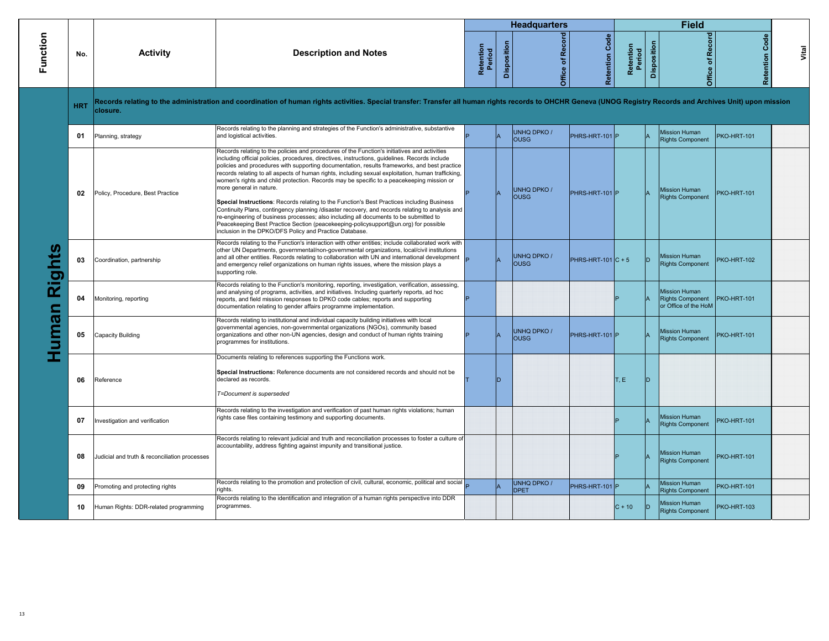|          |            |                                               |                                                                                                                                                                                                                                                                                                                                                                                                                                                                                                                                                                                                                                                                                                                                                                                                                                                                                                                                                                          |                     |             | <b>Headquarters</b>               |                       |                     |             | <b>Field</b>                                                            |                       |       |
|----------|------------|-----------------------------------------------|--------------------------------------------------------------------------------------------------------------------------------------------------------------------------------------------------------------------------------------------------------------------------------------------------------------------------------------------------------------------------------------------------------------------------------------------------------------------------------------------------------------------------------------------------------------------------------------------------------------------------------------------------------------------------------------------------------------------------------------------------------------------------------------------------------------------------------------------------------------------------------------------------------------------------------------------------------------------------|---------------------|-------------|-----------------------------------|-----------------------|---------------------|-------------|-------------------------------------------------------------------------|-----------------------|-------|
| Function | No.        | <b>Activity</b>                               | <b>Description and Notes</b>                                                                                                                                                                                                                                                                                                                                                                                                                                                                                                                                                                                                                                                                                                                                                                                                                                                                                                                                             | Retention<br>Period | Disposition | Office of Recor                   | <b>Retention Code</b> | Retention<br>Period | Disposition | Recor<br>đ<br>Office                                                    | <b>Retention Code</b> | Vital |
|          | <b>HRT</b> | closure.                                      | Records relating to the administration and coordination of human rights activities. Special transfer: Transfer all human rights records to OHCHR Geneva (UNOG Registry Records and Archives Unit) upon mission                                                                                                                                                                                                                                                                                                                                                                                                                                                                                                                                                                                                                                                                                                                                                           |                     |             |                                   |                       |                     |             |                                                                         |                       |       |
|          | 01         | Planning, strategy                            | Records relating to the planning and strategies of the Function's administrative, substantive<br>and logistical activities.                                                                                                                                                                                                                                                                                                                                                                                                                                                                                                                                                                                                                                                                                                                                                                                                                                              |                     |             | <b>UNHQ DPKO /</b><br><b>OUSG</b> | PHRS-HRT-101 P        |                     |             | <b>Mission Human</b><br><b>Rights Component</b>                         | PKO-HRT-101           |       |
|          | 02         | Policy, Procedure, Best Practice              | Records relating to the policies and procedures of the Function's initiatives and activities<br>including official policies, procedures, directives, instructions, quidelines. Records include<br>policies and procedures with supporting documentation, results frameworks, and best practice<br>records relating to all aspects of human rights, including sexual exploitation, human trafficking,<br>women's rights and child protection. Records may be specific to a peacekeeping mission or<br>more general in nature.<br>Special Instructions: Records relating to the Function's Best Practices including Business<br>Continuity Plans, contingency planning /disaster recovery, and records relating to analysis and<br>re-engineering of business processes; also including all documents to be submitted to<br>Peacekeeping Best Practice Section (peacekeeping-policysupport@un.org) for possible<br>inclusion in the DPKO/DFS Policy and Practice Database. |                     |             | <b>UNHQ DPKO/</b><br><b>OUSG</b>  | PHRS-HRT-101 P        |                     |             | <b>Mission Human</b><br><b>Rights Component</b>                         | PKO-HRT-101           |       |
| Rights   | 03         | Coordination, partnership                     | Records relating to the Function's interaction with other entities; include collaborated work with<br>other UN Departments, governmental/non-governmental organizations, local/civil institutions<br>and all other entities. Records relating to collaboration with UN and international development<br>and emergency relief organizations on human rights issues, where the mission plays a<br>supporting role.                                                                                                                                                                                                                                                                                                                                                                                                                                                                                                                                                         |                     |             | <b>UNHQ DPKO/</b><br><b>OUSG</b>  | $PHRS-HRT-101 C+5$    |                     | D           | <b>Mission Human</b><br><b>Rights Component</b>                         | PKO-HRT-102           |       |
|          | 04         | Monitoring, reporting                         | Records relating to the Function's monitoring, reporting, investigation, verification, assessing,<br>and analysing of programs, activities, and initiatives. Including quarterly reports, ad hoc<br>reports, and field mission responses to DPKO code cables; reports and supporting<br>documentation relating to gender affairs programme implementation.                                                                                                                                                                                                                                                                                                                                                                                                                                                                                                                                                                                                               |                     |             |                                   |                       |                     |             | <b>Mission Human</b><br><b>Rights Component</b><br>or Office of the HoM | PKO-HRT-101           |       |
| uman     | 05         | <b>Capacity Building</b>                      | Records relating to institutional and individual capacity building initiatives with local<br>governmental agencies, non-governmental organizations (NGOs), community based<br>organizations and other non-UN agencies, design and conduct of human rights training<br>programmes for institutions.                                                                                                                                                                                                                                                                                                                                                                                                                                                                                                                                                                                                                                                                       |                     |             | <b>UNHQ DPKO /</b><br><b>OUSG</b> | PHRS-HRT-101 P        |                     |             | <b>Mission Human</b><br><b>Rights Component</b>                         | <b>PKO-HRT-101</b>    |       |
|          | 06         | Reference                                     | Documents relating to references supporting the Functions work.<br>Special Instructions: Reference documents are not considered records and should not be<br>declared as records.<br>T=Document is superseded                                                                                                                                                                                                                                                                                                                                                                                                                                                                                                                                                                                                                                                                                                                                                            |                     |             |                                   |                       | T, E                |             |                                                                         |                       |       |
|          | 07         | Investigation and verification                | Records relating to the investigation and verification of past human rights violations; human<br>rights case files containing testimony and supporting documents.                                                                                                                                                                                                                                                                                                                                                                                                                                                                                                                                                                                                                                                                                                                                                                                                        |                     |             |                                   |                       |                     |             | <b>Mission Human</b><br><b>Rights Component</b>                         | PKO-HRT-101           |       |
|          | 08         | Judicial and truth & reconciliation processes | Records relating to relevant judicial and truth and reconciliation processes to foster a culture of<br>accountability, address fighting against impunity and transitional justice.                                                                                                                                                                                                                                                                                                                                                                                                                                                                                                                                                                                                                                                                                                                                                                                       |                     |             |                                   |                       |                     |             | <b>Mission Human</b><br><b>Rights Component</b>                         | PKO-HRT-101           |       |
|          | 09         | Promoting and protecting rights               | Records relating to the promotion and protection of civil, cultural, economic, political and social<br>rights.                                                                                                                                                                                                                                                                                                                                                                                                                                                                                                                                                                                                                                                                                                                                                                                                                                                           |                     |             | <b>UNHQ DPKO /</b><br><b>DPET</b> | PHRS-HRT-101 P        |                     |             | <b>Mission Human</b><br><b>Rights Component</b>                         | <b>PKO-HRT-101</b>    |       |
|          | 10         | Human Rights: DDR-related programming         | Records relating to the identification and integration of a human rights perspective into DDR<br>programmes.                                                                                                                                                                                                                                                                                                                                                                                                                                                                                                                                                                                                                                                                                                                                                                                                                                                             |                     |             |                                   |                       | $C + 10$            | D           | Mission Human<br><b>Rights Component</b>                                | PKO-HRT-103           |       |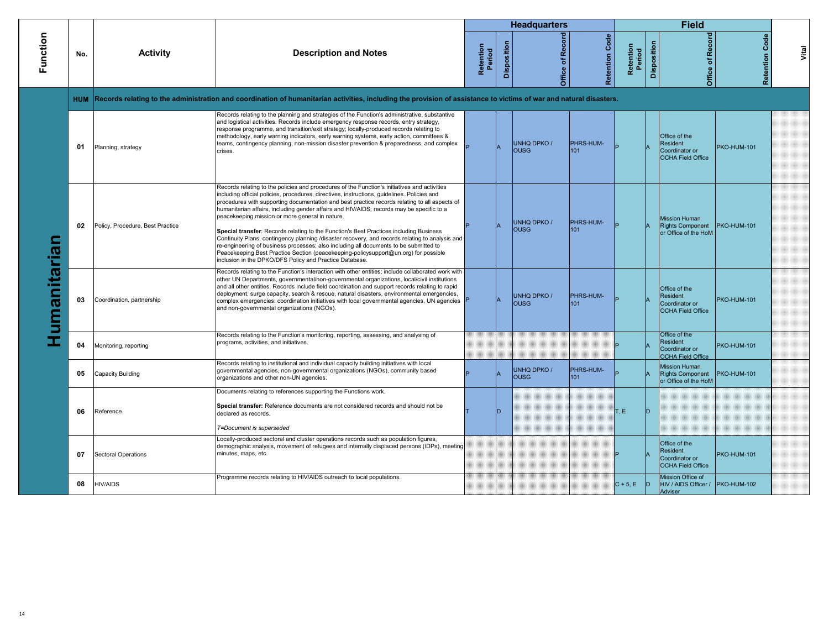|             |            |                                  |                                                                                                                                                                                                                                                                                                                                                                                                                                                                                                                                                                                                                                                                                                                                                                                                                                                                                      |                     |              | <b>Headquarters</b>               |                       |                     |             | <b>Field</b>                                                            |                       |       |
|-------------|------------|----------------------------------|--------------------------------------------------------------------------------------------------------------------------------------------------------------------------------------------------------------------------------------------------------------------------------------------------------------------------------------------------------------------------------------------------------------------------------------------------------------------------------------------------------------------------------------------------------------------------------------------------------------------------------------------------------------------------------------------------------------------------------------------------------------------------------------------------------------------------------------------------------------------------------------|---------------------|--------------|-----------------------------------|-----------------------|---------------------|-------------|-------------------------------------------------------------------------|-----------------------|-------|
| Function    | No.        | <b>Activity</b>                  | <b>Description and Notes</b>                                                                                                                                                                                                                                                                                                                                                                                                                                                                                                                                                                                                                                                                                                                                                                                                                                                         | Retention<br>Period | Disposition  | Office of Record                  | <b>Retention Code</b> | Retention<br>Period | Disposition | Office of Record                                                        | <b>Retention Code</b> | Vital |
|             | <b>HUM</b> |                                  | Records relating to the administration and coordination of humanitarian activities, including the provision of assistance to victims of war and natural disasters.                                                                                                                                                                                                                                                                                                                                                                                                                                                                                                                                                                                                                                                                                                                   |                     |              |                                   |                       |                     |             |                                                                         |                       |       |
|             | 01         | Planning, strategy               | Records relating to the planning and strategies of the Function's administrative, substantive<br>and logistical activities. Records include emergency response records, entry strategy,<br>response programme, and transition/exit strategy; locally-produced records relating to<br>methodology, early warning indicators, early warning systems, early action, committees &<br>teams, contingency planning, non-mission disaster prevention & preparedness, and complex<br>crises.                                                                                                                                                                                                                                                                                                                                                                                                 |                     |              | <b>UNHQ DPKO/</b><br><b>OUSG</b>  | PHRS-HUM-<br>101      |                     |             | Office of the<br>Resident<br>Coordinator or<br><b>OCHA Field Office</b> | PKO-HUM-101           |       |
| umanitarian | 02         | Policy, Procedure, Best Practice | Records relating to the policies and procedures of the Function's initiatives and activities<br>including official policies, procedures, directives, instructions, guidelines. Policies and<br>procedures with supporting documentation and best practice records relating to all aspects of<br>humanitarian affairs, including gender affairs and HIV/AIDS; records may be specific to a<br>peacekeeping mission or more general in nature.<br>Special transfer: Records relating to the Function's Best Practices including Business<br>Continuity Plans, contingency planning /disaster recovery, and records relating to analysis and<br>re-engineering of business processes; also including all documents to be submitted to<br>Peacekeeping Best Practice Section (peacekeeping-policysupport@un.org) for possible<br>inclusion in the DPKO/DFS Policy and Practice Database. |                     |              | UNHQ DPKO /<br><b>OUSG</b>        | PHRS-HUM-<br>101      |                     |             | <b>Mission Human</b><br>Rights Component<br>or Office of the HoM        | PKO-HUM-101           |       |
|             | 03         | Coordination, partnership        | Records relating to the Function's interaction with other entities; include collaborated work with<br>other UN Departments, governmental/non-governmental organizations, local/civil institutions<br>and all other entities. Records include field coordination and support records relating to rapid<br>deployment, surge capacity, search & rescue, natural disasters, environmental emergencies,<br>complex emergencies: coordination initiatives with local governmental agencies, UN agencies<br>and non-governmental organizations (NGOs).                                                                                                                                                                                                                                                                                                                                     |                     |              | <b>UNHQ DPKO /</b><br><b>OUSG</b> | PHRS-HUM-<br>101      |                     |             | Office of the<br>Resident<br>Coordinator or<br><b>OCHA Field Office</b> | <b>PKO-HUM-101</b>    |       |
|             | 04         | Monitoring, reporting            | Records relating to the Function's monitoring, reporting, assessing, and analysing of<br>programs, activities, and initiatives.                                                                                                                                                                                                                                                                                                                                                                                                                                                                                                                                                                                                                                                                                                                                                      |                     |              |                                   |                       |                     |             | Office of the<br>Resident<br>Coordinator or<br><b>OCHA Field Office</b> | <b>PKO-HUM-101</b>    |       |
|             | 05         | Capacity Building                | Records relating to institutional and individual capacity building initiatives with local<br>governmental agencies, non-governmental organizations (NGOs), community based<br>organizations and other non-UN agencies.                                                                                                                                                                                                                                                                                                                                                                                                                                                                                                                                                                                                                                                               |                     |              | UNHQ DPKO /<br><b>OUSG</b>        | PHRS-HUM-<br>101      |                     |             | <b>Mission Human</b><br><b>Rights Component</b><br>or Office of the HoM | PKO-HUM-101           |       |
|             | 06         | Reference                        | Documents relating to references supporting the Functions work.<br>Special transfer: Reference documents are not considered records and should not be<br>declared as records.<br>T=Document is superseded                                                                                                                                                                                                                                                                                                                                                                                                                                                                                                                                                                                                                                                                            |                     | <sub>D</sub> |                                   |                       | T.E.                | In          |                                                                         |                       |       |
|             | 07         | Sectoral Operations              | Locally-produced sectoral and cluster operations records such as population figures,<br>demographic analysis, movement of refugees and internally displaced persons (IDPs), meeting<br>minutes, maps, etc.                                                                                                                                                                                                                                                                                                                                                                                                                                                                                                                                                                                                                                                                           |                     |              |                                   |                       |                     |             | Office of the<br>Resident<br>Coordinator or<br><b>OCHA Field Office</b> | <b>PKO-HUM-101</b>    |       |
|             | 08         | <b>HIV/AIDS</b>                  | Programme records relating to HIV/AIDS outreach to local populations.                                                                                                                                                                                                                                                                                                                                                                                                                                                                                                                                                                                                                                                                                                                                                                                                                |                     |              |                                   |                       | $C + 5$ , E D       |             | Mission Office of<br>HIV / AIDS Officer / PKO-HUM-102<br>Adviser        |                       |       |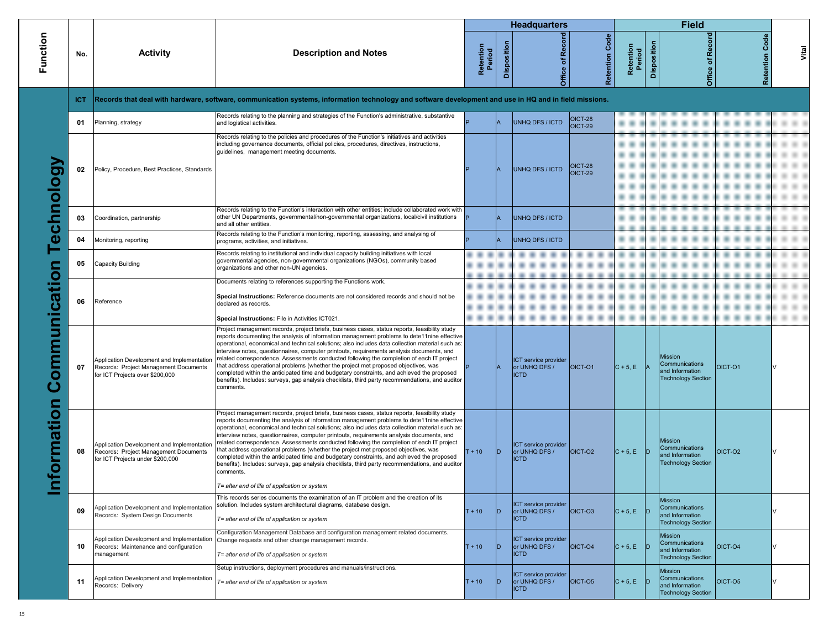|                                |      |                                                                                                                         |                                                                                                                                                                                                                                                                                                                                                                                                                                                                                                                                                                                                                                                                                                                                                                                                                                                  |                     |                    | <b>Headquarters</b>                                         |                                  |                     |             | <b>Field</b>                                                                     |                   |       |
|--------------------------------|------|-------------------------------------------------------------------------------------------------------------------------|--------------------------------------------------------------------------------------------------------------------------------------------------------------------------------------------------------------------------------------------------------------------------------------------------------------------------------------------------------------------------------------------------------------------------------------------------------------------------------------------------------------------------------------------------------------------------------------------------------------------------------------------------------------------------------------------------------------------------------------------------------------------------------------------------------------------------------------------------|---------------------|--------------------|-------------------------------------------------------------|----------------------------------|---------------------|-------------|----------------------------------------------------------------------------------|-------------------|-------|
| Function                       | No.  | <b>Activity</b>                                                                                                         | <b>Description and Notes</b>                                                                                                                                                                                                                                                                                                                                                                                                                                                                                                                                                                                                                                                                                                                                                                                                                     | Retention<br>Period | <b>Disposition</b> | Recor<br>đ<br>Office                                        | Code<br>Retention                | Retention<br>Period | Disposition | Office of Record                                                                 | Code<br>Retention | Vital |
|                                | ICT. |                                                                                                                         | Records that deal with hardware, software, communication systems, information technology and software development and use in HQ and in field missions.                                                                                                                                                                                                                                                                                                                                                                                                                                                                                                                                                                                                                                                                                           |                     |                    |                                                             |                                  |                     |             |                                                                                  |                   |       |
|                                | 01   | Planning, strategy                                                                                                      | Records relating to the planning and strategies of the Function's administrative, substantive<br>and logistical activities.                                                                                                                                                                                                                                                                                                                                                                                                                                                                                                                                                                                                                                                                                                                      |                     | lA                 | UNHQ DFS / ICTD                                             | <b>OICT-28</b><br>OICT-29        |                     |             |                                                                                  |                   |       |
| VGolou                         | 02   | Policy, Procedure, Best Practices, Standards                                                                            | Records relating to the policies and procedures of the Function's initiatives and activities<br>including governance documents, official policies, procedures, directives, instructions,<br>guidelines, management meeting documents.                                                                                                                                                                                                                                                                                                                                                                                                                                                                                                                                                                                                            |                     |                    | UNHQ DFS / ICTD                                             | <b>OICT-28</b><br><b>OICT-29</b> |                     |             |                                                                                  |                   |       |
| $\frac{1}{6}$                  | 03   | Coordination, partnership                                                                                               | Records relating to the Function's interaction with other entities; include collaborated work with<br>other UN Departments, governmental/non-governmental organizations, local/civil institutions<br>and all other entities.                                                                                                                                                                                                                                                                                                                                                                                                                                                                                                                                                                                                                     |                     |                    | UNHQ DFS / ICTD                                             |                                  |                     |             |                                                                                  |                   |       |
| $\bar{\mathbf{\Phi}}$          | 04   | Monitoring, reporting                                                                                                   | Records relating to the Function's monitoring, reporting, assessing, and analysing of<br>programs, activities, and initiatives.                                                                                                                                                                                                                                                                                                                                                                                                                                                                                                                                                                                                                                                                                                                  |                     | lA                 | UNHQ DFS / ICTD                                             |                                  |                     |             |                                                                                  |                   |       |
|                                | 05   | <b>Capacity Building</b>                                                                                                | Records relating to institutional and individual capacity building initiatives with local<br>governmental agencies, non-governmental organizations (NGOs), community based<br>organizations and other non-UN agencies.                                                                                                                                                                                                                                                                                                                                                                                                                                                                                                                                                                                                                           |                     |                    |                                                             |                                  |                     |             |                                                                                  |                   |       |
| ommunication<br>ڻ              | 06   | Reference                                                                                                               | Documents relating to references supporting the Functions work.<br>Special Instructions: Reference documents are not considered records and should not be<br>declared as records.<br>Special Instructions: File in Activities ICT021.                                                                                                                                                                                                                                                                                                                                                                                                                                                                                                                                                                                                            |                     |                    |                                                             |                                  |                     |             |                                                                                  |                   |       |
|                                | 07   | Application Development and Implementation<br>Records: Project Management Documents<br>for ICT Projects over \$200,000  | Project management records, project briefs, business cases, status reports, feasibility study<br>reports documenting the analysis of information management problems to dete11nine effective<br>operational, economical and technical solutions; also includes data collection material such as:<br>interview notes, questionnaires, computer printouts, requirements analysis documents, and<br>related correspondence. Assessments conducted following the completion of each IT project<br>that address operational problems (whether the project met proposed objectives, was<br>completed within the anticipated time and budgetary constraints, and achieved the proposed<br>benefits). Includes: surveys, gap analysis checklists, third party recommendations, and auditor<br>comments.                                                  |                     | lA                 | <b>ICT</b> service provider<br>or UNHQ DFS /<br><b>ICTD</b> | OICT-01                          | $C + 5, E$          |             | Mission<br>Communications<br>and Information<br><b>Technology Section</b>        | OICT-O1           |       |
| formation<br>$\mathbf \subset$ | 08   | Application Development and Implementation<br>Records: Project Management Documents<br>for ICT Projects under \$200,000 | Project management records, project briefs, business cases, status reports, feasibility study<br>reports documenting the analysis of information management problems to dete11nine effective<br>operational, economical and technical solutions; also includes data collection material such as:<br>interview notes, questionnaires, computer printouts, requirements analysis documents, and<br>related correspondence. Assessments conducted following the completion of each IT project<br>that address operational problems (whether the project met proposed objectives, was<br>completed within the anticipated time and budgetary constraints, and achieved the proposed<br>benefits). Includes: surveys, gap analysis checklists, third party recommendations, and auditor<br>comments.<br>T= after end of life of application or system | $T + 10$            | lD                 | <b>ICT</b> service provider<br>or UNHQ DFS /<br><b>ICTD</b> | OICT-O2                          | $C + 5, E$          | ID.         | Mission<br>Communications<br>and Information<br><b>Technology Section</b>        | OICT-O2           |       |
|                                | 09   | Application Development and Implementation<br>Records: System Design Documents                                          | This records series documents the examination of an IT problem and the creation of its<br>solution. Includes system architectural diagrams, database design.<br>T= after end of life of application or system                                                                                                                                                                                                                                                                                                                                                                                                                                                                                                                                                                                                                                    | $T + 10$            | ID                 | <b>ICT</b> service provider<br>or UNHQ DFS /<br><b>ICTD</b> | OICT-O3                          | $C + 5, E$          | ID.         | <b>Mission</b><br>Communications<br>and Information<br><b>Technology Section</b> |                   |       |
|                                | 10   | Application Development and Implementation<br>Records: Maintenance and configuration<br>management                      | Configuration Management Database and configuration management related documents.<br>Change requests and other change management records.<br>T= after end of life of application or system                                                                                                                                                                                                                                                                                                                                                                                                                                                                                                                                                                                                                                                       | $T + 10$            | ID                 | ICT service provider<br>or UNHQ DFS /<br><b>ICTD</b>        | OICT-04                          | $C + 5$ , E         | ID          | <b>Mission</b><br>Communications<br>and Information<br><b>Technology Section</b> | OICT-O4           |       |
|                                | 11   | Application Development and Implementation<br>Records: Delivery                                                         | Setup instructions, deployment procedures and manuals/instructions.<br>T= after end of life of application or system                                                                                                                                                                                                                                                                                                                                                                                                                                                                                                                                                                                                                                                                                                                             | $T + 10$            | ID                 | ICT service provider<br>or UNHQ DFS /<br><b>ICTD</b>        | OICT-O5                          | $C + 5, E$          | ID          | <b>Mission</b><br>Communications<br>and Information<br><b>Technology Section</b> | OICT-O5           |       |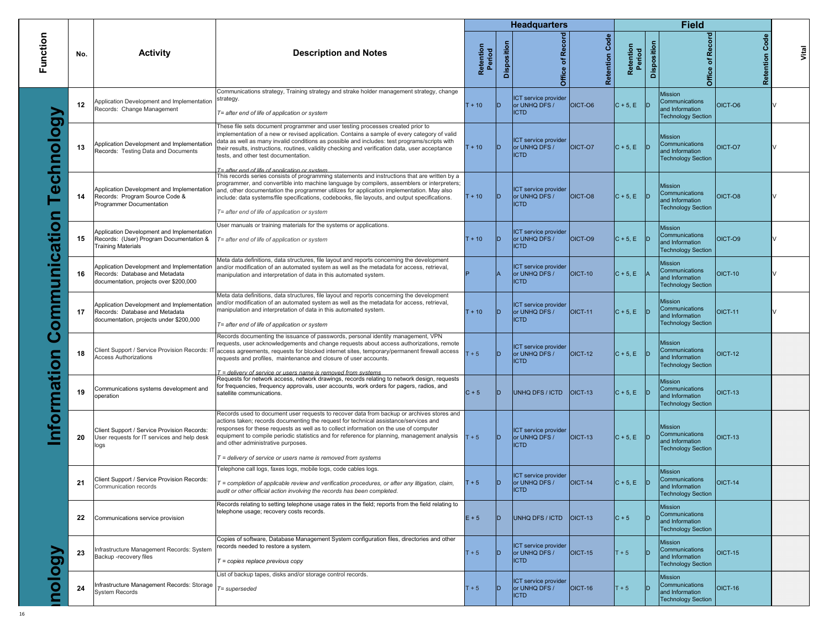|              |     |                                                                                                                         |                                                                                                                                                                                                                                                                                                                                                                                                                                                                                                |                     |                    | <b>Headquarters</b>                                  |                       |                     |             | <b>Field</b>                                                                     |                |                   |
|--------------|-----|-------------------------------------------------------------------------------------------------------------------------|------------------------------------------------------------------------------------------------------------------------------------------------------------------------------------------------------------------------------------------------------------------------------------------------------------------------------------------------------------------------------------------------------------------------------------------------------------------------------------------------|---------------------|--------------------|------------------------------------------------------|-----------------------|---------------------|-------------|----------------------------------------------------------------------------------|----------------|-------------------|
|              | No. | <b>Activity</b>                                                                                                         | <b>Description and Notes</b>                                                                                                                                                                                                                                                                                                                                                                                                                                                                   | Retention<br>Period | <b>Disposition</b> | <b>Record</b><br>৳<br>Office                         | <b>Retention Code</b> | Retention<br>Period | Disposition | Office of Record                                                                 |                | Code<br>Retention |
|              | 12  | Application Development and Implementation<br>Records: Change Management                                                | Communications strategy, Training strategy and strake holder management strategy, change<br>strategy.<br>T= after end of life of application or system                                                                                                                                                                                                                                                                                                                                         | $T + 10$            | D                  | ICT service provider<br>or UNHQ DFS /<br><b>ICTD</b> | OICT-06               | $C + 5, E$          |             | <b>Mission</b><br>Communications<br>and Information<br><b>Technology Section</b> | OICT-O6        |                   |
| echnology    | 13  | Application Development and Implementation<br>Records: Testing Data and Documents                                       | These file sets document programmer and user testing processes created prior to<br>implementation of a new or revised application. Contains a sample of every category of valid<br>data as well as many invalid conditions as possible and includes: test programs/scripts with<br>their results, instructions, routines, validity checking and verification data, user acceptance<br>tests, and other test documentation.                                                                     | $T + 10$            | ID.                | ICT service provider<br>or UNHQ DFS /<br><b>ICTD</b> | OICT-O7               | $C + 5$ , E         |             | <b>Mission</b><br>Communications<br>and Information<br><b>Technology Section</b> | OICT-O7        |                   |
|              | 14  | Application Development and Implementation<br>Records: Program Source Code &<br>Programmer Documentation                | T= after end of life of annlication or system.<br>This records series consists of programming statements and instructions that are written by a<br>programmer, and convertible into machine language by compilers, assemblers or interpreters;<br>and, other documentation the programmer utilizes for application implementation. May also<br>include: data systems/file specifications, codebooks, file layouts, and output specifications.<br>T= after end of life of application or system | $T + 10$            | D                  | ICT service provider<br>or UNHQ DFS /<br><b>ICTD</b> | OICT-O8               | $C + 5, E$          |             | <b>Mission</b><br>Communications<br>and Information<br><b>Technology Section</b> | OICT-O8        |                   |
| ommunication | 15  | Application Development and Implementation<br>Records: (User) Program Documentation &<br><b>Training Materials</b>      | User manuals or training materials for the systems or applications.<br>T= after end of life of application or system                                                                                                                                                                                                                                                                                                                                                                           | $T + 10$            | D                  | ICT service provider<br>or UNHQ DFS /<br><b>ICTD</b> | OICT-O9               | $C + 5, E$          |             | <b>Mission</b><br>Communications<br>and Information<br><b>Technology Section</b> | OICT-O9        |                   |
|              | 16  | Application Development and Implementation<br>Records: Database and Metadata<br>documentation, projects over \$200,000  | Meta data definitions, data structures, file layout and reports concerning the development<br>and/or modification of an automated system as well as the metadata for access, retrieval,<br>manipulation and interpretation of data in this automated system.                                                                                                                                                                                                                                   |                     |                    | ICT service provider<br>or UNHQ DFS /<br><b>ICTD</b> | $OICT-10$             | $C + 5, E$          |             | <b>Mission</b><br>Communications<br>and Information<br><b>Technology Section</b> | OICT-10        |                   |
|              | 17  | Application Development and Implementation<br>Records: Database and Metadata<br>documentation, projects under \$200,000 | Meta data definitions, data structures, file layout and reports concerning the development<br>and/or modification of an automated system as well as the metadata for access, retrieval,<br>manipulation and interpretation of data in this automated system.<br>T= after end of life of application or system                                                                                                                                                                                  | $T + 10$            | D                  | ICT service provider<br>or UNHQ DFS /<br><b>ICTD</b> | $IOICT-11$            | $C + 5, E$          |             | <b>Mission</b><br>Communications<br>and Information<br><b>Technology Section</b> | <b>OICT-11</b> |                   |
|              | 18  | Client Support / Service Provision Records: IT<br><b>Access Authorizations</b>                                          | Records documenting the issuance of passwords, personal identity management, VPN<br>requests, user acknowledgements and change requests about access authorizations, remote<br>access agreements, requests for blocked internet sites, temporary/permanent firewall access<br>requests and profiles, maintenance and closure of user accounts.                                                                                                                                                 | $+5$                | D                  | ICT service provider<br>or UNHQ DFS /<br><b>ICTD</b> | $OICT-12$             | $C + 5, E$          |             | <b>Mission</b><br>Communications<br>and Information<br><b>Technology Section</b> | OICT-12        |                   |
|              | 19  | Communications systems development and<br>operation                                                                     | T = delivery of service or users name is removed from systems.<br>Requests for network access, network drawings, records relating to network design, requests<br>for frequencies, frequency approvals, user accounts, work orders for pagers, radios, and<br>satellite communications.                                                                                                                                                                                                         | $C + 5$             | D                  | UNHQ DFS / ICTD                                      | $IOICT-13$            | $C + 5$ , E         |             | <b>Mission</b><br>Communications<br>and Information<br><b>Technology Section</b> | OICT-13        |                   |
|              | 20  | Client Support / Service Provision Records:<br>User requests for IT services and help desk<br>logs                      | Records used to document user requests to recover data from backup or archives stores and<br>actions taken; records documenting the request for technical assistance/services and<br>responses for these requests as well as to collect information on the use of computer<br>equipment to compile periodic statistics and for reference for planning, management analysis<br>and other administrative purposes.                                                                               | $T + 5$             | D                  | ICT service provider<br>or UNHQ DFS /<br><b>ICTD</b> | $IOICT-13$            | $ C + 5, E $ D      |             | <b>Mission</b><br>Communications<br>and Information<br><b>Technology Section</b> | OICT-13        |                   |
|              |     |                                                                                                                         | T = delivery of service or users name is removed from systems<br>Telephone call logs, faxes logs, mobile logs, code cables logs.                                                                                                                                                                                                                                                                                                                                                               |                     |                    | ICT service provider                                 |                       |                     |             | <b>Mission</b>                                                                   |                |                   |
|              | 21  | Client Support / Service Provision Records:<br>Communication records                                                    | T = completion of applicable review and verification procedures, or after any litigation, claim,<br>audit or other official action involving the records has been completed.                                                                                                                                                                                                                                                                                                                   | $T + 5$             | ID.                | or UNHQ DFS /<br><b>ICTD</b>                         | $OICT-14$             | $ C+5,E $           |             | Communications<br>and Information<br><b>Technology Section</b>                   | <b>OICT-14</b> |                   |
|              | 22  | Communications service provision                                                                                        | Records relating to setting telephone usage rates in the field; reports from the field relating to<br>telephone usage; recovery costs records.                                                                                                                                                                                                                                                                                                                                                 | $E + 5$             | D.                 | UNHQ DFS / ICTD                                      | $\vert$ OICT-13       | $C + 5$             |             | <b>Mission</b><br>Communications<br>and Information<br><b>Technology Section</b> |                |                   |
|              | 23  | Infrastructure Management Records: System<br>Backup -recovery files                                                     | Copies of software, Database Management System configuration files, directories and other<br>records needed to restore a system.<br>$T =$ copies replace previous copy                                                                                                                                                                                                                                                                                                                         | $T + 5$             | D                  | ICT service provider<br>or UNHQ DFS /<br><b>ICTD</b> | OICT-15               | $T + 5$             |             | <b>Mission</b><br>Communications<br>and Information<br><b>Technology Section</b> | <b>OICT-15</b> |                   |
| nology       | 24  | Infrastructure Management Records: Storage<br><b>System Records</b>                                                     | List of backup tapes, disks and/or storage control records.<br>T= superseded                                                                                                                                                                                                                                                                                                                                                                                                                   | $T + 5$             | D                  | ICT service provider<br>or UNHQ DFS /<br><b>ICTD</b> | OICT-16               | $T + 5$             |             | <b>Mission</b><br>Communications<br>and Information<br><b>Technology Section</b> | OICT-16        |                   |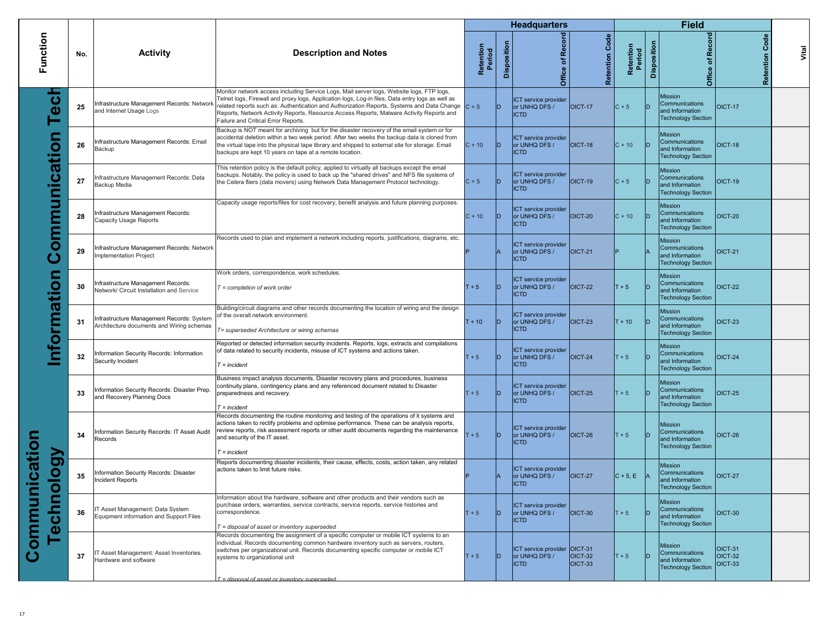|                                                            |     |                                                                                        |                                                                                                                                                                                                                                                                                                                                                                                                                                       |                     |             | <b>Headquarters</b>                                          |                      |                     |             | <b>Field</b>                                                                     |                                      |       |
|------------------------------------------------------------|-----|----------------------------------------------------------------------------------------|---------------------------------------------------------------------------------------------------------------------------------------------------------------------------------------------------------------------------------------------------------------------------------------------------------------------------------------------------------------------------------------------------------------------------------------|---------------------|-------------|--------------------------------------------------------------|----------------------|---------------------|-------------|----------------------------------------------------------------------------------|--------------------------------------|-------|
| Function                                                   | No. | <b>Activity</b>                                                                        | <b>Description and Notes</b>                                                                                                                                                                                                                                                                                                                                                                                                          | Retention<br>Period | Disposition | Office of Record                                             | Code<br>Retention    | Retention<br>Period | Disposition | cord<br>œ<br>۴,<br>Office                                                        | Code<br>Retention                    | Vital |
| $\overline{\mathbf{c}}$<br>۵                               | 25  | Infrastructure Management Records: Network<br>and Internet Usage Logs                  | Monitor network access including Service Logs, Mail server logs, Website logs, FTP logs,<br>Telnet logs, Firewall and proxy logs, Application logs, Log-in files, Data entry logs as well as<br>related reports such as: Authentication and Authorization Reports, Systems and Data Change $C + 5$<br>Reports, Network Activity Reports, Resource Access Reports, Malware Activity Reports and<br>Failure and Critical Error Reports. |                     | D           | ICT service provider<br>or UNHQ DFS /<br><b>ICTD</b>         | $OICT-17$            | $C + 5$             | חו          | Mission<br>Communications<br>and Information<br><b>Technology Section</b>        | <b>OICT-17</b>                       |       |
| <u>ခ</u>                                                   | 26  | nfrastructure Management Records: Email<br>Backup                                      | Backup is NOT meant for archiving but for the disaster recovery of the email system or for<br>accidental deletion within a two week period. After two weeks the backup data is cloned from<br>the virtual tape into the physical tape library and shipped to external site for storage. Email<br>backups are kept 10 years on tape at a remote location.                                                                              | $C + 10$            | D           | ICT service provider<br>or UNHQ DFS /<br><b>ICTD</b>         | $OICT-18$            | $C + 10$            | ID          | Mission<br>Communications<br>and Information<br><b>Technology Section</b>        | OICT-18                              |       |
| Cati                                                       | 27  | Infrastructure Management Records: Data<br>Backup Media                                | This retention policy is the default policy, applied to virtually all backups except the email<br>backups. Notably, the policy is used to back up the "shared drives" and NFS file systems of<br>the Celera fliers (data movers) using Network Data Management Protocol technology.                                                                                                                                                   | $C + 5$             | <b>ID</b>   | ICT service provider<br>or UNHQ DFS /<br><b>ICTD</b>         | $ OICT-19 $          | $C + 5$             | ID          | Mission<br>Communications<br>and Information<br><b>Technology Section</b>        | OICT-19                              |       |
| mmun                                                       | 28  | nfrastructure Management Records:<br><b>Capacity Usage Reports</b>                     | Capacity usage reports/files for cost recovery, benefit analysis and future planning purposes                                                                                                                                                                                                                                                                                                                                         | $C + 10$            | ID.         | ICT service provider<br>or UNHQ DFS /<br><b>ICTD</b>         | OICT-20              | $C + 10$            | ID          | Mission<br>Communications<br>and Information<br><b>Technology Section</b>        | <b>OICT-20</b>                       |       |
| $\overline{\mathbf{C}}$                                    | 29  | Infrastructure Management Records: Network<br>Implementation Project                   | Records used to plan and implement a network including reports, justifications, diagrams, etc.                                                                                                                                                                                                                                                                                                                                        |                     |             | ICT service provider<br>or UNHQ DFS /<br><b>ICTD</b>         | $\vert$ OICT-21      |                     |             | Mission<br>Communications<br>and Information<br><b>Technology Section</b>        | <b>OICT-21</b>                       |       |
| 5<br>S                                                     | 30  | Infrastructure Management Records:<br>Network/ Circuit Installation and Service        | Work orders, correspondence, work schedules.<br>$T =$ completion of work order                                                                                                                                                                                                                                                                                                                                                        | $+5$                | ID          | ICT service provider<br>or UNHQ DFS /<br><b>ICTD</b>         | $IOICT-22$           | $T + 5$             |             | <b>Mission</b><br>Communications<br>and Information<br><b>Technology Section</b> | <b>OICT-22</b>                       |       |
| formati                                                    | 31  | Infrastructure Management Records: System<br>Architecture documents and Wiring schemas | Building/circuit diagrams and other records documenting the location of wiring and the design<br>of the overall network environment.<br>T= superseded Architecture or wiring schemas                                                                                                                                                                                                                                                  | $T + 10$            | D           | ICT service provider<br>or UNHQ DFS /<br><b>ICTD</b>         | $OICT-23$            | $T + 10$            | ID          | Mission<br>Communications<br>and Information<br><b>Technology Section</b>        | OICT-23                              |       |
|                                                            | 32  | Information Security Records: Information<br>Security Incident                         | Reported or detected information security incidents. Reports, logs, extracts and compilations<br>of data related to security incidents, misuse of ICT systems and actions taken.<br>$T = incident$                                                                                                                                                                                                                                    | $T + 5$             | D           | ICT service provider<br>or UNHQ DFS /<br><b>ICTD</b>         | OICT-24              | $T + 5$             | ID          | Mission<br>Communications<br>and Information<br><b>Technology Section</b>        | OICT-24                              |       |
|                                                            | 33  | Information Security Records: Disaster Prep.<br>and Recovery Planning Docs             | Business impact analysis documents, Disaster recovery plans and procedures, business<br>continuity plans, contingency plans and any referenced document related to Disaster<br>preparedness and recovery.<br>$T = incident$                                                                                                                                                                                                           | $T + 5$             | ID.         | ICT service provider<br>or UNHQ DFS /<br><b>ICTD</b>         | $OICT-25$            | $T + 5$             | D           | Mission<br>Communications<br>and Information<br><b>Technology Section</b>        | <b>OICT-25</b>                       |       |
|                                                            | 34  | nformation Security Records: IT Asset Audit<br>Records                                 | Records documenting the routine monitoring and testing of the operations of it systems and<br>actions taken to rectify problems and optimise performance. These can be analysis reports,<br>review reports, risk assessment reports or other audit documents regarding the maintenance<br>and security of the IT asset.<br>$T = incident$                                                                                             | $+5$                | D           | ICT service provider<br>or UNHQ DFS /<br><b>ICTD</b>         | OICT-26              | $T + 5$             | In          | <b>Mission</b><br>Communications<br>and Information<br><b>Technology Section</b> | OICT-26                              |       |
| ication<br>$\mathbf{g}$<br>$\frac{\mathsf{O}}{\mathsf{O}}$ | 35  | Information Security Records: Disaster<br>Incident Reports                             | Reports documenting disaster incidents, their cause, effects, costs, action taken, any related<br>actions taken to limit future risks.                                                                                                                                                                                                                                                                                                |                     |             | ICT service provider<br>or UNHQ DFS /<br><b>ICTD</b>         | $OICT-27$            | $ C + 5, E $        |             | Mission<br>Communications<br>and Information<br><b>Technology Section</b>        | <b>OICT-27</b>                       |       |
| ommur<br>Ĕ<br>$\mathbf{r}$<br><u>ဝ</u><br>Ő                | 36  | IT Asset Management: Data System<br>Equipment information and Support Files            | Information about the hardware, software and other products and their vendors such as<br>purchase orders, warranties, service contracts, service reports, service histories and<br>correspondence.<br>$T =$ disposal of asset or inventory superseded                                                                                                                                                                                 | $T + 5$             | ID.         | ICT service provider<br>or UNHQ DFS /<br><b>ICTD</b>         | OICT-30              | $T + 5$             | D           | <b>Mission</b><br>Communications<br>and Information<br><b>Technology Section</b> | OICT-30                              |       |
|                                                            | -37 | T Asset Management: Asset Inventories.<br>Hardware and software                        | Records documenting the assignment of a specific computer or mobile ICT systems to an<br>individual. Records documenting common hardware inventory such as servers, routers,<br>switches per organizational unit. Records documenting specific computer or mobile ICT<br>systems to organizational unit                                                                                                                               | $T + 5$             | ID.         | ICT service provider OICT-31<br>or UNHQ DFS /<br><b>ICTD</b> | OICT-32<br>$OICT-33$ | $T + 5$             | חו          | Mission<br>Communications<br>and Information<br><b>Technology Section</b>        | <b>OICT-31</b><br>OICT-32<br>OICT-33 |       |
|                                                            |     |                                                                                        | $T =$ disposal of asset or inventory superseded                                                                                                                                                                                                                                                                                                                                                                                       |                     |             |                                                              |                      |                     |             |                                                                                  |                                      |       |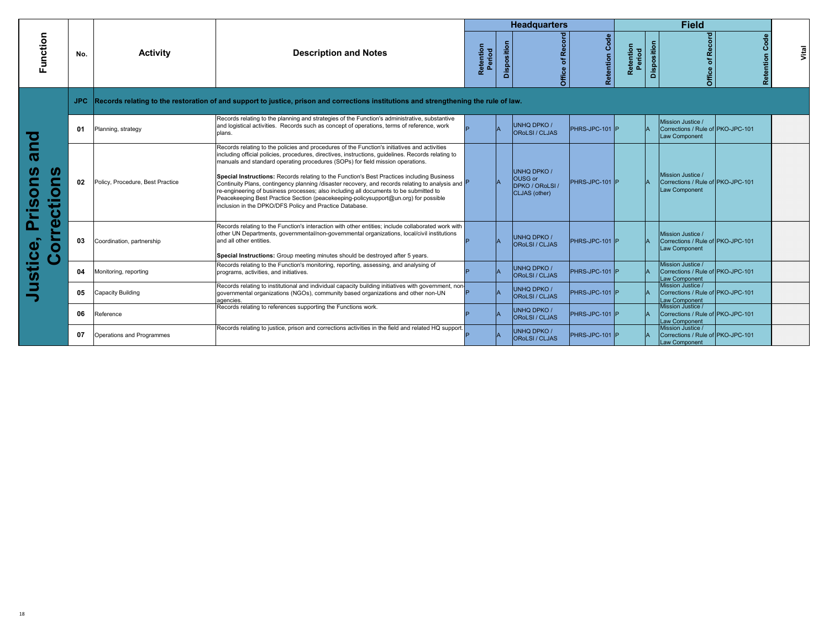|                                                                                      |     |                                  |                                                                                                                                                                                                                                                                                                                                                                                                                                                                                                                                                                                                                                                                                                                                    |                     |             | <b>Headquarters</b>                                               |                   |                              |             | <b>Field</b>                                                            |                 |
|--------------------------------------------------------------------------------------|-----|----------------------------------|------------------------------------------------------------------------------------------------------------------------------------------------------------------------------------------------------------------------------------------------------------------------------------------------------------------------------------------------------------------------------------------------------------------------------------------------------------------------------------------------------------------------------------------------------------------------------------------------------------------------------------------------------------------------------------------------------------------------------------|---------------------|-------------|-------------------------------------------------------------------|-------------------|------------------------------|-------------|-------------------------------------------------------------------------|-----------------|
| Function                                                                             | No. | <b>Activity</b>                  | <b>Description and Notes</b>                                                                                                                                                                                                                                                                                                                                                                                                                                                                                                                                                                                                                                                                                                       | Retention<br>Period | Disposition | ē<br><b>Re</b><br>đ<br><b>Office</b>                              | Code<br>Retention | Retention<br>Period<br>eriod | Disposition | Office of Record<br>ပ္ပိ<br><u>ដូ</u>                                   | Vital<br>ention |
|                                                                                      |     |                                  | Records relating to the restoration of and support to justice, prison and corrections institutions and strengthening the rule of law.                                                                                                                                                                                                                                                                                                                                                                                                                                                                                                                                                                                              |                     |             |                                                                   |                   |                              |             |                                                                         |                 |
|                                                                                      | 01  | Planning, strategy               | Records relating to the planning and strategies of the Function's administrative, substantive<br>and logistical activities. Records such as concept of operations, terms of reference, work<br>plans.                                                                                                                                                                                                                                                                                                                                                                                                                                                                                                                              |                     |             | <b>UNHQ DPKO /</b><br><b>OROLSI</b> / CLJAS                       | PHRS-JPC-101 P    |                              |             | Mission Justice /<br>Corrections / Rule of PKO-JPC-101<br>Law Component |                 |
| <b>Due</b><br>U.<br>$\blacksquare$<br>0<br>O<br>Φ<br><b>SC</b><br>ıш<br>ပ<br>Φ<br>Ω. | 02  | Policy, Procedure, Best Practice | Records relating to the policies and procedures of the Function's initiatives and activities<br>including official policies, procedures, directives, instructions, guidelines. Records relating to<br>manuals and standard operating procedures (SOPs) for field mission operations.<br>Special Instructions: Records relating to the Function's Best Practices including Business<br>Continuity Plans, contingency planning /disaster recovery, and records relating to analysis and F<br>re-engineering of business processes; also including all documents to be submitted to<br>Peacekeeping Best Practice Section (peacekeeping-policysupport@un.org) for possible<br>inclusion in the DPKO/DFS Policy and Practice Database. |                     |             | <b>UNHQ DPKO /</b><br>OUSG or<br>DPKO / ORoLSI /<br>CLJAS (other) | PHRS-JPC-101 P    |                              |             | Mission Justice /<br>Corrections / Rule of PKO-JPC-101<br>Law Component |                 |
| Ó<br>$\cup$                                                                          | 03  | Coordination, partnership        | Records relating to the Function's interaction with other entities; include collaborated work with<br>other UN Departments, governmental/non-governmental organizations, local/civil institutions<br>and all other entities.<br>Special Instructions: Group meeting minutes should be destroyed after 5 years.                                                                                                                                                                                                                                                                                                                                                                                                                     |                     |             | <b>UNHQ DPKO /</b><br><b>OROLSI</b> / CLJAS                       | PHRS-JPC-101 P    |                              |             | Mission Justice /<br>Corrections / Rule of PKO-JPC-101<br>Law Component |                 |
| ustice                                                                               | 04  | Monitoring, reporting            | Records relating to the Function's monitoring, reporting, assessing, and analysing of<br>programs, activities, and initiatives.                                                                                                                                                                                                                                                                                                                                                                                                                                                                                                                                                                                                    |                     |             | <b>UNHQ DPKO /</b><br><b>OROLSI</b> / CLJAS                       | PHRS-JPC-101 P    |                              |             | Mission Justice /<br>Corrections / Rule of PKO-JPC-101<br>Law Component |                 |
|                                                                                      | 05  | Capacity Building                | Records relating to institutional and individual capacity building initiatives with government, non-<br>governmental organizations (NGOs), community based organizations and other non-UN<br>agencies.                                                                                                                                                                                                                                                                                                                                                                                                                                                                                                                             |                     |             | UNHQ DPKO /<br><b>OROLSI</b> / CLJAS                              | PHRS-JPC-101 P    |                              |             | Mission Justice /<br>Corrections / Rule of PKO-JPC-101<br>Law Component |                 |
|                                                                                      | 06  | Reference                        | Records relating to references supporting the Functions work.                                                                                                                                                                                                                                                                                                                                                                                                                                                                                                                                                                                                                                                                      |                     |             | <b>UNHQ DPKO /</b><br><b>OROLSI</b> / CLJAS                       | PHRS-JPC-101 P    |                              |             | Mission Justice /<br>Corrections / Rule of PKO-JPC-101<br>Law Component |                 |
|                                                                                      | 07  | Operations and Programmes        | Records relating to justice, prison and corrections activities in the field and related HQ support.                                                                                                                                                                                                                                                                                                                                                                                                                                                                                                                                                                                                                                |                     |             | <b>UNHQ DPKO /</b><br><b>OROLSI</b> / CLJAS                       | PHRS-JPC-101 P    |                              |             | Mission Justice /<br>Corrections / Rule of PKO-JPC-101<br>Law Component |                 |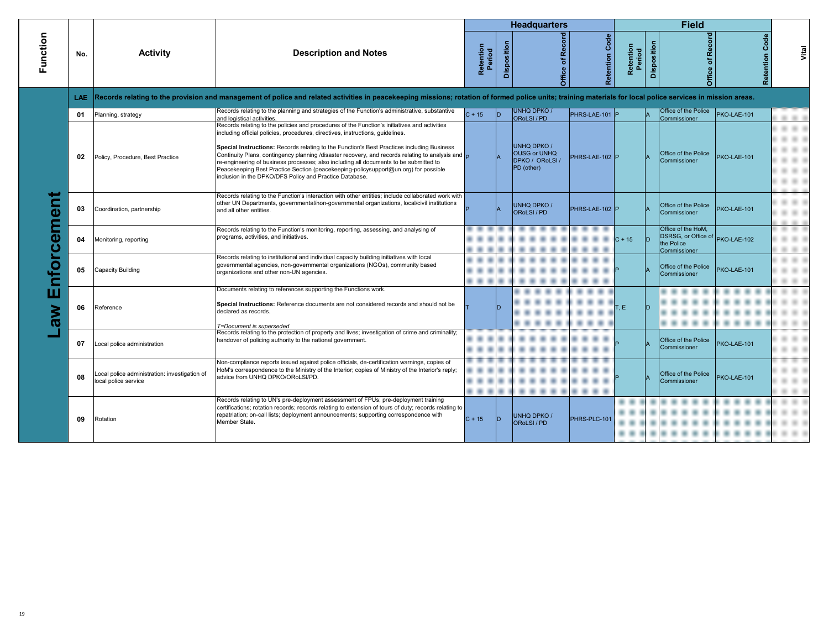|                                                                     |      |                                                                       |                                                                                                                                                                                                                                                                                                                                                                                                                                                                                                                                                                                                                                   |                     |             | <b>Headquarters</b>                                                        |                |                     |             | <b>Field</b>                                                                        |                       |       |
|---------------------------------------------------------------------|------|-----------------------------------------------------------------------|-----------------------------------------------------------------------------------------------------------------------------------------------------------------------------------------------------------------------------------------------------------------------------------------------------------------------------------------------------------------------------------------------------------------------------------------------------------------------------------------------------------------------------------------------------------------------------------------------------------------------------------|---------------------|-------------|----------------------------------------------------------------------------|----------------|---------------------|-------------|-------------------------------------------------------------------------------------|-----------------------|-------|
| Function                                                            | No.  | <b>Activity</b>                                                       | <b>Description and Notes</b>                                                                                                                                                                                                                                                                                                                                                                                                                                                                                                                                                                                                      | Retention<br>Period | Disposition | Office of Record                                                           | Retention Code | Retention<br>Period | Disposition | Office of Record                                                                    | <b>Retention Code</b> | Vital |
|                                                                     | LAE. |                                                                       | Records relating to the provision and management of police and related activities in peacekeeping missions; rotation of formed police units; training materials for local police services in mission areas.                                                                                                                                                                                                                                                                                                                                                                                                                       |                     |             |                                                                            |                |                     |             |                                                                                     |                       |       |
|                                                                     | 01   | Planning, strategy                                                    | Records relating to the planning and strategies of the Function's administrative, substantive<br>and logistical activities.                                                                                                                                                                                                                                                                                                                                                                                                                                                                                                       | $C + 15$            | ID.         | <b>UNHQ DPKO /</b><br>ORoLSI / PD                                          | PHRS-LAE-101 P |                     |             | Office of the Police<br>Commissioner                                                | PKO-LAE-101           |       |
|                                                                     | 02   | Policy, Procedure, Best Practice                                      | Records relating to the policies and procedures of the Function's initiatives and activities<br>including official policies, procedures, directives, instructions, guidelines.<br>Special Instructions: Records relating to the Function's Best Practices including Business<br>Continuity Plans, contingency planning /disaster recovery, and records relating to analysis and $\Box$<br>re-engineering of business processes; also including all documents to be submitted to<br>Peacekeeping Best Practice Section (peacekeeping-policysupport@un.org) for possible<br>inclusion in the DPKO/DFS Policy and Practice Database. |                     |             | <b>UNHQ DPKO /</b><br><b>OUSG or UNHQ</b><br>DPKO / ORoLSI /<br>PD (other) | PHRS-LAE-102 P |                     |             | Office of the Police<br>Commissioner                                                | PKO-LAE-101           |       |
| $\overline{\mathbf{c}}$<br>E<br>$\overline{\mathbf{a}}$<br><u>ت</u> | 03   | Coordination, partnership                                             | Records relating to the Function's interaction with other entities; include collaborated work with<br>other UN Departments, governmental/non-governmental organizations, local/civil institutions<br>and all other entities.                                                                                                                                                                                                                                                                                                                                                                                                      |                     |             | <b>UNHQ DPKO /</b><br><b>OROLSI/PD</b>                                     | PHRS-LAE-102 P |                     |             | Office of the Police<br>Commissioner                                                | PKO-LAE-101           |       |
|                                                                     | 04   | Monitoring, reporting                                                 | Records relating to the Function's monitoring, reporting, assessing, and analysing of<br>programs, activities, and initiatives.                                                                                                                                                                                                                                                                                                                                                                                                                                                                                                   |                     |             |                                                                            |                | $C + 15$            |             | Office of the HoM.<br>DSRSG, or Office of PKO-LAE-102<br>the Police<br>Commissioner |                       |       |
| $\overline{\mathbf{o}}$<br>⊂                                        | 05   | Capacity Building                                                     | Records relating to institutional and individual capacity building initiatives with local<br>governmental agencies, non-governmental organizations (NGOs), community based<br>organizations and other non-UN agencies.                                                                                                                                                                                                                                                                                                                                                                                                            |                     |             |                                                                            |                |                     |             | Office of the Police<br>Commissioner                                                | PKO-LAE-101           |       |
| ш<br><b>NG</b>                                                      | 06   | Reference                                                             | Documents relating to references supporting the Functions work.<br>Special Instructions: Reference documents are not considered records and should not be<br>declared as records.<br>T=Document is superseded                                                                                                                                                                                                                                                                                                                                                                                                                     |                     | ID.         |                                                                            |                | T, E                |             |                                                                                     |                       |       |
|                                                                     | 07   | Local police administration                                           | Records relating to the protection of property and lives; investigation of crime and criminality;<br>handover of policing authority to the national government.                                                                                                                                                                                                                                                                                                                                                                                                                                                                   |                     |             |                                                                            |                |                     |             | Office of the Police<br>Commissioner                                                | PKO-LAE-101           |       |
|                                                                     | 08   | Local police administration: investigation of<br>local police service | Non-compliance reports issued against police officials, de-certification warnings, copies of<br>HoM's correspondence to the Ministry of the Interior; copies of Ministry of the Interior's reply;<br>advice from UNHQ DPKO/ORoLSI/PD.                                                                                                                                                                                                                                                                                                                                                                                             |                     |             |                                                                            |                |                     |             | Office of the Police<br>Commissioner                                                | PKO-LAE-101           |       |
|                                                                     | 09   | Rotation                                                              | Records relating to UN's pre-deployment assessment of FPUs; pre-deployment training<br>certifications; rotation records; records relating to extension of tours of duty; records relating to<br>repatriation; on-call lists; deployment announcements; supporting correspondence with<br>Member State.                                                                                                                                                                                                                                                                                                                            | $C + 15$            | ID.         | <b>UNHQ DPKO /</b><br><b>ORoLSI/PD</b>                                     | PHRS-PLC-101   |                     |             |                                                                                     |                       |       |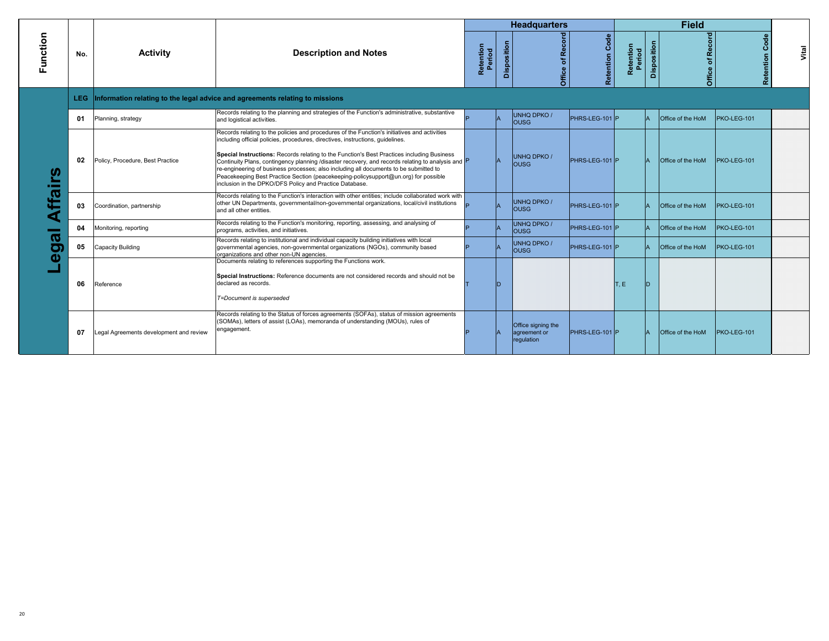|          |      |                                        |                                                                                                                                                                                                                                                                                                                                                                                                                                                                                                                                                                                                                              |                     |             | <b>Headquarters</b>                              |                   |                     |              | <b>Field</b>      |                   |       |
|----------|------|----------------------------------------|------------------------------------------------------------------------------------------------------------------------------------------------------------------------------------------------------------------------------------------------------------------------------------------------------------------------------------------------------------------------------------------------------------------------------------------------------------------------------------------------------------------------------------------------------------------------------------------------------------------------------|---------------------|-------------|--------------------------------------------------|-------------------|---------------------|--------------|-------------------|-------------------|-------|
| Function | No.  | <b>Activity</b>                        | <b>Description and Notes</b>                                                                                                                                                                                                                                                                                                                                                                                                                                                                                                                                                                                                 | Retention<br>Period | Disposition | Office of Record                                 | Code<br>Retention | Retention<br>Period | Disposition  | Office of Record  | Code<br>Retention | Vital |
|          | LEG. |                                        | Information relating to the legal advice and agreements relating to missions                                                                                                                                                                                                                                                                                                                                                                                                                                                                                                                                                 |                     |             |                                                  |                   |                     |              |                   |                   |       |
|          | 01   | Planning, strategy                     | Records relating to the planning and strategies of the Function's administrative, substantive<br>and logistical activities.                                                                                                                                                                                                                                                                                                                                                                                                                                                                                                  |                     |             | UNHQ DPKO /<br>lous <sub>G</sub>                 | PHRS-LEG-101 P    |                     |              | Office of the HoM | PKO-LEG-101       |       |
| ω        | 02   | Policy, Procedure, Best Practice       | Records relating to the policies and procedures of the Function's initiatives and activities<br>including official policies, procedures, directives, instructions, guidelines.<br>Special Instructions: Records relating to the Function's Best Practices including Business<br>Continuity Plans, contingency planning /disaster recovery, and records relating to analysis and P<br>re-engineering of business processes; also including all documents to be submitted to<br>Peacekeeping Best Practice Section (peacekeeping-policysupport@un.org) for possible<br>inclusion in the DPKO/DFS Policy and Practice Database. |                     |             | UNHQ DPKO /<br>lousg                             | PHRS-LEG-101 P    |                     | $\mathsf{A}$ | Office of the HoM | PKO-LEG-101       |       |
|          | 03   | Coordination, partnership              | Records relating to the Function's interaction with other entities; include collaborated work with<br>other UN Departments, governmental/non-governmental organizations, local/civil institutions<br>and all other entities.                                                                                                                                                                                                                                                                                                                                                                                                 |                     |             | <b>UNHQ DPKO/</b><br>lousg                       | PHRS-LEG-101 P    |                     | $\mathsf{A}$ | Office of the HoM | PKO-LEG-101       |       |
|          | 04   | Monitoring, reporting                  | Records relating to the Function's monitoring, reporting, assessing, and analysing of<br>programs, activities, and initiatives.                                                                                                                                                                                                                                                                                                                                                                                                                                                                                              |                     |             | UNHQ DPKO /<br>lousg                             | PHRS-LEG-101 P    |                     |              | Office of the HoM | PKO-LEG-101       |       |
|          | 05   | Capacity Building                      | Records relating to institutional and individual capacity building initiatives with local<br>governmental agencies, non-governmental organizations (NGOs), community based<br>organizations and other non-UN agencies.                                                                                                                                                                                                                                                                                                                                                                                                       |                     |             | <b>UNHQ DPKO/</b><br><b>OUSG</b>                 | PHRS-LEG-101 P    |                     |              | Office of the HoM | PKO-LEG-101       |       |
| σ        | 06   | Reference                              | Documents relating to references supporting the Functions work.<br>Special Instructions: Reference documents are not considered records and should not be<br>declared as records.<br>T=Document is superseded                                                                                                                                                                                                                                                                                                                                                                                                                |                     |             |                                                  |                   | T.E                 |              |                   |                   |       |
|          | 07   | egal Agreements development and review | Records relating to the Status of forces agreements (SOFAs), status of mission agreements<br>(SOMAs), letters of assist (LOAs), memoranda of understanding (MOUs), rules of<br>engagement.                                                                                                                                                                                                                                                                                                                                                                                                                                   |                     |             | Office signing the<br>agreement or<br>regulation | PHRS-LEG-101 P    |                     | $\mathbf{A}$ | Office of the HoM | PKO-LEG-101       |       |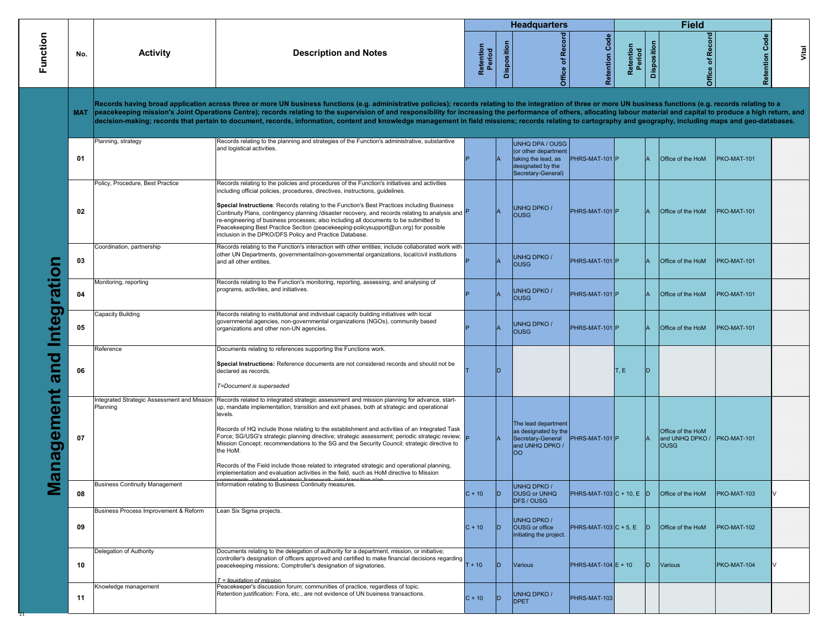|            |                                       |                                                                                                                                                                                                                                                                                                                                                                                                                                                                                                                                                                                                                                                                                                                                                                                                                                  |                     |             | <b>Headquarters</b>                                                                                              |                             |                     |             | <b>Field</b>                                                    |                    |
|------------|---------------------------------------|----------------------------------------------------------------------------------------------------------------------------------------------------------------------------------------------------------------------------------------------------------------------------------------------------------------------------------------------------------------------------------------------------------------------------------------------------------------------------------------------------------------------------------------------------------------------------------------------------------------------------------------------------------------------------------------------------------------------------------------------------------------------------------------------------------------------------------|---------------------|-------------|------------------------------------------------------------------------------------------------------------------|-----------------------------|---------------------|-------------|-----------------------------------------------------------------|--------------------|
| No.        | <b>Activity</b>                       | <b>Description and Notes</b>                                                                                                                                                                                                                                                                                                                                                                                                                                                                                                                                                                                                                                                                                                                                                                                                     | Retention<br>Period | Disposition | Office of Record                                                                                                 | <b>Retention Code</b>       | Retention<br>Period | Disposition | Record<br>Office of I                                           | Code<br>Retention  |
| <b>MAT</b> |                                       | Records having broad application across three or more UN business functions (e.g. administrative policies); records relating to the integration of three or more UN business functions (e.g. records relating to a<br>peacekeeping mission's Joint Operations Centre); records relating to the supervision of and responsibility for increasing the performance of others, allocating labour material and capital to produce a high return, and<br>decision-making; records that pertain to document, records, information, content and knowledge management in field missions; records relating to cartography and geography, including maps and geo-databases.                                                                                                                                                                 |                     |             |                                                                                                                  |                             |                     |             |                                                                 |                    |
| 01         | Planning, strategy                    | Records relating to the planning and strategies of the Function's administrative, substantive<br>and logistical activities.                                                                                                                                                                                                                                                                                                                                                                                                                                                                                                                                                                                                                                                                                                      |                     |             | <b>UNHQ DPA / OUSG</b><br>(or other department<br>taking the lead, as<br>designated by the<br>Secretary-General) | PHRS-MAT-101 P              |                     |             | Office of the HoM                                               | PKO-MAT-101        |
| 02         | Policy, Procedure, Best Practice      | Records relating to the policies and procedures of the Function's initiatives and activities<br>including official policies, procedures, directives, instructions, guidelines.<br>Special Instructions: Records relating to the Function's Best Practices including Business<br>Continuity Plans, contingency planning /disaster recovery, and records relating to analysis and P<br>re-engineering of business processes; also including all documents to be submitted to<br>Peacekeeping Best Practice Section (peacekeeping-policysupport@un.org) for possible<br>inclusion in the DPKO/DFS Policy and Practice Database.                                                                                                                                                                                                     |                     |             | <b>UNHQ DPKO /</b><br><b>OUSG</b>                                                                                | PHRS-MAT-101 P              |                     |             | Office of the HoM                                               | PKO-MAT-101        |
| 03         | Coordination, partnership             | Records relating to the Function's interaction with other entities; include collaborated work with<br>other UN Departments, governmental/non-governmental organizations, local/civil institutions<br>and all other entities.                                                                                                                                                                                                                                                                                                                                                                                                                                                                                                                                                                                                     |                     |             | <b>UNHQ DPKO /</b><br><b>OUSG</b>                                                                                | PHRS-MAT-101 P              |                     |             | Office of the HoM                                               | PKO-MAT-101        |
| 04         | Monitoring, reporting                 | Records relating to the Function's monitoring, reporting, assessing, and analysing of<br>programs, activities, and initiatives.                                                                                                                                                                                                                                                                                                                                                                                                                                                                                                                                                                                                                                                                                                  |                     |             | <b>UNHQ DPKO /</b><br><b>OUSG</b>                                                                                | PHRS-MAT-101 P              |                     |             | Office of the HoM                                               | PKO-MAT-101        |
| 05         | Capacity Building                     | Records relating to institutional and individual capacity building initiatives with local<br>governmental agencies, non-governmental organizations (NGOs), community based<br>organizations and other non-UN agencies.                                                                                                                                                                                                                                                                                                                                                                                                                                                                                                                                                                                                           |                     |             | <b>UNHQ DPKO /</b><br><b>OUSG</b>                                                                                | PHRS-MAT-101 P              |                     |             | Office of the HoM                                               | <b>PKO-MAT-101</b> |
| 06         | Reference                             | Documents relating to references supporting the Functions work.<br>Special Instructions: Reference documents are not considered records and should not be<br>declared as records.<br>T=Document is superseded                                                                                                                                                                                                                                                                                                                                                                                                                                                                                                                                                                                                                    |                     | ID          |                                                                                                                  |                             | T, E                | ID.         |                                                                 |                    |
| 07         | Planning                              | Integrated Strategic Assessment and Mission   Records related to integrated strategic assessment and mission planning for advance, start-<br>up, mandate implementation, transition and exit phases, both at strategic and operational<br>levels.<br>Records of HQ include those relating to the establishment and activities of an Integrated Task<br>Force; SG/USG's strategic planning directive; strategic assessment; periodic strategic review; p<br>Mission Concept; recommendations to the SG and the Security Council; strategic directive to<br>the HoM.<br>Records of the Field include those related to integrated strategic and operational planning,<br>implementation and evaluation activities in the field, such as HoM directive to Mission<br>componente integrated etrategic framework ioint transition plan |                     |             | The lead department<br>as designated by the<br>Secretary-General<br>and UNHQ DPKO /<br>loo                       | PHRS-MAT-101 P              |                     |             | Office of the HoM<br>and UNHQ DPKO / PKO-MAT-101<br><b>OUSG</b> |                    |
| 08         | <b>Business Continuity Management</b> | Information relating to Business Continuity measures.                                                                                                                                                                                                                                                                                                                                                                                                                                                                                                                                                                                                                                                                                                                                                                            | $C + 10$            | D.          | <b>UNHO DPKO</b><br><b>OUSG or UNHQ</b><br><b>DFS / OUSG</b>                                                     | PHRS-MAT-103 $C + 10$ , E D |                     |             | <b>Office of the HoM</b>                                        | PKO-MAT-103        |
| 09         | Business Process Improvement & Reform | Lean Six Sigma projects.                                                                                                                                                                                                                                                                                                                                                                                                                                                                                                                                                                                                                                                                                                                                                                                                         | $C + 10$            | ID.         | UNHQ DPKO /<br>OUSG or office<br>initiating the project.                                                         | PHRS-MAT-103 $C + 5$ , E    |                     | ID.         | Office of the HoM                                               | PKO-MAT-102        |
| 10         | Delegation of Authority               | Documents relating to the delegation of authority for a department, mission, or initiative;<br>controller's designation of officers approved and certified to make financial decisions regarding<br>peacekeeping missions; Comptroller's designation of signatories.<br>$T =$ liquidation of mission.                                                                                                                                                                                                                                                                                                                                                                                                                                                                                                                            | $T + 10$            | ID.         | <b>Various</b>                                                                                                   | PHRS-MAT-104 $E + 10$       |                     | ID.         | <b>Various</b>                                                  | PKO-MAT-104        |
| 11         | Knowledge management                  | Peacekeeper's discussion forum; communities of practice, regardless of topic.<br>Retention justification: Fora, etc., are not evidence of UN business transactions.                                                                                                                                                                                                                                                                                                                                                                                                                                                                                                                                                                                                                                                              | $C + 10$            | ID          | <b>UNHQ DPKO /</b><br><b>DPET</b>                                                                                | PHRS-MAT-103                |                     |             |                                                                 |                    |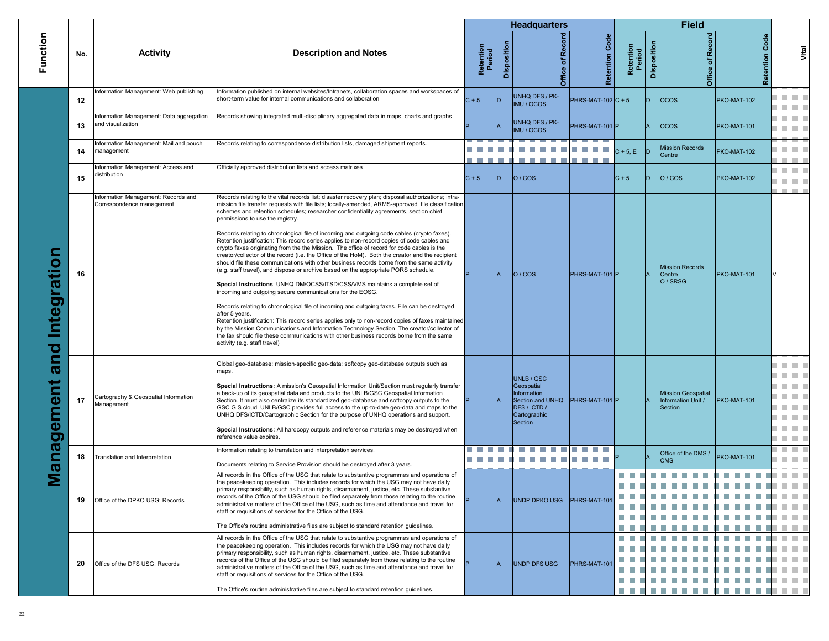|                                         |     |                                                                 |                                                                                                                                                                                                                                                                                                                                                                                                                                                                                                                                                                                                                                                                                                                                                                                                                                                                                                                                                                                                                                                                                                                                                                                                                                                                                                                                                                                                                                                                                                                         |                     |                | <b>Headquarters</b>                                                                                           |                      |                     |             | <b>Field</b>                                               |                   |       |
|-----------------------------------------|-----|-----------------------------------------------------------------|-------------------------------------------------------------------------------------------------------------------------------------------------------------------------------------------------------------------------------------------------------------------------------------------------------------------------------------------------------------------------------------------------------------------------------------------------------------------------------------------------------------------------------------------------------------------------------------------------------------------------------------------------------------------------------------------------------------------------------------------------------------------------------------------------------------------------------------------------------------------------------------------------------------------------------------------------------------------------------------------------------------------------------------------------------------------------------------------------------------------------------------------------------------------------------------------------------------------------------------------------------------------------------------------------------------------------------------------------------------------------------------------------------------------------------------------------------------------------------------------------------------------------|---------------------|----------------|---------------------------------------------------------------------------------------------------------------|----------------------|---------------------|-------------|------------------------------------------------------------|-------------------|-------|
| Function                                | No. | <b>Activity</b>                                                 | <b>Description and Notes</b>                                                                                                                                                                                                                                                                                                                                                                                                                                                                                                                                                                                                                                                                                                                                                                                                                                                                                                                                                                                                                                                                                                                                                                                                                                                                                                                                                                                                                                                                                            | Retention<br>Period | Disposition    | Office of Record                                                                                              | Code<br>Retention    | Retention<br>Period | Disposition | Office of Record                                           | Code<br>Retention | Vital |
|                                         | 12  | Information Management: Web publishing                          | Information published on internal websites/Intranets, collaboration spaces and workspaces of<br>short-term value for internal communications and collaboration                                                                                                                                                                                                                                                                                                                                                                                                                                                                                                                                                                                                                                                                                                                                                                                                                                                                                                                                                                                                                                                                                                                                                                                                                                                                                                                                                          | $C + 5$             | ID             | UNHQ DFS / PK-<br>IMU / OCOS                                                                                  | $PHRS-MAT-102$ C + 5 |                     | D.          | <b>OCOS</b>                                                | PKO-MAT-102       |       |
|                                         | 13  | nformation Management: Data aggregation<br>and visualization    | Records showing integrated multi-disciplinary aggregated data in maps, charts and graphs                                                                                                                                                                                                                                                                                                                                                                                                                                                                                                                                                                                                                                                                                                                                                                                                                                                                                                                                                                                                                                                                                                                                                                                                                                                                                                                                                                                                                                |                     |                | UNHQ DFS / PK-<br>IMU / OCOS                                                                                  | PHRS-MAT-101 P       |                     | IA.         | <b>OCOS</b>                                                | PKO-MAT-101       |       |
|                                         | 14  | nformation Management: Mail and pouch<br>management             | Records relating to correspondence distribution lists, damaged shipment reports.                                                                                                                                                                                                                                                                                                                                                                                                                                                                                                                                                                                                                                                                                                                                                                                                                                                                                                                                                                                                                                                                                                                                                                                                                                                                                                                                                                                                                                        |                     |                |                                                                                                               |                      | $C + 5, E$          |             | <b>Mission Records</b><br>Centre                           | PKO-MAT-102       |       |
|                                         | 15  | nformation Management: Access and<br>distribution               | Officially approved distribution lists and access matrixes                                                                                                                                                                                                                                                                                                                                                                                                                                                                                                                                                                                                                                                                                                                                                                                                                                                                                                                                                                                                                                                                                                                                                                                                                                                                                                                                                                                                                                                              | $C + 5$             | ID.            | O/COS                                                                                                         |                      | $ C + 5 $           | D           | O/COS                                                      | PKO-MAT-102       |       |
| $\bullet$<br>Integrati<br>and<br>gement | 16  | nformation Management: Records and<br>Correspondence management | Records relating to the vital records list; disaster recovery plan; disposal authorizations; intra-<br>mission file transfer requests with file lists; locally-amended, ARMS-approved file classification<br>schemes and retention schedules; researcher confidentiality agreements, section chief<br>permissions to use the registry.<br>Records relating to chronological file of incoming and outgoing code cables (crypto faxes).<br>Retention justification: This record series applies to non-record copies of code cables and<br>crypto faxes originating from the the Mission. The office of record for code cables is the<br>creator/collector of the record (i.e. the Office of the HoM). Both the creator and the recipient<br>should file these communications with other business records borne from the same activity<br>(e.g. staff travel), and dispose or archive based on the appropriate PORS schedule.<br>Special Instructions: UNHQ DM/OCSS/ITSD/CSS/VMS maintains a complete set of<br>incoming and outgoing secure communications for the EOSG.<br>Records relating to chronological file of incoming and outgoing faxes. File can be destroyed<br>after 5 years.<br>Retention justification: This record series applies only to non-record copies of faxes maintained<br>by the Mission Communications and Information Technology Section. The creator/collector of<br>the fax should file these communications with other business records borne from the same<br>activity (e.g. staff travel) |                     |                | O/COS                                                                                                         | PHRS-MAT-101 P       |                     |             | <b>Mission Records</b><br>Centre<br>O / SRSG               | PKO-MAT-101       |       |
|                                         | 17  | Cartography & Geospatial Information<br>Management              | Global geo-database; mission-specific geo-data; softcopy geo-database outputs such as<br>maps.<br>Special Instructions: A mission's Geospatial Information Unit/Section must regularly transfer<br>a back-up of its geospatial data and products to the UNLB/GSC Geospatial Information<br>Section. It must also centralize its standardized geo-database and softcopy outputs to the<br>GSC GIS cloud. UNLB/GSC provides full access to the up-to-date geo-data and maps to the<br>UNHQ DFS/ICTD/Cartographic Section for the purpose of UNHQ operations and support.<br>Special Instructions: All hardcopy outputs and reference materials may be destroyed when<br>reference value expires.                                                                                                                                                                                                                                                                                                                                                                                                                                                                                                                                                                                                                                                                                                                                                                                                                          |                     |                | <b>UNLB / GSC</b><br>Geospatial<br>Information<br>Section and UNHQ<br>DFS / ICTD /<br>Cartographic<br>Section | PHRS-MAT-101 P       |                     |             | <b>Mission Geospatial</b><br>Information Unit /<br>Section | PKO-MAT-101       |       |
|                                         | 18  | Translation and Interpretation                                  | Information relating to translation and interpretation services.<br>Documents relating to Service Provision should be destroyed after 3 years.                                                                                                                                                                                                                                                                                                                                                                                                                                                                                                                                                                                                                                                                                                                                                                                                                                                                                                                                                                                                                                                                                                                                                                                                                                                                                                                                                                          |                     |                |                                                                                                               |                      |                     |             | Office of the DMS /<br><b>CMS</b>                          | PKO-MAT-101       |       |
| ana                                     | 19  | Office of the DPKO USG: Records                                 | All records in the Office of the USG that relate to substantive programmes and operations of<br>the peacekeeping operation. This includes records for which the USG may not have daily<br>primary responsibility, such as human rights, disarmament, justice, etc. These substantive<br>records of the Office of the USG should be filed separately from those relating to the routine<br>administrative matters of the Office of the USG, such as time and attendance and travel for<br>staff or requisitions of services for the Office of the USG.<br>The Office's routine administrative files are subject to standard retention guidelines.                                                                                                                                                                                                                                                                                                                                                                                                                                                                                                                                                                                                                                                                                                                                                                                                                                                                        |                     |                | UNDP DPKO USG PHRS-MAT-101                                                                                    |                      |                     |             |                                                            |                   |       |
|                                         | 20  | Office of the DFS USG: Records                                  | All records in the Office of the USG that relate to substantive programmes and operations of<br>the peacekeeping operation. This includes records for which the USG may not have daily<br>primary responsibility, such as human rights, disarmament, justice, etc. These substantive<br>records of the Office of the USG should be filed separately from those relating to the routine<br>administrative matters of the Office of the USG, such as time and attendance and travel for<br>staff or requisitions of services for the Office of the USG.<br>The Office's routine administrative files are subject to standard retention guidelines.                                                                                                                                                                                                                                                                                                                                                                                                                                                                                                                                                                                                                                                                                                                                                                                                                                                                        |                     | $\overline{A}$ | UNDP DFS USG                                                                                                  | PHRS-MAT-101         |                     |             |                                                            |                   |       |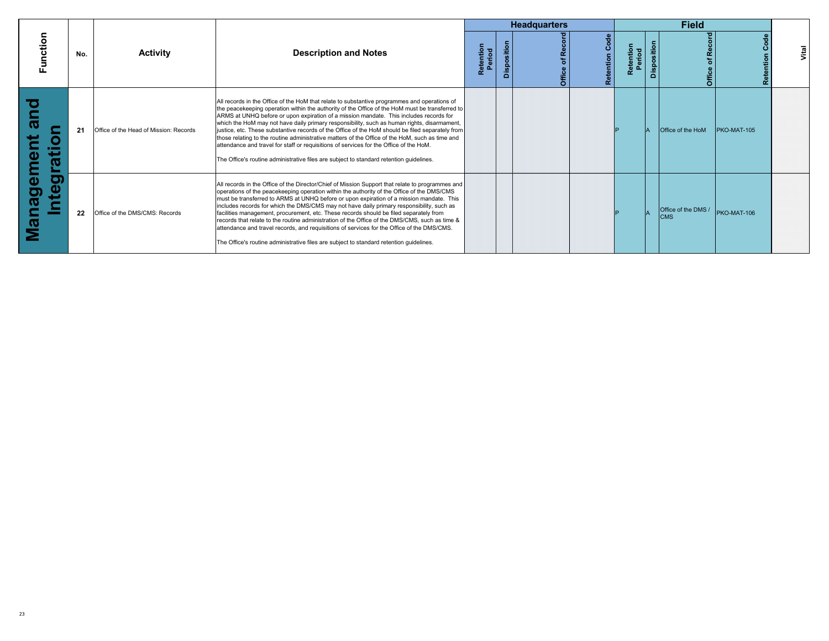|                                                                                                |     |                                        |                                                                                                                                                                                                                                                                                                                                                                                                                                                                                                                                                                                                                                                                                                                                                                                      |                     |             | <b>Headquarters</b> |                      |                     |                    | <b>Field</b>                      |                    |       |
|------------------------------------------------------------------------------------------------|-----|----------------------------------------|--------------------------------------------------------------------------------------------------------------------------------------------------------------------------------------------------------------------------------------------------------------------------------------------------------------------------------------------------------------------------------------------------------------------------------------------------------------------------------------------------------------------------------------------------------------------------------------------------------------------------------------------------------------------------------------------------------------------------------------------------------------------------------------|---------------------|-------------|---------------------|----------------------|---------------------|--------------------|-----------------------------------|--------------------|-------|
| <b>ction</b>                                                                                   | No. | <b>Activity</b>                        | <b>Description and Notes</b>                                                                                                                                                                                                                                                                                                                                                                                                                                                                                                                                                                                                                                                                                                                                                         | Retention<br>Period | Disposition |                     | မီ<br>stention<br>œ. | Retention<br>Period | <b>Disposition</b> | ਨ                                 |                    | Vital |
| O<br>ത<br>0<br>.<br>$\sim$<br>$\mathbf{D}$<br>æ<br>Ε                                           | 21  | Office of the Head of Mission: Records | All records in the Office of the HoM that relate to substantive programmes and operations of<br>the peacekeeping operation within the authority of the Office of the HoM must be transferred to<br>ARMS at UNHQ before or upon expiration of a mission mandate. This includes records for<br>which the HoM may not have daily primary responsibility, such as human rights, disarmament,<br>justice, etc. These substantive records of the Office of the HoM should be filed separately from<br>those relating to the routine administrative matters of the Office of the HoM, such as time and<br>attendance and travel for staff or requisitions of services for the Office of the HoM.<br>The Office's routine administrative files are subject to standard retention quidelines. |                     |             |                     |                      |                     |                    | <b>Office of the HoM</b>          | <b>PKO-MAT-105</b> |       |
| ●)<br>$\boldsymbol{\omega}$<br>ω<br><u>ත</u><br>$\boldsymbol{\sigma}$<br>$\boldsymbol{\omega}$ | 22  | Office of the DMS/CMS: Records         | All records in the Office of the Director/Chief of Mission Support that relate to programmes and<br>operations of the peacekeeping operation within the authority of the Office of the DMS/CMS<br>must be transferred to ARMS at UNHQ before or upon expiration of a mission mandate. This<br>includes records for which the DMS/CMS may not have daily primary responsibility, such as<br>facilities management, procurement, etc. These records should be filed separately from<br>records that relate to the routine administration of the Office of the DMS/CMS, such as time &<br>attendance and travel records, and requisitions of services for the Office of the DMS/CMS.<br>The Office's routine administrative files are subject to standard retention guidelines.         |                     |             |                     |                      |                     |                    | Office of the DMS /<br><b>CMS</b> | PKO-MAT-106        |       |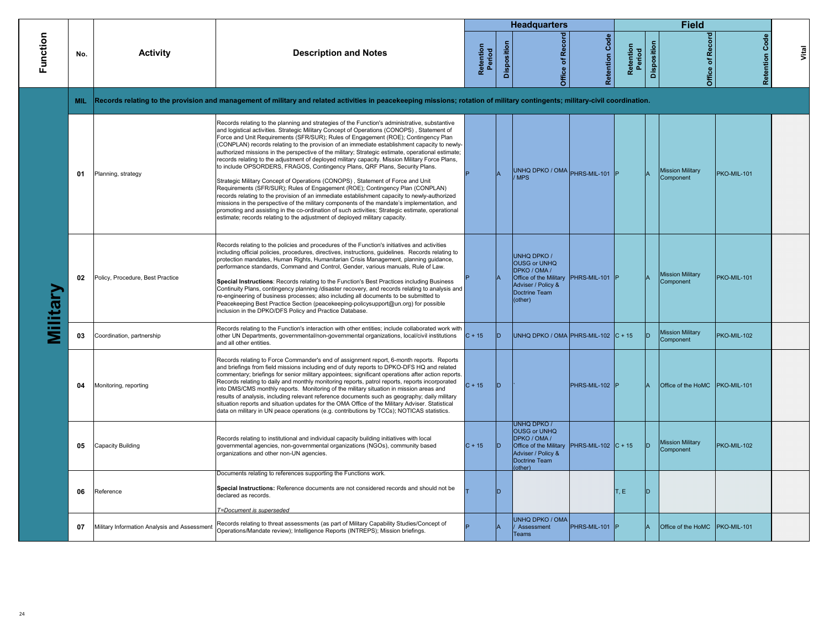|                 |            |                                              |                                                                                                                                                                                                                                                                                                                                                                                                                                                                                                                                                                                                                                                                                                                                                                                                                                                                                                                                                                                                                                                                                                                                                                                                                               |                     |             | <b>Headquarters</b>                                                                                                                                              |                       |                     |             | <b>Field</b>                         |                       |       |
|-----------------|------------|----------------------------------------------|-------------------------------------------------------------------------------------------------------------------------------------------------------------------------------------------------------------------------------------------------------------------------------------------------------------------------------------------------------------------------------------------------------------------------------------------------------------------------------------------------------------------------------------------------------------------------------------------------------------------------------------------------------------------------------------------------------------------------------------------------------------------------------------------------------------------------------------------------------------------------------------------------------------------------------------------------------------------------------------------------------------------------------------------------------------------------------------------------------------------------------------------------------------------------------------------------------------------------------|---------------------|-------------|------------------------------------------------------------------------------------------------------------------------------------------------------------------|-----------------------|---------------------|-------------|--------------------------------------|-----------------------|-------|
| Function        | No.        | <b>Activity</b>                              | <b>Description and Notes</b>                                                                                                                                                                                                                                                                                                                                                                                                                                                                                                                                                                                                                                                                                                                                                                                                                                                                                                                                                                                                                                                                                                                                                                                                  | Retention<br>Period | Disposition | Office of Record                                                                                                                                                 | <b>Retention Code</b> | Retention<br>Period | Disposition | Office of Record                     | <b>Retention Code</b> | Vital |
|                 | <b>MIL</b> |                                              | Records relating to the provision and management of military and related activities in peacekeeping missions; rotation of military contingents; military-civil coordination.                                                                                                                                                                                                                                                                                                                                                                                                                                                                                                                                                                                                                                                                                                                                                                                                                                                                                                                                                                                                                                                  |                     |             |                                                                                                                                                                  |                       |                     |             |                                      |                       |       |
|                 | 01         | Planning, strategy                           | Records relating to the planning and strategies of the Function's administrative, substantive<br>and logistical activities. Strategic Military Concept of Operations (CONOPS), Statement of<br>Force and Unit Requirements (SFR/SUR); Rules of Engagement (ROE); Contingency Plan<br>(CONPLAN) records relating to the provision of an immediate establishment capacity to newly-<br>authorized missions in the perspective of the military; Strategic estimate, operational estimate;<br>records relating to the adjustment of deployed military capacity. Mission Military Force Plans,<br>to include OPSORDERS, FRAGOS, Contingency Plans, QRF Plans, Security Plans.<br>Strategic Military Concept of Operations (CONOPS), Statement of Force and Unit<br>Requirements (SFR/SUR); Rules of Engagement (ROE); Contingency Plan (CONPLAN)<br>records relating to the provision of an immediate establishment capacity to newly-authorized<br>missions in the perspective of the military components of the mandate's implementation, and<br>promoting and assisting in the co-ordination of such activities; Strategic estimate, operational<br>estimate; records relating to the adjustment of deployed military capacity. |                     |             | UNHQ DPKO / OMA PHRS-MIL-101<br>/ MPS                                                                                                                            |                       |                     |             | <b>Mission Military</b><br>Component | PKO-MIL-101           |       |
| <b>Ailitary</b> | 02         | Policy, Procedure, Best Practice             | Records relating to the policies and procedures of the Function's initiatives and activities<br>including official policies, procedures, directives, instructions, guidelines. Records relating to<br>protection mandates, Human Rights, Humanitarian Crisis Management, planning quidance,<br>performance standards, Command and Control, Gender, various manuals, Rule of Law.<br>Special Instructions: Records relating to the Function's Best Practices including Business<br>Continuity Plans, contingency planning /disaster recovery, and records relating to analysis and<br>re-engineering of business processes; also including all documents to be submitted to<br>Peacekeeping Best Practice Section (peacekeeping-policysupport@un.org) for possible<br>inclusion in the DPKO/DFS Policy and Practice Database.                                                                                                                                                                                                                                                                                                                                                                                                  |                     |             | <b>UNHQ DPKO /</b><br><b>OUSG or UNHQ</b><br>DPKO / OMA /<br>Office of the Military PHRS-MIL-101<br>Adviser / Policy &<br>Doctrine Team<br>(other)               |                       |                     |             | <b>Mission Military</b><br>Component | PKO-MIL-101           |       |
|                 | 03         | Coordination, partnership                    | Records relating to the Function's interaction with other entities; include collaborated work with<br>other UN Departments, governmental/non-governmental organizations, local/civil institutions<br>and all other entities.                                                                                                                                                                                                                                                                                                                                                                                                                                                                                                                                                                                                                                                                                                                                                                                                                                                                                                                                                                                                  | $C + 15$            | lD.         | UNHQ DPKO / OMA PHRS-MIL-102 $ C + 15 $                                                                                                                          |                       |                     | ID.         | <b>Mission Military</b><br>Component | PKO-MIL-102           |       |
|                 | 04         | Monitoring, reporting                        | Records relating to Force Commander's end of assignment report, 6-month reports. Reports<br>and briefings from field missions including end of duty reports to DPKO-DFS HQ and related<br>commentary; briefings for senior military appointees; significant operations after action reports.<br>Records relating to daily and monthly monitoring reports, patrol reports, reports incorporated<br>into DMS/CMS monthly reports. Monitoring of the military situation in mission areas and<br>results of analysis, including relevant reference documents such as geography; daily military<br>situation reports and situation updates for the OMA Office of the Military Adviser. Statistical<br>data on military in UN peace operations (e.g. contributions by TCCs); NOTICAS statistics.                                                                                                                                                                                                                                                                                                                                                                                                                                    | $C + 15$            | In          |                                                                                                                                                                  | PHRS-MIL-102 F        |                     |             | Office of the HoMC PKO-MIL-101       |                       |       |
|                 | 05         | Capacity Building                            | Records relating to institutional and individual capacity building initiatives with local<br>governmental agencies, non-governmental organizations (NGOs), community based<br>organizations and other non-UN agencies.                                                                                                                                                                                                                                                                                                                                                                                                                                                                                                                                                                                                                                                                                                                                                                                                                                                                                                                                                                                                        | $C + 15$            | ID.         | <b>UNHQ DPKO/</b><br><b>OUSG or UNHQ</b><br>DPKO / OMA /<br>Office of the Military PHRS-MIL-102 $\vert$ C + 15<br>Adviser / Policy &<br>Doctrine Team<br>(other) |                       |                     | ID.         | <b>Mission Military</b><br>Component | PKO-MIL-102           |       |
|                 | 06         | Reference                                    | Documents relating to references supporting the Functions work.<br>Special Instructions: Reference documents are not considered records and should not be<br>declared as records.                                                                                                                                                                                                                                                                                                                                                                                                                                                                                                                                                                                                                                                                                                                                                                                                                                                                                                                                                                                                                                             |                     | lD.         |                                                                                                                                                                  |                       | T.E                 | ID.         |                                      |                       |       |
|                 | 07         | Military Information Analysis and Assessment | T=Document is superseded<br>Records relating to threat assessments (as part of Military Capability Studies/Concept of<br>Operations/Mandate review); Intelligence Reports (INTREPS); Mission briefings.                                                                                                                                                                                                                                                                                                                                                                                                                                                                                                                                                                                                                                                                                                                                                                                                                                                                                                                                                                                                                       |                     |             | <b>UNHQ DPKO / OMA</b><br>Assessment<br><b>Teams</b>                                                                                                             | PHRS-MIL-101 P        |                     |             | Office of the HoMC   PKO-MIL-101     |                       |       |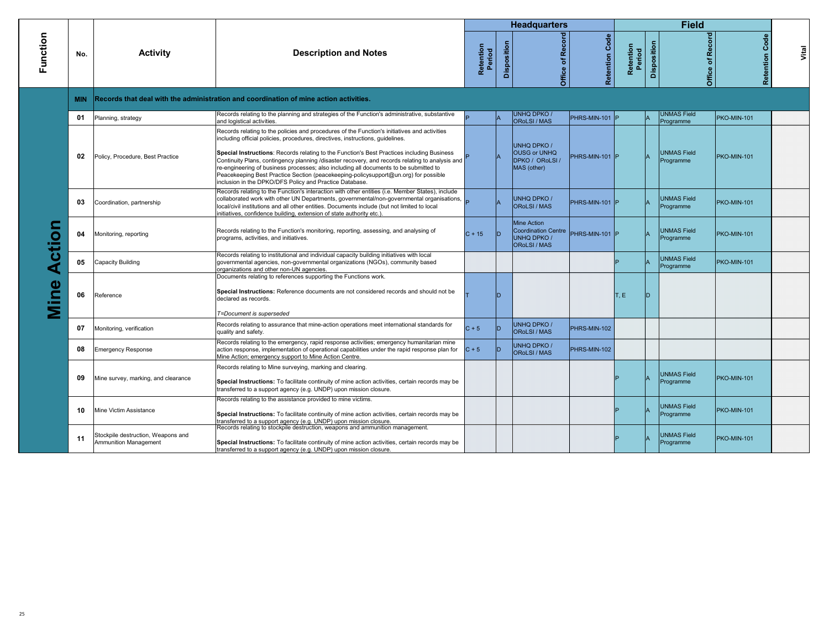|                               |            |                                                             |                                                                                                                                                                                                                                                                                                                                                                                                                                                                                                                                                                                                                            |                     |             | <b>Headquarters</b>                                                                   |                       |                     |             | <b>Field</b>                    |                       |       |
|-------------------------------|------------|-------------------------------------------------------------|----------------------------------------------------------------------------------------------------------------------------------------------------------------------------------------------------------------------------------------------------------------------------------------------------------------------------------------------------------------------------------------------------------------------------------------------------------------------------------------------------------------------------------------------------------------------------------------------------------------------------|---------------------|-------------|---------------------------------------------------------------------------------------|-----------------------|---------------------|-------------|---------------------------------|-----------------------|-------|
| Function                      | No.        | <b>Activity</b>                                             | <b>Description and Notes</b>                                                                                                                                                                                                                                                                                                                                                                                                                                                                                                                                                                                               | Retention<br>Period | Disposition | Office of Record                                                                      | <b>Retention Code</b> | Retention<br>Period | Disposition | Office of Record                | <b>Retention Code</b> | Vital |
|                               | <b>MIN</b> |                                                             | Records that deal with the administration and coordination of mine action activities.                                                                                                                                                                                                                                                                                                                                                                                                                                                                                                                                      |                     |             |                                                                                       |                       |                     |             |                                 |                       |       |
|                               | 01         | Planning, strategy                                          | Records relating to the planning and strategies of the Function's administrative, substantive<br>and logistical activities.                                                                                                                                                                                                                                                                                                                                                                                                                                                                                                |                     |             | UNHQ DPKO /<br><b>ORoLSI / MAS</b>                                                    | PHRS-MIN-101 P        |                     |             | <b>UNMAS Field</b><br>Programme | PKO-MIN-101           |       |
|                               | 02         | Policy, Procedure, Best Practice                            | Records relating to the policies and procedures of the Function's initiatives and activities<br>including official policies, procedures, directives, instructions, quidelines.<br>Special Instructions: Records relating to the Function's Best Practices including Business<br>Continuity Plans, contingency planning /disaster recovery, and records relating to analysis and<br>re-engineering of business processes; also including all documents to be submitted to<br>Peacekeeping Best Practice Section (peacekeeping-policysupport@un.org) for possible<br>inclusion in the DPKO/DFS Policy and Practice Database. |                     |             | UNHQ DPKO /<br><b>OUSG or UNHQ</b><br>DPKO / ORoLSI /<br>MAS (other)                  | PHRS-MIN-101 P        |                     |             | <b>UNMAS Field</b><br>Programme | <b>PKO-MIN-101</b>    |       |
|                               | 03         | Coordination, partnership                                   | Records relating to the Function's interaction with other entities (i.e. Member States), include<br>collaborated work with other UN Departments, governmental/non-governmental organisations,<br>local/civil institutions and all other entities. Documents include (but not limited to local<br>initiatives, confidence building, extension of state authority etc.)                                                                                                                                                                                                                                                      |                     |             | <b>UNHQ DPKO/</b><br>ORoLSI / MAS                                                     | PHRS-MIN-101 P        |                     |             | <b>UNMAS Field</b><br>Programme | <b>PKO-MIN-101</b>    |       |
| S<br>$\overline{c}$<br>e<br>Ē | 04         | Monitoring, reporting                                       | Records relating to the Function's monitoring, reporting, assessing, and analysing of<br>programs, activities, and initiatives.                                                                                                                                                                                                                                                                                                                                                                                                                                                                                            | $C + 15$            |             | Mine Action<br><b>Coordination Centre</b><br><b>UNHQ DPKO/</b><br><b>ORoLSI / MAS</b> | PHRS-MIN-101 P        |                     |             | <b>UNMAS Field</b><br>Programme | PKO-MIN-101           |       |
|                               | 05         | Capacity Building                                           | Records relating to institutional and individual capacity building initiatives with local<br>governmental agencies, non-governmental organizations (NGOs), community based<br>organizations and other non-UN agencies.                                                                                                                                                                                                                                                                                                                                                                                                     |                     |             |                                                                                       |                       |                     |             | <b>UNMAS Field</b><br>Programme | <b>PKO-MIN-101</b>    |       |
|                               | 06         | Reference                                                   | Documents relating to references supporting the Functions work.<br>Special Instructions: Reference documents are not considered records and should not be<br>declared as records.<br>T=Document is superseded                                                                                                                                                                                                                                                                                                                                                                                                              |                     |             |                                                                                       |                       | T, E                |             |                                 |                       |       |
|                               | 07         | Monitoring, verification                                    | Records relating to assurance that mine-action operations meet international standards for<br>quality and safety.                                                                                                                                                                                                                                                                                                                                                                                                                                                                                                          | $C + 5$             |             | UNHQ DPKO /<br>ORoLSI / MAS                                                           | PHRS-MIN-102          |                     |             |                                 |                       |       |
|                               | 08         | <b>Emergency Response</b>                                   | Records relating to the emergency, rapid response activities; emergency humanitarian mine<br>action response, implementation of operational capabilities under the rapid response plan for<br>Mine Action; emergency support to Mine Action Centre.                                                                                                                                                                                                                                                                                                                                                                        | $C + 5$             |             | UNHQ DPKO /<br>ORoLSI / MAS                                                           | PHRS-MIN-102          |                     |             |                                 |                       |       |
|                               | 09         | Mine survey, marking, and clearance                         | Records relating to Mine surveying, marking and clearing.<br>Special Instructions: To facilitate continuity of mine action activities, certain records may be<br>transferred to a support agency (e.g. UNDP) upon mission closure.                                                                                                                                                                                                                                                                                                                                                                                         |                     |             |                                                                                       |                       |                     |             | <b>UNMAS Field</b><br>Programme | <b>PKO-MIN-101</b>    |       |
|                               | 10         | Mine Victim Assistance                                      | Records relating to the assistance provided to mine victims.<br>Special Instructions: To facilitate continuity of mine action activities, certain records may be<br>transferred to a support agency (e.g. UNDP) upon mission closure.                                                                                                                                                                                                                                                                                                                                                                                      |                     |             |                                                                                       |                       |                     |             | <b>UNMAS Field</b><br>Programme | <b>PKO-MIN-101</b>    |       |
|                               | 11         | Stockpile destruction, Weapons and<br>Ammunition Management | Records relating to stockpile destruction, weapons and ammunition management.<br>Special Instructions: To facilitate continuity of mine action activities, certain records may be<br>transferred to a support agency (e.g. UNDP) upon mission closure.                                                                                                                                                                                                                                                                                                                                                                     |                     |             |                                                                                       |                       |                     |             | <b>UNMAS Field</b><br>Programme | <b>PKO-MIN-101</b>    |       |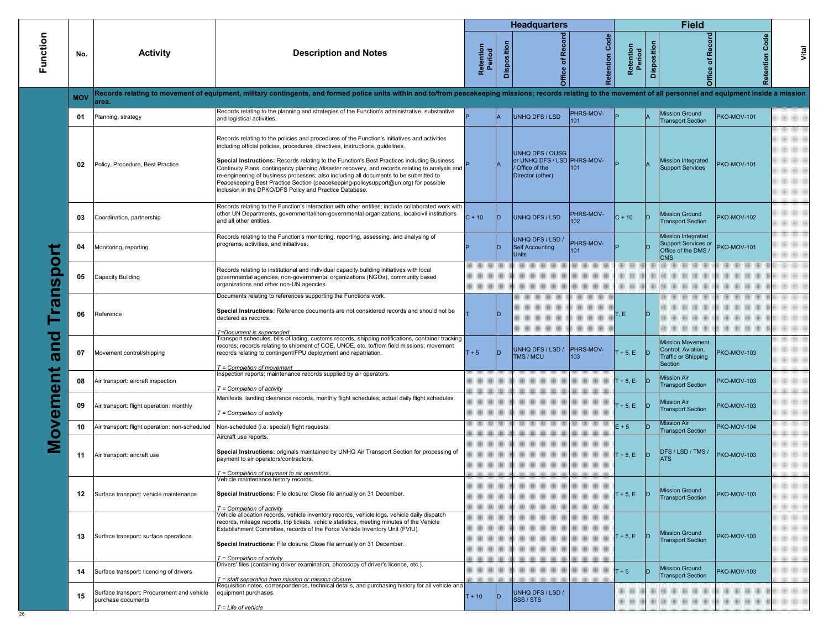|                            |            |                                                                  |                                                                                                                                                                                                                                                                                                                                                                                                                                                                                                                                                                                                                            |                     |             | <b>Headquarters</b>                                                                 |                         |                     |             | <b>Field</b>                                                                           |                    |       |
|----------------------------|------------|------------------------------------------------------------------|----------------------------------------------------------------------------------------------------------------------------------------------------------------------------------------------------------------------------------------------------------------------------------------------------------------------------------------------------------------------------------------------------------------------------------------------------------------------------------------------------------------------------------------------------------------------------------------------------------------------------|---------------------|-------------|-------------------------------------------------------------------------------------|-------------------------|---------------------|-------------|----------------------------------------------------------------------------------------|--------------------|-------|
| Function                   | No.        | <b>Activity</b>                                                  | <b>Description and Notes</b>                                                                                                                                                                                                                                                                                                                                                                                                                                                                                                                                                                                               | Retention<br>Period | Disposition | Record<br>Office of I                                                               | Code<br>Retention       | Retention<br>Period | Disposition | Record<br>Office of                                                                    | Code<br>Retention  | Vital |
|                            | <b>MOV</b> | area.                                                            | Records relating to movement of equipment, military contingents, and formed police units within and to/from peacekeeping missions; records relating to the movement of all personnel and equipment inside a mission                                                                                                                                                                                                                                                                                                                                                                                                        |                     |             |                                                                                     |                         |                     |             |                                                                                        |                    |       |
|                            | 01         | Planning, strategy                                               | Records relating to the planning and strategies of the Function's administrative, substantive<br>and logistical activities.                                                                                                                                                                                                                                                                                                                                                                                                                                                                                                |                     |             | <b>UNHQ DFS / LSD</b>                                                               | PHRS-MOV-<br>101        |                     |             | <b>Mission Ground</b><br><b>Transport Section</b>                                      | <b>PKO-MOV-101</b> |       |
|                            | 02         | Policy, Procedure, Best Practice                                 | Records relating to the policies and procedures of the Function's initiatives and activities<br>including official policies, procedures, directives, instructions, guidelines.<br>Special Instructions: Records relating to the Function's Best Practices including Business<br>Continuity Plans, contingency planning /disaster recovery, and records relating to analysis and<br>re-engineering of business processes; also including all documents to be submitted to<br>Peacekeeping Best Practice Section (peacekeeping-policysupport@un.org) for possible<br>inclusion in the DPKO/DFS Policy and Practice Database. |                     |             | UNHQ DFS / OUSG<br>or UNHQ DFS / LSD PHRS-MOV-<br>Office of the<br>Director (other) | 101                     |                     |             | Mission Integrated<br><b>Support Services</b>                                          | <b>PKO-MOV-101</b> |       |
|                            | 03         | Coordination, partnership                                        | Records relating to the Function's interaction with other entities; include collaborated work with<br>other UN Departments, governmental/non-governmental organizations, local/civil institutions<br>and all other entities.                                                                                                                                                                                                                                                                                                                                                                                               | $C + 10$            | ID          | <b>UNHQ DFS / LSD</b>                                                               | PHRS-MOV-<br>102        | $C + 10$            | ID          | <b>Mission Ground</b><br><b>Transport Section</b>                                      | <b>PKO-MOV-102</b> |       |
|                            | 04         | Monitoring, reporting                                            | Records relating to the Function's monitoring, reporting, assessing, and analysing of<br>programs, activities, and initiatives.                                                                                                                                                                                                                                                                                                                                                                                                                                                                                            |                     | ID          | JNHQ DFS / LSD /<br><b>Self Accounting</b><br><b>Units</b>                          | PHRS-MOV-<br>101        |                     |             | Mission Integrated<br>Support Services or<br>Office of the DMS /<br><b>CMS</b>         | <b>PKO-MOV-101</b> |       |
| <u>ලි</u><br>0<br><u>က</u> | 05         | <b>Capacity Building</b>                                         | Records relating to institutional and individual capacity building initiatives with local<br>governmental agencies, non-governmental organizations (NGOs), community based<br>organizations and other non-UN agencies.                                                                                                                                                                                                                                                                                                                                                                                                     |                     |             |                                                                                     |                         |                     |             |                                                                                        |                    |       |
| $\overline{\bm{v}}$        | 06         | Reference                                                        | Documents relating to references supporting the Functions work.<br>Special Instructions: Reference documents are not considered records and should not be<br>declared as records.                                                                                                                                                                                                                                                                                                                                                                                                                                          |                     | חו          |                                                                                     |                         | T, E                |             |                                                                                        |                    |       |
| and                        | 07         | Movement control/shipping                                        | T=Document is superseded<br>Transport schedules, bills of lading, customs records, shipping notifications, container tracking<br>records; records relating to shipment of COE, UNOE, etc. to/from field missions; movement<br>records relating to contingent/FPU deployment and repatriation.<br>T = Completion of movement                                                                                                                                                                                                                                                                                                | $T + 5$             | ID          | UNHQ DFS / LSD /<br>TMS / MCU                                                       | <b>PHRS-MOV-</b><br>103 | $T + 5$ , E         | ID.         | <b>Mission Movement</b><br>Control, Aviation,<br><b>Traffic or Shipping</b><br>Section | <b>PKO-MOV-103</b> |       |
|                            | 08         | Air transport: aircraft inspection                               | Inspection reports; maintenance records supplied by air operators.<br>$T =$ Completion of activity                                                                                                                                                                                                                                                                                                                                                                                                                                                                                                                         |                     |             |                                                                                     |                         | $T + 5, E$          |             | dission Air<br><b>Transport Section</b>                                                | <b>PKO-MOV-103</b> |       |
| ovement                    | 09         | Air transport: flight operation: monthly                         | Manifests, landing clearance records, monthly flight schedules, actual daily flight schedules.<br>$T =$ Completion of activity                                                                                                                                                                                                                                                                                                                                                                                                                                                                                             |                     |             |                                                                                     |                         | $T + 5$ , E         | ID          | <b>Mission Air</b><br><b>Transport Section</b>                                         | <b>PKO-MOV-103</b> |       |
|                            | 10         | Air transport: flight operation: non-scheduled                   | Non-scheduled (i.e. special) flight requests.                                                                                                                                                                                                                                                                                                                                                                                                                                                                                                                                                                              |                     |             |                                                                                     |                         | $E + 5$             |             | <b>Mission Air</b><br><b>Transport Section</b>                                         | PKO-MOV-104        |       |
|                            | 11         | Air transport: aircraft use                                      | Aircraft use reports.<br>Special Instructions: originals maintained by UNHQ Air Transport Section for processing of<br>payment to air operators/contractors.                                                                                                                                                                                                                                                                                                                                                                                                                                                               |                     |             |                                                                                     |                         | $T + 5$ , E         | ID.         | DFS / LSD / TMS /<br><b>ATS</b>                                                        | PKO-MOV-103        |       |
|                            | 12         | Surface transport: vehicle maintenance                           | $T =$ Completion of payment to air operators<br>Vehicle maintenance history records.<br>Special Instructions: File closure: Close file annually on 31 December.                                                                                                                                                                                                                                                                                                                                                                                                                                                            |                     |             |                                                                                     |                         | $T + 5, E$          | D           | Mission Ground<br><b>Transport Section</b>                                             | PKO-MOV-103        |       |
|                            | 13         | Surface transport: surface operations                            | $T =$ Completion of activity<br>Vehicle allocation records, vehicle inventory records, vehicle logs, vehicle daily dispatch<br>records, mileage reports, trip tickets, vehicle statistics, meeting minutes of the Vehicle<br>Establishment Committee, records of the Force Vehicle Inventory Unit (FVIU).<br>Special Instructions: File closure: Close file annually on 31 December.<br>$T =$ Completion of activity                                                                                                                                                                                                       |                     |             |                                                                                     |                         | $T + 5, E$          | ID.         | <b>Mission Ground</b><br><b>Transport Section</b>                                      | PKO-MOV-103        |       |
|                            | 14         | Surface transport: licencing of drivers                          | Drivers' files (containing driver examination, photocopy of driver's licence, etc.).<br>$T =$ staff separation from mission or mission closure.                                                                                                                                                                                                                                                                                                                                                                                                                                                                            |                     |             |                                                                                     |                         | $T + 5$             |             | <b>Mission Ground</b><br><b>Transport Section</b>                                      | PKO-MOV-103        |       |
|                            | 15         | Surface transport: Procurement and vehicle<br>purchase documents | Requisition notes, correspondence, technical details, and purchasing history for all vehicle and<br>equipment purchases.                                                                                                                                                                                                                                                                                                                                                                                                                                                                                                   | $T + 10$            | ID          | UNHQ DFS / LSD /<br>SSS / STS                                                       |                         |                     |             |                                                                                        |                    |       |
|                            |            |                                                                  | $T =$ Life of vehicle                                                                                                                                                                                                                                                                                                                                                                                                                                                                                                                                                                                                      |                     |             |                                                                                     |                         |                     |             |                                                                                        |                    |       |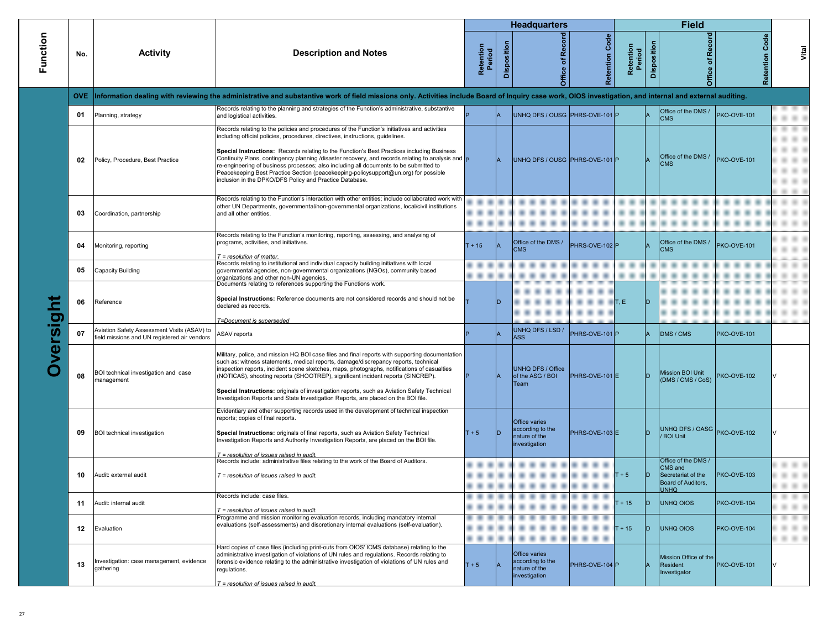|          |      |                                                                                             |                                                                                                                                                                                                                                                                                                                                                                                                                                                                                                                                                                                                                                                 |                     |                | <b>Headquarters</b>                                                 |                   |                     |             | <b>Field</b>                                                                              |             |                    |
|----------|------|---------------------------------------------------------------------------------------------|-------------------------------------------------------------------------------------------------------------------------------------------------------------------------------------------------------------------------------------------------------------------------------------------------------------------------------------------------------------------------------------------------------------------------------------------------------------------------------------------------------------------------------------------------------------------------------------------------------------------------------------------------|---------------------|----------------|---------------------------------------------------------------------|-------------------|---------------------|-------------|-------------------------------------------------------------------------------------------|-------------|--------------------|
| Function | No.  | <b>Activity</b>                                                                             | <b>Description and Notes</b>                                                                                                                                                                                                                                                                                                                                                                                                                                                                                                                                                                                                                    | Retention<br>Period | Disposition    | Record<br>Office of                                                 | Code<br>Retention | Retention<br>Period | Disposition | Office of Record                                                                          | Code        | Vital<br>Retention |
|          | OVE. |                                                                                             | Information dealing with reviewing the administrative and substantive work of field missions only. Activities include Board of Inquiry case work, OIOS investigation, and internal and external auditing.                                                                                                                                                                                                                                                                                                                                                                                                                                       |                     |                |                                                                     |                   |                     |             |                                                                                           |             |                    |
|          | 01   | Planning, strategy                                                                          | Records relating to the planning and strategies of the Function's administrative, substantive<br>and logistical activities.                                                                                                                                                                                                                                                                                                                                                                                                                                                                                                                     |                     |                | UNHQ DFS / OUSG PHRS-OVE-101 P                                      |                   |                     |             | Office of the DMS /<br><b>CMS</b>                                                         | PKO-OVE-101 |                    |
|          | 02   | Policy, Procedure, Best Practice                                                            | Records relating to the policies and procedures of the Function's initiatives and activities<br>including official policies, procedures, directives, instructions, guidelines.<br>Special Instructions: Records relating to the Function's Best Practices including Business<br>Continuity Plans, contingency planning /disaster recovery, and records relating to analysis and $\vert_{\mathsf{P}}$<br>re-engineering of business processes; also including all documents to be submitted to<br>Peacekeeping Best Practice Section (peacekeeping-policysupport@un.org) for possible<br>inclusion in the DPKO/DFS Policy and Practice Database. |                     |                | UNHQ DFS / OUSG PHRS-OVE-101 P                                      |                   |                     |             | Office of the DMS /<br><b>CMS</b>                                                         | PKO-OVE-101 |                    |
|          | 03   | Coordination, partnership                                                                   | Records relating to the Function's interaction with other entities; include collaborated work with<br>other UN Departments, governmental/non-governmental organizations, local/civil institutions<br>and all other entities.                                                                                                                                                                                                                                                                                                                                                                                                                    |                     |                |                                                                     |                   |                     |             |                                                                                           |             |                    |
|          | 04   | Monitoring, reporting                                                                       | Records relating to the Function's monitoring, reporting, assessing, and analysing of<br>programs, activities, and initiatives.<br>$T = resolution of matter$ .                                                                                                                                                                                                                                                                                                                                                                                                                                                                                 | $F + 15$            |                | Office of the DMS /<br><b>CMS</b>                                   | PHRS-OVE-102 P    |                     |             | Office of the DMS /<br><b>CMS</b>                                                         | PKO-OVE-101 |                    |
| versight | 05   | Capacity Building                                                                           | Records relating to institutional and individual capacity building initiatives with local<br>governmental agencies, non-governmental organizations (NGOs), community based<br>organizations and other non-UN agencies.<br>Documents relating to references supporting the Functions work.                                                                                                                                                                                                                                                                                                                                                       |                     |                |                                                                     |                   |                     |             |                                                                                           |             |                    |
|          | 06   | Reference                                                                                   | Special Instructions: Reference documents are not considered records and should not be<br>declared as records.<br>T=Document is superseded                                                                                                                                                                                                                                                                                                                                                                                                                                                                                                      |                     | ID             |                                                                     |                   | T, E                | D           |                                                                                           |             |                    |
|          | 07   | Aviation Safety Assessment Visits (ASAV) to<br>field missions and UN registered air vendors | <b>ASAV</b> reports                                                                                                                                                                                                                                                                                                                                                                                                                                                                                                                                                                                                                             |                     | $\overline{A}$ | UNHQ DFS / LSD /<br><b>ASS</b>                                      | PHRS-OVE-101 P    |                     |             | DMS / CMS                                                                                 | PKO-OVE-101 |                    |
|          | 08   | BOI technical investigation and case<br>management                                          | Military, police, and mission HQ BOI case files and final reports with supporting documentation<br>such as: witness statements, medical reports, damage/discrepancy reports, technical<br>inspection reports, incident scene sketches, maps, photographs, notifications of casualties<br>(NOTICAS), shooting reports (SHOOTREP), significant incident reports (SINCREP).<br>Special Instructions: originals of investigation reports, such as Aviation Safety Technical<br>Investigation Reports and State Investigation Reports, are placed on the BOI file.                                                                                   |                     |                | UNHQ DFS / Office<br>of the ASG / BOI<br>Team                       | PHRS-OVE-101 E    |                     |             | <b>Mission BOI Unit</b><br>(DMS / CMS / CoS)                                              | PKO-OVE-102 |                    |
|          | 09   | <b>BOI</b> technical investigation                                                          | Evidentiary and other supporting records used in the development of technical inspection<br>reports; copies of final reports.<br>Special Instructions: originals of final reports, such as Aviation Safety Technical<br>Investigation Reports and Authority Investigation Reports, are placed on the BOI file.                                                                                                                                                                                                                                                                                                                                  | $T + 5$             | lD             | Office varies<br>according to the<br>nature of the<br>investigation | PHRS-OVE-103 E    |                     | D           | UNHQ DFS / OASG PKO-OVE-102<br><b>BOI Unit</b>                                            |             |                    |
|          | 10   | Audit: external audit                                                                       | $T = resolution$ of issues raised in audit.<br>Records include: administrative files relating to the work of the Board of Auditors.<br>$T =$ resolution of issues raised in audit.                                                                                                                                                                                                                                                                                                                                                                                                                                                              |                     |                |                                                                     |                   | $T + 5$             | ID          | Office of the DMS /<br>CMS and<br>Secretariat of the<br>Board of Auditors,<br><b>UNHQ</b> | PKO-OVE-103 |                    |
|          | 11   | Audit: internal audit                                                                       | Records include: case files.<br>$T =$ resolution of issues raised in audit.                                                                                                                                                                                                                                                                                                                                                                                                                                                                                                                                                                     |                     |                |                                                                     |                   | $T + 15$            | ID.         | <b>UNHQ OIOS</b>                                                                          | PKO-OVE-104 |                    |
|          | 12   | Evaluation                                                                                  | Programme and mission monitoring evaluation records, including mandatory internal<br>evaluations (self-assessments) and discretionary internal evaluations (self-evaluation).                                                                                                                                                                                                                                                                                                                                                                                                                                                                   |                     |                |                                                                     |                   | $T + 15$            | ID.         | <b>UNHQ OIOS</b>                                                                          | PKO-OVE-104 |                    |
|          | 13   | nvestigation: case management, evidence<br>gathering                                        | Hard copies of case files (including print-outs from OIOS' ICMS database) relating to the<br>administrative investigation of violations of UN rules and regulations. Records relating to<br>forensic evidence relating to the administrative investigation of violations of UN rules and<br>regulations.<br>$T =$ resolution of issues raised in audit.                                                                                                                                                                                                                                                                                         | $r + 5$             |                | Office varies<br>according to the<br>ature of the<br>investigation  | PHRS-OVE-104 P    |                     |             | Mission Office of the<br>Resident<br>Investigator                                         | PKO-OVE-101 |                    |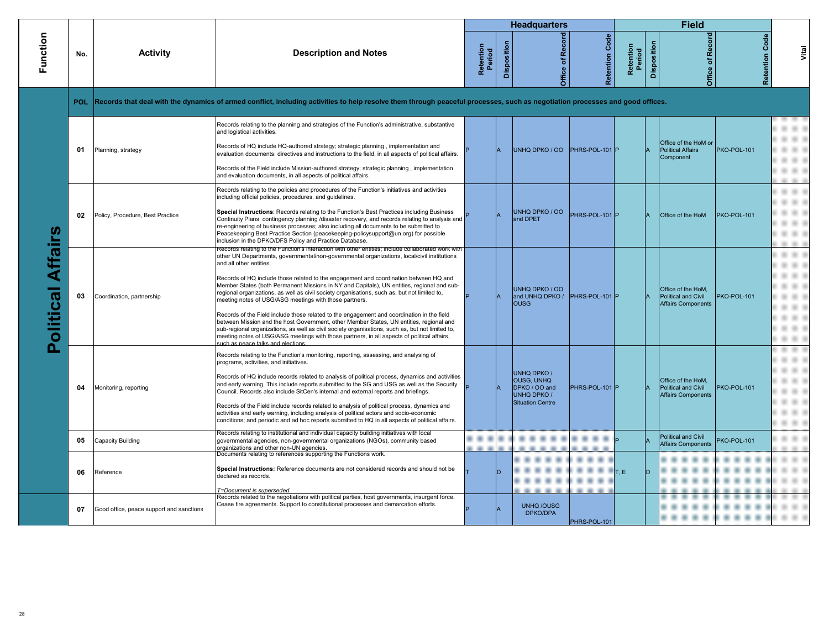|                             |     |                                          |                                                                                                                                                                                                                                                                                                                                                                                                                                                                                                                                                                                                                                                                                                                                                                                                                                                                                                                                                                                                                 |                     |             | <b>Headquarters</b>                                                                         |                       |                     |             | <b>Field</b>                                                           |                   |       |
|-----------------------------|-----|------------------------------------------|-----------------------------------------------------------------------------------------------------------------------------------------------------------------------------------------------------------------------------------------------------------------------------------------------------------------------------------------------------------------------------------------------------------------------------------------------------------------------------------------------------------------------------------------------------------------------------------------------------------------------------------------------------------------------------------------------------------------------------------------------------------------------------------------------------------------------------------------------------------------------------------------------------------------------------------------------------------------------------------------------------------------|---------------------|-------------|---------------------------------------------------------------------------------------------|-----------------------|---------------------|-------------|------------------------------------------------------------------------|-------------------|-------|
| Function                    | No. | <b>Activity</b>                          | <b>Description and Notes</b>                                                                                                                                                                                                                                                                                                                                                                                                                                                                                                                                                                                                                                                                                                                                                                                                                                                                                                                                                                                    | Retention<br>Period | Disposition | Office of Record                                                                            | <b>Retention Code</b> | Retention<br>Period | Disposition | Office of Record                                                       | Code<br>Retention | Vital |
|                             |     |                                          | POL Records that deal with the dynamics of armed conflict, including activities to help resolve them through peaceful processes, such as negotiation processes and good offices.                                                                                                                                                                                                                                                                                                                                                                                                                                                                                                                                                                                                                                                                                                                                                                                                                                |                     |             |                                                                                             |                       |                     |             |                                                                        |                   |       |
|                             | 01  | Planning, strategy                       | Records relating to the planning and strategies of the Function's administrative, substantive<br>and logistical activities.<br>Records of HQ include HQ-authored strategy; strategic planning, implementation and<br>evaluation documents; directives and instructions to the field, in all aspects of political affairs.<br>Records of the Field include Mission-authored strategy; strategic planning, implementation<br>and evaluation documents, in all aspects of political affairs.                                                                                                                                                                                                                                                                                                                                                                                                                                                                                                                       |                     |             | UNHQ DPKO / OO PHRS-POL-101 P                                                               |                       |                     |             | Office of the HoM or<br><b>Political Affairs</b><br>Component          | PKO-POL-101       |       |
|                             | 02  | Policy, Procedure, Best Practice         | Records relating to the policies and procedures of the Function's initiatives and activities<br>including official policies, procedures, and guidelines.<br>Special Instructions: Records relating to the Function's Best Practices including Business<br>Continuity Plans, contingency planning /disaster recovery, and records relating to analysis and<br>re-engineering of business processes; also including all documents to be submitted to<br>Peacekeeping Best Practice Section (peacekeeping-policysupport@un.org) for possible<br>inclusion in the DPKO/DFS Policy and Practice Database.                                                                                                                                                                                                                                                                                                                                                                                                            |                     |             | UNHQ DPKO / OO<br>and DPET                                                                  | PHRS-POL-101 P        |                     |             | Office of the HoM                                                      | PKO-POL-101       |       |
| Affairs<br><b>Political</b> | 03  | Coordination, partnership                | Records relating to the Function's interaction with other entities; include collaborated work with<br>other UN Departments, governmental/non-governmental organizations, local/civil institutions<br>and all other entities.<br>Records of HQ include those related to the engagement and coordination between HQ and<br>Member States (both Permanent Missions in NY and Capitals), UN entities, regional and sub-<br>regional organizations, as well as civil society organisations, such as, but not limited to,<br>meeting notes of USG/ASG meetings with those partners.<br>Records of the Field include those related to the engagement and coordination in the field<br>between Mission and the host Government, other Member States, UN entities, regional and<br>sub-regional organizations, as well as civil society organisations, such as, but not limited to,<br>meeting notes of USG/ASG meetings with those partners, in all aspects of political affairs,<br>such as peace talks and elections. |                     |             | UNHQ DPKO / OO<br>and UNHQ DPKO /<br><b>OUSG</b>                                            | PHRS-POL-101 P        |                     |             | Office of the HoM.<br>Political and Civil<br>Affairs Components        | PKO-POL-101       |       |
|                             | 04  | Monitoring, reporting                    | Records relating to the Function's monitoring, reporting, assessing, and analysing of<br>programs, activities, and initiatives.<br>Records of HQ include records related to analysis of political process, dynamics and activities<br>and early warning. This include reports submitted to the SG and USG as well as the Security<br>Council. Records also include SitCen's internal and external reports and briefings.<br>Records of the Field include records related to analysis of political process, dynamics and<br>activities and early warning, including analysis of political actors and socio-economic<br>conditions; and periodic and ad hoc reports submitted to HQ in all aspects of political affairs.                                                                                                                                                                                                                                                                                          |                     |             | UNHQ DPKO /<br><b>OUSG. UNHQ</b><br>DPKO / OO and<br>UNHQ DPKO /<br><b>Situation Centre</b> | PHRS-POL-101 P        |                     |             | Office of the HoM.<br>Political and Civil<br><b>Affairs Components</b> | PKO-POL-101       |       |
|                             | 05  | Capacity Building                        | Records relating to institutional and individual capacity building initiatives with local<br>governmental agencies, non-governmental organizations (NGOs), community based<br>organizations and other non-UN agencies.<br>Documents relating to references supporting the Functions work.                                                                                                                                                                                                                                                                                                                                                                                                                                                                                                                                                                                                                                                                                                                       |                     |             |                                                                                             |                       |                     |             | Political and Civil<br><b>Affairs Components</b>                       | PKO-POL-101       |       |
|                             | 06  | Reference                                | Special Instructions: Reference documents are not considered records and should not be<br>declared as records.<br>T=Document is superseded                                                                                                                                                                                                                                                                                                                                                                                                                                                                                                                                                                                                                                                                                                                                                                                                                                                                      |                     |             |                                                                                             |                       | T, E                | D           |                                                                        |                   |       |
|                             | 07  | Good office, peace support and sanctions | Records related to the negotiations with political parties, host governments, insurgent force.<br>Cease fire agreements. Support to constitutional processes and demarcation efforts.                                                                                                                                                                                                                                                                                                                                                                                                                                                                                                                                                                                                                                                                                                                                                                                                                           |                     |             | <b>UNHQ/OUSG</b><br>DPKO/DPA                                                                | PHRS-POL-101          |                     |             |                                                                        |                   |       |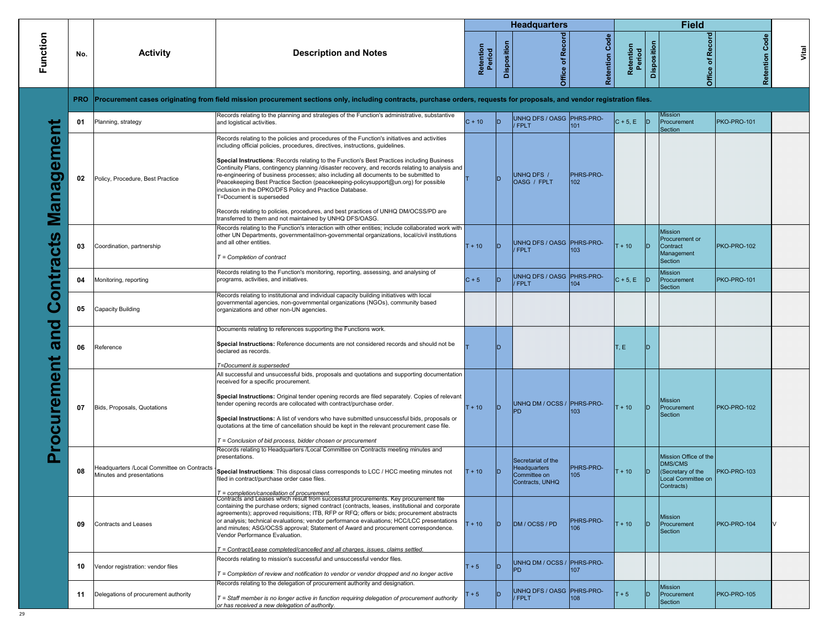|            |            |                                                                         |                                                                                                                                                                                                                                                                                                                                                                                                                                                                                                                                                           |                     |             | <b>Headquarters</b>                                |                                      |                     |             | <b>Field</b>                                                                |                       |       |
|------------|------------|-------------------------------------------------------------------------|-----------------------------------------------------------------------------------------------------------------------------------------------------------------------------------------------------------------------------------------------------------------------------------------------------------------------------------------------------------------------------------------------------------------------------------------------------------------------------------------------------------------------------------------------------------|---------------------|-------------|----------------------------------------------------|--------------------------------------|---------------------|-------------|-----------------------------------------------------------------------------|-----------------------|-------|
| Function   | No.        | <b>Activity</b>                                                         | <b>Description and Notes</b>                                                                                                                                                                                                                                                                                                                                                                                                                                                                                                                              | Retention<br>Period | Disposition | Record<br>Office of                                | Code<br>Retention                    | Retention<br>Period | Disposition | Record<br>Office of                                                         | <b>Retention Code</b> | Vital |
|            | <b>PRO</b> |                                                                         | Procurement cases originating from field mission procurement sections only, including contracts, purchase orders, requests for proposals, and vendor registration files.                                                                                                                                                                                                                                                                                                                                                                                  |                     |             |                                                    |                                      |                     |             |                                                                             |                       |       |
|            | 01         | Planning, strategy                                                      | Records relating to the planning and strategies of the Function's administrative, substantive<br>and logistical activities.                                                                                                                                                                                                                                                                                                                                                                                                                               | $C + 10$            | <b>ID</b>   | UNHQ DFS / OASG PHRS-PRO-<br>/ FPLT                | 101                                  | $C + 5$ , E $ D $   |             | Mission<br>Procurement<br>Section                                           | PKO-PRO-101           |       |
|            |            |                                                                         | Records relating to the policies and procedures of the Function's initiatives and activities<br>including official policies, procedures, directives, instructions, guidelines.                                                                                                                                                                                                                                                                                                                                                                            |                     |             |                                                    |                                      |                     |             |                                                                             |                       |       |
| Management | 02         | Policy, Procedure, Best Practice                                        | Special Instructions: Records relating to the Function's Best Practices including Business<br>Continuity Plans, contingency planning /disaster recovery, and records relating to analysis and<br>re-engineering of business processes; also including all documents to be submitted to<br>Peacekeeping Best Practice Section (peacekeeping-policysupport@un.org) for possible<br>inclusion in the DPKO/DFS Policy and Practice Database.<br>T=Document is superseded                                                                                      |                     |             | UNHQ DFS /<br>OASG / FPLT                          | <b>PHRS-PRO-</b><br>102 <sub>2</sub> |                     |             |                                                                             |                       |       |
|            |            |                                                                         | Records relating to policies, procedures, and best practices of UNHQ DM/OCSS/PD are<br>transferred to them and not maintained by UNHQ DFS/OASG.                                                                                                                                                                                                                                                                                                                                                                                                           |                     |             |                                                    |                                      |                     |             |                                                                             |                       |       |
| ontracts   | 03         | Coordination, partnership                                               | Records relating to the Function's interaction with other entities; include collaborated work with<br>other UN Departments, governmental/non-governmental organizations, local/civil institutions<br>and all other entities.<br>$T =$ Completion of contract                                                                                                                                                                                                                                                                                              | $T + 10$            | ID.         | UNHQ DFS / OASG PHRS-PRO-<br><b>FPLT</b>           | 103                                  | $T + 10$            | חו          | <b>Mission</b><br>Procurement or<br>Contract<br>Management<br>Section       | PKO-PRO-102           |       |
|            | 04         | Monitoring, reporting                                                   | Records relating to the Function's monitoring, reporting, assessing, and analysing of<br>programs, activities, and initiatives.                                                                                                                                                                                                                                                                                                                                                                                                                           | $C + 5$             |             | UNHQ DFS / OASG PHRS-PRO-<br><b>FPLT</b>           | 104                                  | $C + 5$ , E D       |             | <b>Mission</b><br>Procurement<br>Section                                    | PKO-PRO-101           |       |
| ی          | 05         | Capacity Building                                                       | Records relating to institutional and individual capacity building initiatives with local<br>governmental agencies, non-governmental organizations (NGOs), community based<br>organizations and other non-UN agencies.                                                                                                                                                                                                                                                                                                                                    |                     |             |                                                    |                                      |                     |             |                                                                             |                       |       |
| and        |            |                                                                         | Documents relating to references supporting the Functions work.                                                                                                                                                                                                                                                                                                                                                                                                                                                                                           |                     |             |                                                    |                                      |                     |             |                                                                             |                       |       |
|            | 06         | Reference                                                               | Special Instructions: Reference documents are not considered records and should not be<br>declared as records.                                                                                                                                                                                                                                                                                                                                                                                                                                            |                     |             |                                                    |                                      | T, E.               | חו          |                                                                             |                       |       |
|            |            |                                                                         | T=Document is superseded<br>All successful and unsuccessful bids, proposals and quotations and supporting documentation<br>received for a specific procurement.                                                                                                                                                                                                                                                                                                                                                                                           |                     |             |                                                    |                                      |                     |             |                                                                             |                       |       |
| rocurement | 07         | Bids, Proposals, Quotations                                             | Special Instructions: Original tender opening records are filed separately. Copies of relevant<br>tender opening records are collocated with contract/purchase order.                                                                                                                                                                                                                                                                                                                                                                                     | $T + 10$            | ID          | UNHQ DM / OCSS / PHRS-PRO-<br>PD.                  | 103                                  | $T + 10$            | ID.         | <b>Mission</b><br>Procurement<br>Section                                    | PKO-PRO-102           |       |
|            |            |                                                                         | Special Instructions: A list of vendors who have submitted unsuccessful bids, proposals or<br>quotations at the time of cancellation should be kept in the relevant procurement case file.<br>T = Conclusion of bid process, bidder chosen or procurement                                                                                                                                                                                                                                                                                                 |                     |             |                                                    |                                      |                     |             |                                                                             |                       |       |
|            | 08         | Headquarters /Local Committee on Contracts<br>Minutes and presentations | Records relating to Headquarters /Local Committee on Contracts meeting minutes and<br>presentations.<br>Special Instructions: This disposal class corresponds to LCC / HCC meeting minutes not<br>filed in contract/purchase order case files.                                                                                                                                                                                                                                                                                                            | $T + 10$            |             | Secretariat of the<br>Headquarters<br>Committee on | <b>PHRS-PRO-</b><br>105              | $T + 10$            |             | Mission Office of the<br>DMS/CMS<br>(Secretary of the<br>Local Committee on | PKO-PRO-103           |       |
|            |            |                                                                         |                                                                                                                                                                                                                                                                                                                                                                                                                                                                                                                                                           |                     |             | Contracts, UNHQ                                    |                                      |                     |             | Contracts)                                                                  |                       |       |
|            | 09         | Contracts and Leases                                                    | T = completion/cancellation of procurement.<br>Contracts and Leases which result from successful procurements. Key procurement file<br>containing the purchase orders; signed contract (contracts, leases, institutional and corporate<br>agreements); approved requisitions; ITB, RFP or RFQ; offers or bids; procurement abstracts<br>or analysis; technical evaluations; vendor performance evaluations; HCC/LCC presentations<br>and minutes; ASG/OCSS approval; Statement of Award and procurement correspondence.<br>Vendor Performance Evaluation. | $T + 10$            | ID.         | DM / OCSS / PD                                     | PHRS-PRO-<br>106                     | $T + 10$            | ID.         | Mission<br>Procurement<br>Section                                           | PKO-PRO-104           |       |
|            |            |                                                                         | T = Contract/Lease completed/cancelled and all charges, issues, claims settled.                                                                                                                                                                                                                                                                                                                                                                                                                                                                           |                     |             |                                                    |                                      |                     |             |                                                                             |                       |       |
|            | 10         | Vendor registration: vendor files                                       | Records relating to mission's successful and unsuccessful vendor files.<br>$T =$ Completion of review and notification to vendor or vendor dropped and no longer active                                                                                                                                                                                                                                                                                                                                                                                   | $T + 5$             | ID          | UNHQ DM / OCSS / PHRS-PRO-<br><b>PD</b>            | 107                                  |                     |             |                                                                             |                       |       |
|            | 11         | Delegations of procurement authority                                    | Records relating to the delegation of procurement authority and designation.<br>$T =$ Staff member is no longer active in function requiring delegation of procurement authority<br>or has received a new delegation of authority.                                                                                                                                                                                                                                                                                                                        | $+5$                |             | UNHQ DFS / OASG PHRS-PRO-<br><b>FPLT</b>           | 108                                  | $+5$                | ID          | <b>Mission</b><br>Procurement<br>Section                                    | PKO-PRO-105           |       |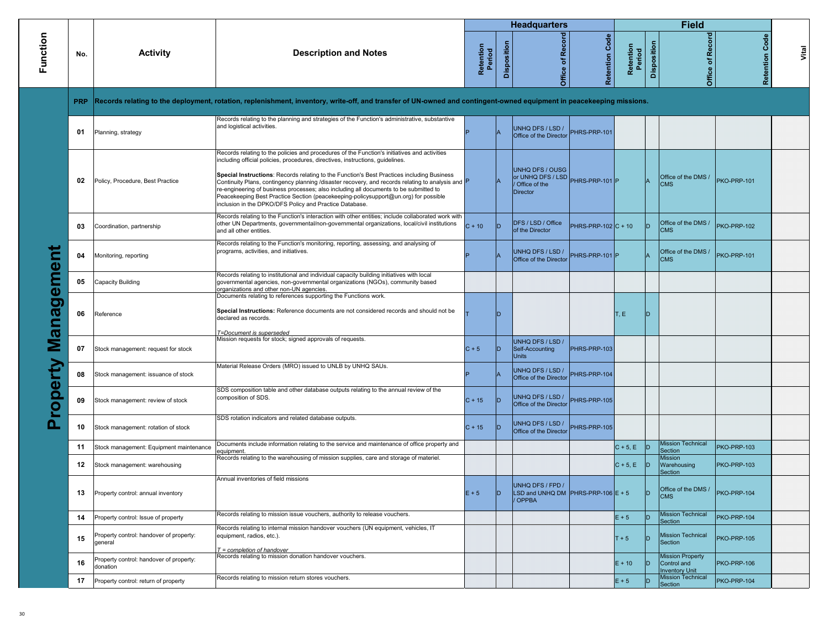|            |            |                                                     |                                                                                                                                                                                                                                                                                                                                                                                                                                                                                                                                                                                                                              |                     |             | <b>Headquarters</b>                                                             |                       |                     |             | <b>Field</b>                                                    |                       |       |
|------------|------------|-----------------------------------------------------|------------------------------------------------------------------------------------------------------------------------------------------------------------------------------------------------------------------------------------------------------------------------------------------------------------------------------------------------------------------------------------------------------------------------------------------------------------------------------------------------------------------------------------------------------------------------------------------------------------------------------|---------------------|-------------|---------------------------------------------------------------------------------|-----------------------|---------------------|-------------|-----------------------------------------------------------------|-----------------------|-------|
| Function   | No.        | <b>Activity</b>                                     | <b>Description and Notes</b>                                                                                                                                                                                                                                                                                                                                                                                                                                                                                                                                                                                                 | Retention<br>Period | Disposition | <b>Office of Record</b>                                                         | Code<br>Retention     | Retention<br>Period | Disposition | Office of Record                                                | <b>Retention Code</b> | Vital |
|            | <b>PRP</b> |                                                     | Records relating to the deployment, rotation, replenishment, inventory, write-off, and transfer of UN-owned and contingent-owned equipment in peacekeeping missions.                                                                                                                                                                                                                                                                                                                                                                                                                                                         |                     |             |                                                                                 |                       |                     |             |                                                                 |                       |       |
|            | 01         | Planning, strategy                                  | Records relating to the planning and strategies of the Function's administrative, substantive<br>and logistical activities.                                                                                                                                                                                                                                                                                                                                                                                                                                                                                                  |                     |             | UNHQ DFS / LSD /<br>Office of the Director                                      | PHRS-PRP-101          |                     |             |                                                                 |                       |       |
|            | 02         | Policy, Procedure, Best Practice                    | Records relating to the policies and procedures of the Function's initiatives and activities<br>including official policies, procedures, directives, instructions, guidelines.<br>Special Instructions: Records relating to the Function's Best Practices including Business<br>Continuity Plans, contingency planning /disaster recovery, and records relating to analysis and P<br>re-engineering of business processes; also including all documents to be submitted to<br>Peacekeeping Best Practice Section (peacekeeping-policysupport@un.org) for possible<br>inclusion in the DPKO/DFS Policy and Practice Database. |                     |             | <b>UNHQ DFS / OUSG</b><br>or UNHQ DFS / LSD<br>Office of the<br><b>Director</b> | PHRS-PRP-101 P        |                     |             | Office of the DMS /<br><b>CMS</b>                               | PKO-PRP-101           |       |
|            | 03         | Coordination, partnership                           | Records relating to the Function's interaction with other entities; include collaborated work with<br>other UN Departments, governmental/non-governmental organizations, local/civil institutions<br>and all other entities.                                                                                                                                                                                                                                                                                                                                                                                                 | $C + 10$            | <b>D</b>    | DFS / LSD / Office<br>of the Director                                           | PHRS-PRP-102 $C + 10$ |                     | ID.         | Office of the DMS /<br><b>CMS</b>                               | PKO-PRP-102           |       |
|            | 04         | Monitoring, reporting                               | Records relating to the Function's monitoring, reporting, assessing, and analysing of<br>programs, activities, and initiatives.                                                                                                                                                                                                                                                                                                                                                                                                                                                                                              |                     |             | UNHQ DFS / LSD /<br>Office of the Director                                      | PHRS-PRP-101 P        |                     |             | Office of the DMS /<br><b>CMS</b>                               | PKO-PRP-101           |       |
|            | 05         | Capacity Building                                   | Records relating to institutional and individual capacity building initiatives with local<br>governmental agencies, non-governmental organizations (NGOs), community based<br>organizations and other non-UN agencies.<br>Documents relating to references supporting the Functions work.                                                                                                                                                                                                                                                                                                                                    |                     |             |                                                                                 |                       |                     |             |                                                                 |                       |       |
| Management | 06         | Reference                                           | Special Instructions: Reference documents are not considered records and should not be<br>declared as records.                                                                                                                                                                                                                                                                                                                                                                                                                                                                                                               |                     |             |                                                                                 |                       | T, E                | D           |                                                                 |                       |       |
|            | 07         | Stock management: request for stock                 | T=Document is superseded<br>Mission requests for stock; signed approvals of requests.                                                                                                                                                                                                                                                                                                                                                                                                                                                                                                                                        | $C + 5$             | ID          | UNHQ DFS / LSD /<br>Self-Accounting<br><b>Units</b>                             | PHRS-PRP-103          |                     |             |                                                                 |                       |       |
|            | 08         | Stock management: issuance of stock                 | Material Release Orders (MRO) issued to UNLB by UNHQ SAUs.                                                                                                                                                                                                                                                                                                                                                                                                                                                                                                                                                                   |                     |             | UNHQ DFS / LSD /<br>Office of the Director                                      | PHRS-PRP-104          |                     |             |                                                                 |                       |       |
| roperty    | 09         | Stock management: review of stock                   | SDS composition table and other database outputs relating to the annual review of the<br>composition of SDS.                                                                                                                                                                                                                                                                                                                                                                                                                                                                                                                 | $C + 15$            | ID          | UNHQ DFS / LSD /<br>Office of the Director                                      | PHRS-PRP-105          |                     |             |                                                                 |                       |       |
| Δ          | 10         | Stock management: rotation of stock                 | SDS rotation indicators and related database outputs.                                                                                                                                                                                                                                                                                                                                                                                                                                                                                                                                                                        | $C + 15$            | ID          | UNHQ DFS / LSD /<br>Office of the Director                                      | PHRS-PRP-105          |                     |             |                                                                 |                       |       |
|            | 11         | Stock management: Equipment maintenance             | Documents include information relating to the service and maintenance of office property and                                                                                                                                                                                                                                                                                                                                                                                                                                                                                                                                 |                     |             |                                                                                 |                       | $C + 5, E$          | D           | <b>Mission Technical</b><br>Section                             | PKO-PRP-103           |       |
|            | 12         | Stock management: warehousing                       | equipment.<br>Records relating to the warehousing of mission supplies, care and storage of materiel.                                                                                                                                                                                                                                                                                                                                                                                                                                                                                                                         |                     |             |                                                                                 |                       | $C + 5, E$          | D           | <b>Mission</b><br>Warehousing<br>Section                        | PKO-PRP-103           |       |
|            | 13         | Property control: annual inventory                  | Annual inventories of field missions                                                                                                                                                                                                                                                                                                                                                                                                                                                                                                                                                                                         | $E + 5$             | D           | UNHQ DFS / FPD /<br>LSD and UNHQ DM   PHRS-PRP-106 $E + 5$<br>OPPBA             |                       |                     | ID.         | Office of the DMS /<br><b>CMS</b>                               | PKO-PRP-104           |       |
|            | 14         | Property control: Issue of property                 | Records relating to mission issue vouchers, authority to release vouchers.                                                                                                                                                                                                                                                                                                                                                                                                                                                                                                                                                   |                     |             |                                                                                 |                       | $E + 5$             | ID.         | <b>Mission Technical</b><br>Section                             | PKO-PRP-104           |       |
|            | 15         | Property control: handover of property:<br>general  | Records relating to internal mission handover vouchers (UN equipment, vehicles, IT<br>equipment, radios, etc.).<br>T = completion of handover                                                                                                                                                                                                                                                                                                                                                                                                                                                                                |                     |             |                                                                                 |                       | $T + 5$             | ID.         | <b>Mission Technical</b><br>Section                             | PKO-PRP-105           |       |
|            | 16         | Property control: handover of property:<br>donation | Records relating to mission donation handover vouchers.                                                                                                                                                                                                                                                                                                                                                                                                                                                                                                                                                                      |                     |             |                                                                                 |                       | $E + 10$            | ID.         | <b>Mission Property</b><br>Control and<br><b>Inventory Unit</b> | PKO-PRP-106           |       |
|            | 17         | Property control: return of property                | Records relating to mission return stores vouchers.                                                                                                                                                                                                                                                                                                                                                                                                                                                                                                                                                                          |                     |             |                                                                                 |                       | $E + 5$             | ID.         | <b>Mission Technical</b><br>Section                             | PKO-PRP-104           |       |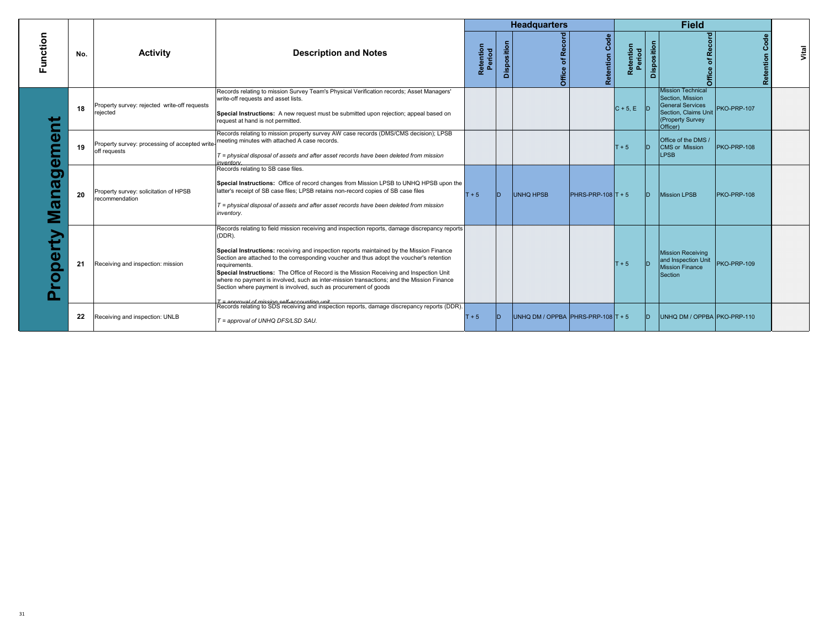|                                                               |     |                                                                |                                                                                                                                                                                                                                                                                                                                                                                                                                                                                                                                                                                                                               |                     |             | <b>Headquarters</b>                |                      |                     |             | <b>Field</b>                                                                                                                    |             |       |
|---------------------------------------------------------------|-----|----------------------------------------------------------------|-------------------------------------------------------------------------------------------------------------------------------------------------------------------------------------------------------------------------------------------------------------------------------------------------------------------------------------------------------------------------------------------------------------------------------------------------------------------------------------------------------------------------------------------------------------------------------------------------------------------------------|---------------------|-------------|------------------------------------|----------------------|---------------------|-------------|---------------------------------------------------------------------------------------------------------------------------------|-------------|-------|
| Function                                                      | No. | <b>Activity</b>                                                | <b>Description and Notes</b>                                                                                                                                                                                                                                                                                                                                                                                                                                                                                                                                                                                                  | Retention<br>Period | Disposition | cord<br>۵ě<br>৳<br>Office          | Code<br>Retention    | Retention<br>Period | Disposition | Office of Record                                                                                                                | Cod         | Vital |
|                                                               | 18  | Property survey: rejected write-off requests<br>rejected       | Records relating to mission Survey Team's Physical Verification records; Asset Managers'<br>write-off requests and asset lists.<br>Special Instructions: A new request must be submitted upon rejection; appeal based on<br>request at hand is not permitted.                                                                                                                                                                                                                                                                                                                                                                 |                     |             |                                    |                      | $C + 5$ . E D       |             | <b>Mission Technical</b><br>Section, Mission<br><b>General Services</b><br>Section, Claims Unit<br>(Property Survey<br>Officer) | PKO-PRP-107 |       |
| Φ<br>$\boldsymbol{\omega}$<br>0<br>ത<br>ത<br>ω<br>Ο<br>O<br>n | 19  | Property survey: processing of accepted write-<br>off requests | Records relating to mission property survey AW case records (DMS/CMS decision); LPSB<br>meeting minutes with attached A case records.<br>$T = physical$ disposal of assets and after asset records have been deleted from mission<br>inventory.                                                                                                                                                                                                                                                                                                                                                                               |                     |             |                                    |                      | $T + 5$             | lD.         | Office of the DMS /<br>CMS or Mission<br><b>LPSB</b>                                                                            | PKO-PRP-108 |       |
|                                                               | 20  | Property survey: solicitation of HPSB<br>recommendation        | Records relating to SB case files.<br>Special Instructions: Office of record changes from Mission LPSB to UNHQ HPSB upon the<br>latter's receipt of SB case files; LPSB retains non-record copies of SB case files<br>$T =$ physical disposal of assets and after asset records have been deleted from mission<br>inventory.                                                                                                                                                                                                                                                                                                  | $T + 5$             | D.          | <b>UNHQ HPSB</b>                   | $PHRS-PRP-108$ T + 5 |                     | In i        | Mission LPSB                                                                                                                    | PKO-PRP-108 |       |
|                                                               | 21  | Receiving and inspection: mission                              | Records relating to field mission receiving and inspection reports, damage discrepancy reports<br>(DDR).<br>Special Instructions: receiving and inspection reports maintained by the Mission Finance<br>Section are attached to the corresponding voucher and thus adopt the voucher's retention<br>requirements.<br>Special Instructions: The Office of Record is the Mission Receiving and Inspection Unit<br>where no payment is involved, such as inter-mission transactions; and the Mission Finance<br>Section where payment is involved, such as procurement of goods<br>$T =$ annoual of mission self-accounting unit |                     |             |                                    |                      | $T + 5$             | In.         | Mission Receiving<br>and Inspection Unit<br><b>Mission Finance</b><br>Section                                                   | PKO-PRP-109 |       |
|                                                               | 22  | Receiving and inspection: UNLB                                 | Records relating to SDS receiving and inspection reports, damage discrepancy reports (DDR).<br>T = approval of UNHQ DFS/LSD SAU.                                                                                                                                                                                                                                                                                                                                                                                                                                                                                              | $T + 5$             | D.          | UNHQ DM / OPPBA PHRS-PRP-108 T + 5 |                      |                     | ID.         | UNHQ DM / OPPBA PKO-PRP-110                                                                                                     |             |       |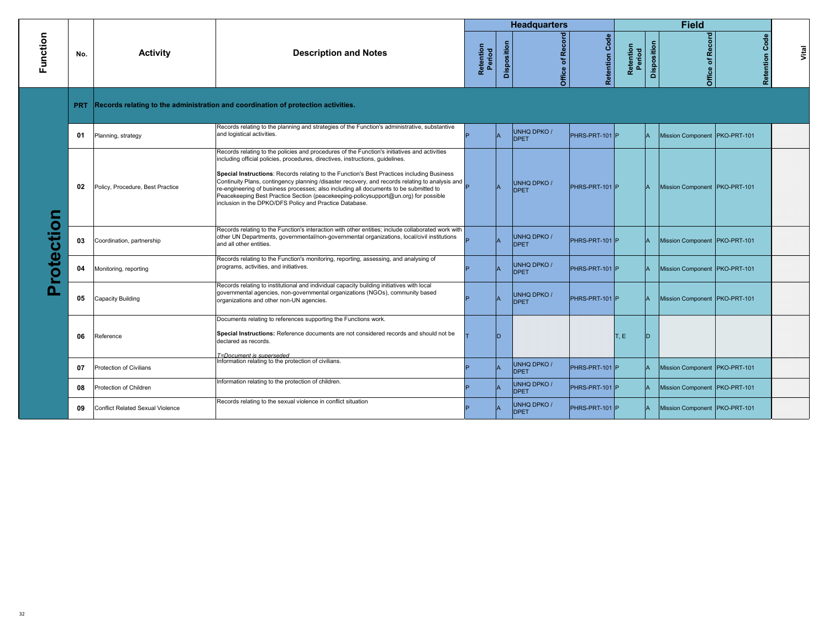|                 |            |                                         |                                                                                                                                                                                                                                                                                                                                                                                                                                                                                                                                                                                                                            |                     |             | <b>Headquarters</b>               |                   |                     |             | <b>Field</b>                    |                   |       |
|-----------------|------------|-----------------------------------------|----------------------------------------------------------------------------------------------------------------------------------------------------------------------------------------------------------------------------------------------------------------------------------------------------------------------------------------------------------------------------------------------------------------------------------------------------------------------------------------------------------------------------------------------------------------------------------------------------------------------------|---------------------|-------------|-----------------------------------|-------------------|---------------------|-------------|---------------------------------|-------------------|-------|
| Function        | No.        | <b>Activity</b>                         | <b>Description and Notes</b>                                                                                                                                                                                                                                                                                                                                                                                                                                                                                                                                                                                               | Retention<br>Period | Disposition | Office of Record                  | Code<br>Retention | Retention<br>Period | Disposition | Office of Record                | Code<br>Retention | Vital |
|                 | <b>PRT</b> |                                         | Records relating to the administration and coordination of protection activities.                                                                                                                                                                                                                                                                                                                                                                                                                                                                                                                                          |                     |             |                                   |                   |                     |             |                                 |                   |       |
|                 | 01         | Planning, strategy                      | Records relating to the planning and strategies of the Function's administrative, substantive<br>and logistical activities.                                                                                                                                                                                                                                                                                                                                                                                                                                                                                                |                     |             | <b>UNHQ DPKO /</b><br><b>DPET</b> | PHRS-PRT-101 P    |                     |             | Mission Component   PKO-PRT-101 |                   |       |
| rotection<br>n. | 02         | Policy, Procedure, Best Practice        | Records relating to the policies and procedures of the Function's initiatives and activities<br>including official policies, procedures, directives, instructions, guidelines.<br>Special Instructions: Records relating to the Function's Best Practices including Business<br>Continuity Plans, contingency planning /disaster recovery, and records relating to analysis and<br>re-engineering of business processes; also including all documents to be submitted to<br>Peacekeeping Best Practice Section (peacekeeping-policysupport@un.org) for possible<br>inclusion in the DPKO/DFS Policy and Practice Database. |                     |             | <b>UNHQ DPKO /</b><br><b>DPET</b> | PHRS-PRT-101 P    |                     |             | Mission Component   PKO-PRT-101 |                   |       |
|                 | 03         | Coordination, partnership               | Records relating to the Function's interaction with other entities; include collaborated work with<br>other UN Departments, governmental/non-governmental organizations, local/civil institutions<br>and all other entities.                                                                                                                                                                                                                                                                                                                                                                                               |                     |             | <b>UNHQ DPKO /</b><br><b>DPET</b> | PHRS-PRT-101 P    |                     |             | Mission Component   PKO-PRT-101 |                   |       |
|                 | 04         | Monitoring, reporting                   | Records relating to the Function's monitoring, reporting, assessing, and analysing of<br>programs, activities, and initiatives.                                                                                                                                                                                                                                                                                                                                                                                                                                                                                            |                     |             | <b>UNHQ DPKO/</b><br><b>DPET</b>  | PHRS-PRT-101 P    |                     |             | Mission Component PKO-PRT-101   |                   |       |
|                 | 05         | Capacity Building                       | Records relating to institutional and individual capacity building initiatives with local<br>governmental agencies, non-governmental organizations (NGOs), community based<br>organizations and other non-UN agencies.                                                                                                                                                                                                                                                                                                                                                                                                     |                     |             | <b>UNHQ DPKO /</b><br><b>DPET</b> | PHRS-PRT-101 P    |                     |             | Mission Component   PKO-PRT-101 |                   |       |
|                 | 06         | Reference                               | Documents relating to references supporting the Functions work.<br>Special Instructions: Reference documents are not considered records and should not be<br>declared as records.<br>T=Document is superseded                                                                                                                                                                                                                                                                                                                                                                                                              |                     | D.          |                                   |                   | T, E                | חו          |                                 |                   |       |
|                 | 07         | Protection of Civilians                 | Information relating to the protection of civilians.                                                                                                                                                                                                                                                                                                                                                                                                                                                                                                                                                                       |                     |             | <b>UNHQ DPKO/</b><br><b>DPET</b>  | PHRS-PRT-101 P    |                     |             | Mission Component   PKO-PRT-101 |                   |       |
|                 | 08         | Protection of Children                  | Information relating to the protection of children.                                                                                                                                                                                                                                                                                                                                                                                                                                                                                                                                                                        |                     |             | <b>UNHQ DPKO /</b><br><b>DPET</b> | PHRS-PRT-101 P    |                     |             | Mission Component PKO-PRT-101   |                   |       |
|                 | 09         | <b>Conflict Related Sexual Violence</b> | Records relating to the sexual violence in conflict situation                                                                                                                                                                                                                                                                                                                                                                                                                                                                                                                                                              |                     |             | <b>UNHQ DPKO /</b><br><b>DPET</b> | PHRS-PRT-101 P    |                     |             | Mission Component   PKO-PRT-101 |                   |       |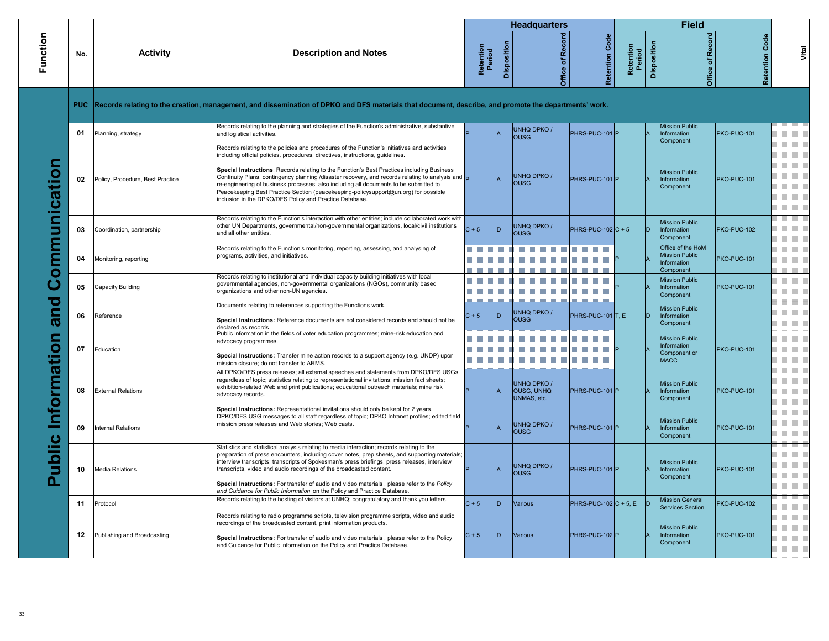|                    |     |                                  |                                                                                                                                                                                                                                                                                                                                                                                                                                                                                                                                                                                                                                                 |                     |             | <b>Headquarters</b>                                    |                       |                     |                    | <b>Field</b>                                                           |                       |       |
|--------------------|-----|----------------------------------|-------------------------------------------------------------------------------------------------------------------------------------------------------------------------------------------------------------------------------------------------------------------------------------------------------------------------------------------------------------------------------------------------------------------------------------------------------------------------------------------------------------------------------------------------------------------------------------------------------------------------------------------------|---------------------|-------------|--------------------------------------------------------|-----------------------|---------------------|--------------------|------------------------------------------------------------------------|-----------------------|-------|
| Function           | No. | Activity                         | <b>Description and Notes</b>                                                                                                                                                                                                                                                                                                                                                                                                                                                                                                                                                                                                                    | Retention<br>Period | Disposition | Office of Record                                       | <b>Retention Code</b> | Retention<br>Period | <b>Disposition</b> | Recor<br>đ<br>Office                                                   | <b>Retention Code</b> | Vital |
|                    |     |                                  | PUC Records relating to the creation, management, and dissemination of DPKO and DFS materials that document, describe, and promote the departments' work.                                                                                                                                                                                                                                                                                                                                                                                                                                                                                       |                     |             |                                                        |                       |                     |                    |                                                                        |                       |       |
|                    | 01  | Planning, strategy               | Records relating to the planning and strategies of the Function's administrative, substantive<br>and logistical activities.                                                                                                                                                                                                                                                                                                                                                                                                                                                                                                                     |                     |             | UNHQ DPKO /<br><b>OUSG</b>                             | PHRS-PUC-101 P        |                     |                    | <b>Mission Public</b><br>Information<br>Component                      | PKO-PUC-101           |       |
| ommunication       | 02  | Policy, Procedure, Best Practice | Records relating to the policies and procedures of the Function's initiatives and activities<br>including official policies, procedures, directives, instructions, guidelines.<br>Special Instructions: Records relating to the Function's Best Practices including Business<br>Continuity Plans, contingency planning /disaster recovery, and records relating to analysis and $\vert_{\mathsf{D}}$<br>re-engineering of business processes; also including all documents to be submitted to<br>Peacekeeping Best Practice Section (peacekeeping-policysupport@un.org) for possible<br>inclusion in the DPKO/DFS Policy and Practice Database. |                     |             | <b>UNHQ DPKO /</b><br><b>OUSG</b>                      | PHRS-PUC-101 P        |                     |                    | <b>Mission Public</b><br>Information<br>Component                      | PKO-PUC-101           |       |
|                    | 03  | Coordination, partnership        | Records relating to the Function's interaction with other entities; include collaborated work with<br>other UN Departments, governmental/non-governmental organizations, local/civil institutions<br>and all other entities.                                                                                                                                                                                                                                                                                                                                                                                                                    | $C + 5$             | lD.         | <b>UNHQ DPKO /</b><br><b>OUSG</b>                      | $PHRS-PUC-102$ C + 5  |                     | In                 | <b>Mission Public</b><br>Information<br>Component                      | PKO-PUC-102           |       |
|                    | 04  | Monitoring, reporting            | Records relating to the Function's monitoring, reporting, assessing, and analysing of<br>programs, activities, and initiatives.                                                                                                                                                                                                                                                                                                                                                                                                                                                                                                                 |                     |             |                                                        |                       |                     |                    | Office of the HoM<br><b>Mission Public</b><br>Information<br>Component | PKO-PUC-101           |       |
| Ŏ                  | 05  | Capacity Building                | Records relating to institutional and individual capacity building initiatives with local<br>governmental agencies, non-governmental organizations (NGOs), community based<br>organizations and other non-UN agencies.                                                                                                                                                                                                                                                                                                                                                                                                                          |                     |             |                                                        |                       |                     |                    | <b>Mission Public</b><br>Information<br>Component                      | PKO-PUC-101           |       |
| and                | 06  | Reference                        | Documents relating to references supporting the Functions work.<br>Special Instructions: Reference documents are not considered records and should not be<br>declared as records.                                                                                                                                                                                                                                                                                                                                                                                                                                                               | $C + 5$             |             | <b>UNHQ DPKO /</b><br><b>OUSG</b>                      | PHRS-PUC-101 T, E     |                     |                    | <b>Mission Public</b><br>Information<br>Component                      |                       |       |
|                    | 07  | Education                        | Public information in the fields of voter education programmes; mine-risk education and<br>advocacy programmes.<br>Special Instructions: Transfer mine action records to a support agency (e.g. UNDP) upon<br>mission closure; do not transfer to ARMS.                                                                                                                                                                                                                                                                                                                                                                                         |                     |             |                                                        |                       |                     |                    | <b>Mission Public</b><br>Information<br>Component or<br><b>MACC</b>    | PKO-PUC-101           |       |
|                    | 08  | <b>External Relations</b>        | All DPKO/DFS press releases; all external speeches and statements from DPKO/DFS USGs<br>regardless of topic; statistics relating to representational invitations; mission fact sheets;<br>exhibition-related Web and print publications; educational outreach materials; mine risk<br>advocacy records.<br>Special Instructions: Representational invitations should only be kept for 2 years.                                                                                                                                                                                                                                                  |                     |             | <b>UNHQ DPKO /</b><br><b>OUSG, UNHQ</b><br>UNMAS, etc. | PHRS-PUC-101 P        |                     |                    | <b>Mission Public</b><br>Information<br>Component                      | PKO-PUC-101           |       |
|                    | 09  | nternal Relations                | DPKO/DFS USG messages to all staff regardless of topic; DPKO Intranet profiles; edited field<br>mission press releases and Web stories; Web casts.                                                                                                                                                                                                                                                                                                                                                                                                                                                                                              |                     |             | <b>UNHQ DPKO /</b><br><b>OUSG</b>                      | PHRS-PUC-101 P        |                     |                    | <b>Mission Public</b><br>Information<br>Component                      | PKO-PUC-101           |       |
| Public Information | 10  | <b>Media Relations</b>           | Statistics and statistical analysis relating to media interaction; records relating to the<br>preparation of press encounters, including cover notes, prep sheets, and supporting materials;<br>interview transcripts; transcripts of Spokesman's press briefings, press releases, interview<br>transcripts, video and audio recordings of the broadcasted content.<br>Special Instructions: For transfer of audio and video materials, please refer to the Policy<br>and Guidance for Public Information on the Policy and Practice Database.                                                                                                  |                     |             | <b>UNHQ DPKO/</b><br><b>OUSG</b>                       | PHRS-PUC-101 P        |                     |                    | <b>Mission Public</b><br><b>Information</b><br>Component               | PKO-PUC-101           |       |
|                    | 11  | Protocol                         | Records relating to the hosting of visitors at UNHQ; congratulatory and thank you letters.                                                                                                                                                                                                                                                                                                                                                                                                                                                                                                                                                      | $C + 5$             | D           | Various                                                | $PHRS-PUC-102 C+5, E$ |                     |                    | <b>Mission General</b><br><b>Services Section</b>                      | PKO-PUC-102           |       |
|                    | 12  | Publishing and Broadcasting      | Records relating to radio programme scripts, television programme scripts, video and audio<br>recordings of the broadcasted content, print information products.<br>Special Instructions: For transfer of audio and video materials, please refer to the Policy<br>and Guidance for Public Information on the Policy and Practice Database.                                                                                                                                                                                                                                                                                                     | $C + 5$             | In          | Various                                                | PHRS-PUC-102 P        |                     |                    | <b>Mission Public</b><br>Information<br>Component                      | PKO-PUC-101           |       |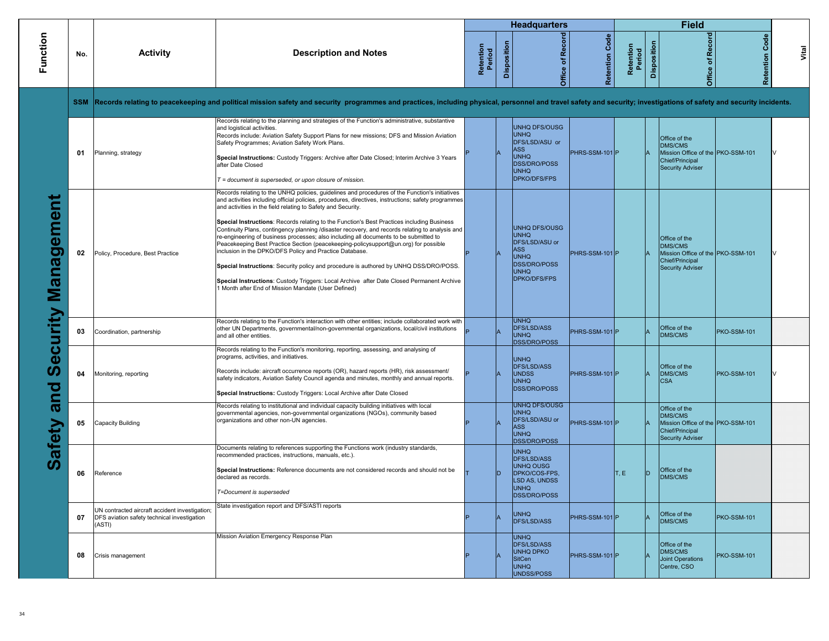|                    |            |                                                                                                         |                                                                                                                                                                                                                                                                                                                                                                                                                                                                                                                                                                                                                                                                                                                                                                                                                                                                                                                                                                |                     |             | <b>Headquarters</b>                                                                                                                             |                   |                     |             | Field                                                                                                       |                    |       |
|--------------------|------------|---------------------------------------------------------------------------------------------------------|----------------------------------------------------------------------------------------------------------------------------------------------------------------------------------------------------------------------------------------------------------------------------------------------------------------------------------------------------------------------------------------------------------------------------------------------------------------------------------------------------------------------------------------------------------------------------------------------------------------------------------------------------------------------------------------------------------------------------------------------------------------------------------------------------------------------------------------------------------------------------------------------------------------------------------------------------------------|---------------------|-------------|-------------------------------------------------------------------------------------------------------------------------------------------------|-------------------|---------------------|-------------|-------------------------------------------------------------------------------------------------------------|--------------------|-------|
| Function           | No.        | <b>Activity</b>                                                                                         | <b>Description and Notes</b>                                                                                                                                                                                                                                                                                                                                                                                                                                                                                                                                                                                                                                                                                                                                                                                                                                                                                                                                   | Retention<br>Period | Disposition | Record<br>Office of                                                                                                                             | Code<br>Retention | Retention<br>Period | Disposition | <b>Record</b><br>$\overline{\mathbf{o}}$<br>Office                                                          | Code<br>Retention  | Vital |
|                    | <b>SSM</b> |                                                                                                         | Records relating to peacekeeping and political mission safety and security programmes and practices, including physical, personnel and travel safety and security; investigations of safety and security incidents.                                                                                                                                                                                                                                                                                                                                                                                                                                                                                                                                                                                                                                                                                                                                            |                     |             |                                                                                                                                                 |                   |                     |             |                                                                                                             |                    |       |
|                    | 01         | Planning, strategy                                                                                      | Records relating to the planning and strategies of the Function's administrative, substantive<br>and logistical activities.<br>Records include: Aviation Safety Support Plans for new missions; DFS and Mission Aviation<br>Safety Programmes; Aviation Safety Work Plans.<br>Special Instructions: Custody Triggers: Archive after Date Closed; Interim Archive 3 Years<br>after Date Closed<br>$T =$ document is superseded, or upon closure of mission.                                                                                                                                                                                                                                                                                                                                                                                                                                                                                                     |                     |             | <b>UNHQ DFS/OUSG</b><br><b>UNHQ</b><br>DFS/LSD/ASU or<br><b>ASS</b><br><b>UNHQ</b><br><b>DSS/DRO/POSS</b><br><b>UNHQ</b><br><b>DPKO/DFS/FPS</b> | PHRS-SSM-101 P    |                     |             | Office of the<br>DMS/CMS<br>Mission Office of the PKO-SSM-101<br>Chief/Principal<br><b>Security Adviser</b> |                    |       |
| gement<br>ana<br>Σ | 02         | Policy, Procedure, Best Practice                                                                        | Records relating to the UNHQ policies, guidelines and procedures of the Function's initiatives<br>and activities including official policies, procedures, directives, instructions; safety programmes<br>and activities in the field relating to Safety and Security.<br>Special Instructions: Records relating to the Function's Best Practices including Business<br>Continuity Plans, contingency planning /disaster recovery, and records relating to analysis and<br>re-engineering of business processes; also including all documents to be submitted to<br>Peacekeeping Best Practice Section (peacekeeping-policysupport@un.org) for possible<br>inclusion in the DPKO/DFS Policy and Practice Database.<br>Special Instructions: Security policy and procedure is authored by UNHQ DSS/DRO/POSS.<br>Special Instructions: Custody Triggers: Local Archive after Date Closed Permanent Archive<br>1 Month after End of Mission Mandate (User Defined) |                     |             | <b>UNHQ DFS/OUSG</b><br><b>UNHQ</b><br>DFS/LSD/ASU or<br><b>ASS</b><br><b>UNHQ</b><br><b>DSS/DRO/POSS</b><br><b>UNHQ</b><br><b>DPKO/DFS/FPS</b> | PHRS-SSM-101 P    |                     |             | Office of the<br>DMS/CMS<br>Mission Office of the PKO-SSM-101<br>Chief/Principal<br><b>Security Adviser</b> |                    |       |
| ecurity            | 03         | Coordination, partnership                                                                               | Records relating to the Function's interaction with other entities; include collaborated work with<br>other UN Departments, governmental/non-governmental organizations, local/civil institutions<br>and all other entities.                                                                                                                                                                                                                                                                                                                                                                                                                                                                                                                                                                                                                                                                                                                                   |                     |             | <b>UNHQ</b><br><b>DFS/LSD/ASS</b><br><b>UNHQ</b><br><b>DSS/DRO/POSS</b>                                                                         | PHRS-SSM-101 P    |                     |             | Office of the<br>DMS/CMS                                                                                    | <b>PKO-SSM-101</b> |       |
| pa                 | 04         | Monitoring, reporting                                                                                   | Records relating to the Function's monitoring, reporting, assessing, and analysing of<br>programs, activities, and initiatives.<br>Records include: aircraft occurrence reports (OR), hazard reports (HR), risk assessment/<br>safety indicators, Aviation Safety Council agenda and minutes, monthly and annual reports.<br>Special Instructions: Custody Triggers: Local Archive after Date Closed                                                                                                                                                                                                                                                                                                                                                                                                                                                                                                                                                           |                     |             | <b>UNHQ</b><br><b>DFS/LSD/ASS</b><br><b>UNDSS</b><br><b>UNHQ</b><br><b>DSS/DRO/POSS</b>                                                         | PHRS-SSM-101 P    |                     |             | Office of the<br>DMS/CMS<br><b>CSA</b>                                                                      | <b>PKO-SSM-101</b> |       |
| ത<br>afety         | 05         | Capacity Building                                                                                       | Records relating to institutional and individual capacity building initiatives with local<br>governmental agencies, non-governmental organizations (NGOs), community based<br>organizations and other non-UN agencies.                                                                                                                                                                                                                                                                                                                                                                                                                                                                                                                                                                                                                                                                                                                                         |                     |             | <b>UNHQ DFS/OUSG</b><br><b>UNHQ</b><br>DFS/LSD/ASU or<br><b>ASS</b><br><b>UNHQ</b><br><b>DSS/DRO/POSS</b>                                       | PHRS-SSM-101 P    |                     |             | Office of the<br><b>DMS/CMS</b><br>Mission Office of the PKO-SSM-101<br>Chief/Principal<br>Security Adviser |                    |       |
| ഗ                  | 06         | Reference                                                                                               | Documents relating to references supporting the Functions work (industry standards,<br>recommended practices, instructions, manuals, etc.).<br>Special Instructions: Reference documents are not considered records and should not be<br>declared as records.<br>T=Document is superseded                                                                                                                                                                                                                                                                                                                                                                                                                                                                                                                                                                                                                                                                      |                     |             | <b>UNHQ</b><br><b>DFS/LSD/ASS</b><br><b>UNHQ OUSG</b><br>DPKO/COS-FPS,<br><b>LSD AS, UNDSS</b><br><b>UNHQ</b><br><b>DSS/DRO/POSS</b>            |                   | T, E                | ID.         | Office of the<br>DMS/CMS                                                                                    |                    |       |
|                    | 07         | UN contracted aircraft accident investigation;<br>DFS aviation safety technical investigation<br>(ASTI) | State investigation report and DFS/ASTI reports                                                                                                                                                                                                                                                                                                                                                                                                                                                                                                                                                                                                                                                                                                                                                                                                                                                                                                                |                     |             | <b>UNHQ</b><br><b>DFS/LSD/ASS</b>                                                                                                               | PHRS-SSM-101 P    |                     |             | Office of the<br><b>DMS/CMS</b>                                                                             | <b>PKO-SSM-101</b> |       |
|                    | 08         | Crisis management                                                                                       | Mission Aviation Emergency Response Plan                                                                                                                                                                                                                                                                                                                                                                                                                                                                                                                                                                                                                                                                                                                                                                                                                                                                                                                       |                     |             | <b>UNHQ</b><br><b>DFS/LSD/ASS</b><br><b>UNHQ DPKO</b><br>SitCen<br><b>UNHQ</b><br>UNDSS/POSS                                                    | PHRS-SSM-101 P    |                     |             | Office of the<br>DMS/CMS<br><b>Joint Operations</b><br>Centre, CSO                                          | <b>PKO-SSM-101</b> |       |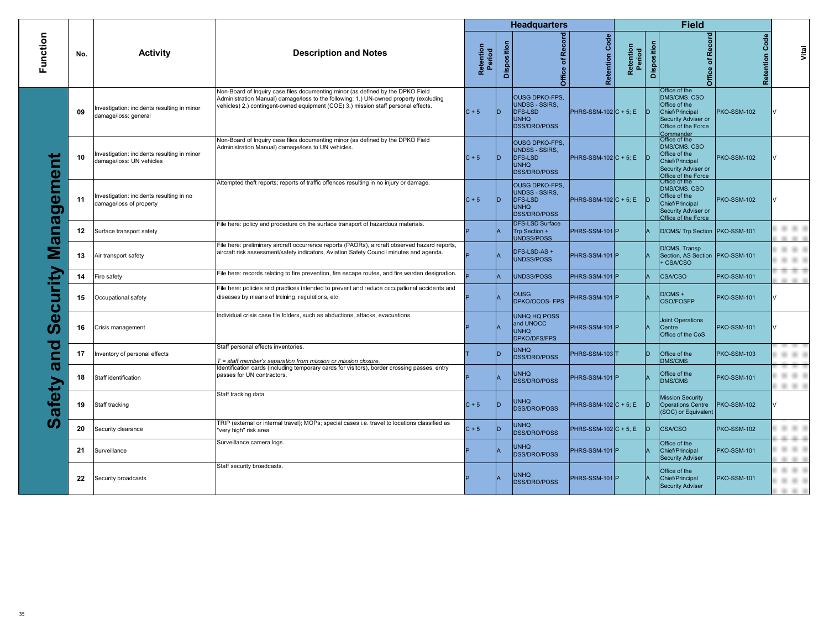|                               |     |                                                                         |                                                                                                                                                                                                                                                                |                     |             | <b>Headquarters</b>                                                                                    |                          |                     |             | <b>Field</b>                                                                                                                 |                    |       |
|-------------------------------|-----|-------------------------------------------------------------------------|----------------------------------------------------------------------------------------------------------------------------------------------------------------------------------------------------------------------------------------------------------------|---------------------|-------------|--------------------------------------------------------------------------------------------------------|--------------------------|---------------------|-------------|------------------------------------------------------------------------------------------------------------------------------|--------------------|-------|
| Function                      | No. | <b>Activity</b>                                                         | <b>Description and Notes</b>                                                                                                                                                                                                                                   | Retention<br>Period | Disposition | Office of Record                                                                                       | Code<br>Retention        | Retention<br>Period | Disposition | Record<br>đ<br><b>Office</b>                                                                                                 | Code<br>Retention  | Vital |
|                               | 09  | Investigation: incidents resulting in minor<br>damage/loss: general     | Non-Board of Inquiry case files documenting minor (as defined by the DPKO Field<br>Administration Manual) damage/loss to the following: 1.) UN-owned property (excluding<br>vehicles) 2.) contingent-owned equipment (COE) 3.) mission staff personal effects. | $C + 5$             | ID          | <b>OUSG DPKO-FPS,</b><br><b>UNDSS - SSIRS,</b><br><b>DFS-LSD</b><br><b>UNHQ</b><br><b>DSS/DRO/POSS</b> | $PHRS-SSM-102 C+5; E$    |                     | ID.         | Office of the<br>DMS/CMS. CSO<br>Office of the<br>Chief/Principal<br>Security Adviser or<br>Office of the Force<br>Commander | <b>PKO-SSM-102</b> |       |
|                               | 10  | Investigation: incidents resulting in minor<br>damage/loss: UN vehicles | Non-Board of Inquiry case files documenting minor (as defined by the DPKO Field<br>Administration Manual) damage/loss to UN vehicles.                                                                                                                          | $C + 5$             |             | <b>OUSG DPKO-FPS,</b><br><b>UNDSS - SSIRS,</b><br><b>DFS-LSD</b><br><b>UNHQ</b><br><b>DSS/DRO/POSS</b> | $PHRS-SSM-102 C+5; E$    |                     |             | Office of the<br>DMS/CMS, CSO<br>Office of the<br>Chief/Principal<br>Security Adviser or<br>Office of the Force              | <b>PKO-SSM-102</b> |       |
| <b>eme</b><br>0<br>ര          | 11  | Investigation: incidents resulting in no<br>damage/loss of property     | Attempted theft reports; reports of traffic offences resulting in no injury or damage.                                                                                                                                                                         | $C + 5$             | ID          | <b>OUSG DPKO-FPS,</b><br><b>UNDSS - SSIRS.</b><br><b>DFS-LSD</b><br><b>UNHQ</b><br><b>DSS/DRO/POSS</b> | $PHRS-SSM-102 C+5; E$    |                     | חו          | Office of the<br>DMS/CMS. CSO<br>Office of the<br>Chief/Principal<br>Security Adviser or<br>Office of the Force              | <b>PKO-SSM-102</b> |       |
|                               | 12  | Surface transport safety                                                | File here: policy and procedure on the surface transport of hazardous materials.                                                                                                                                                                               |                     |             | <b>DFS-LSD Surface</b><br>Trp Section +<br>UNDSS/POSS                                                  | PHRS-SSM-101 P           |                     |             | D/CMS/ Trp Section   PKO-SSM-101                                                                                             |                    |       |
| ൪                             | 13  | Air transport safety                                                    | File here: preliminary aircraft occurrence reports (PAORs), aircraft observed hazard reports,<br>aircraft risk assessment/safety indicators, Aviation Safety Council minutes and agenda.                                                                       |                     |             | DFS-LSD-AS+<br><b>UNDSS/POSS</b>                                                                       | PHRS-SSM-101 P           |                     |             | D/CMS, Transp<br>Section, AS Section   PKO-SSM-101<br>CSA/CSO                                                                |                    |       |
|                               | 14  | Fire safety                                                             | File here: records relating to fire prevention, fire escape routes, and fire warden designation.                                                                                                                                                               |                     |             | <b>UNDSS/POSS</b>                                                                                      | PHRS-SSM-101 P           |                     |             | <b>CSA/CSO</b>                                                                                                               | <b>PKO-SSM-101</b> |       |
| ಕ                             | 15  | Occupational safety                                                     | File here: policies and practices intended to prevent and reduce occupational accidents and<br>diseases by means of training, regulations, etc.                                                                                                                |                     |             | <b>OUSG</b><br>DPKO/OCOS-FPS                                                                           | PHRS-SSM-101 P           |                     |             | $D/CMS +$<br>OSO/FOSFP                                                                                                       | PKO-SSM-101        |       |
| ه                             | 16  | Crisis management                                                       | Individual crisis case file folders, such as abductions, attacks, evacuations.                                                                                                                                                                                 |                     |             | <b>UNHQ HQ POSS</b><br>and UNOCC<br><b>UNHQ</b><br><b>DPKO/DFS/FPS</b>                                 | PHRS-SSM-101 P           |                     |             | <b>Joint Operations</b><br>Centre<br>Office of the CoS                                                                       | <b>PKO-SSM-101</b> |       |
| O<br>$\overline{\phantom{a}}$ | 17  | Inventory of personal effects                                           | Staff personal effects inventories.<br>$T =$ staff member's separation from mission or mission closure                                                                                                                                                         |                     | חו          | <b>UNHQ</b><br><b>DSS/DRO/POSS</b>                                                                     | PHRS-SSM-103 T           |                     | ID.         | Office of the<br>DMS/CMS                                                                                                     | <b>PKO-SSM-103</b> |       |
| Ø                             | 18  | Staff identification                                                    | Identification cards (including temporary cards for visitors), border crossing passes, entry<br>passes for UN contractors.                                                                                                                                     |                     |             | <b>UNHQ</b><br><b>DSS/DRO/POSS</b>                                                                     | PHRS-SSM-101 P           |                     |             | Office of the<br>DMS/CMS                                                                                                     | <b>PKO-SSM-101</b> |       |
| llet∨<br>Ø                    | 19  | Staff tracking                                                          | Staff tracking data.                                                                                                                                                                                                                                           | $C + 5$             | ID          | UNHQ<br><b>DSS/DRO/POSS</b>                                                                            | PHRS-SSM-102 $C + 5$ ; E |                     | ID.         | <b>Mission Security</b><br><b>Operations Centre</b><br>(SOC) or Equivalent                                                   | <b>PKO-SSM-102</b> |       |
| UD                            | 20  | Security clearance                                                      | TRIP (external or internal travel); MOPs; special cases i.e. travel to locations classified as<br>"very high" risk area                                                                                                                                        | $C + 5$             | ID          | <b>UNHQ</b><br><b>DSS/DRO/POSS</b>                                                                     | PHRS-SSM-102 $C + 5$ , E |                     | ID.         | <b>CSA/CSO</b>                                                                                                               | <b>PKO-SSM-102</b> |       |
|                               | 21  | Surveillance                                                            | Surveillance camera logs.                                                                                                                                                                                                                                      |                     |             | UNHQ<br><b>DSS/DRO/POSS</b>                                                                            | PHRS-SSM-101 P           |                     |             | Office of the<br>Chief/Principal<br><b>Security Adviser</b>                                                                  | PKO-SSM-101        |       |
|                               | 22  | Security broadcasts                                                     | Staff security broadcasts.                                                                                                                                                                                                                                     |                     |             | UNHQ<br><b>DSS/DRO/POSS</b>                                                                            | PHRS-SSM-101 P           |                     |             | Office of the<br>Chief/Principal<br><b>Security Adviser</b>                                                                  | <b>PKO-SSM-101</b> |       |